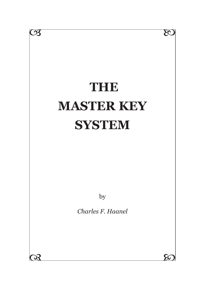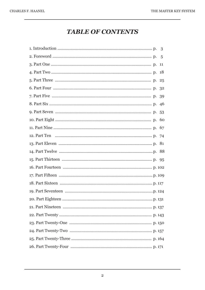# **TABLE OF CONTENTS**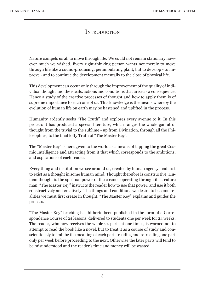### **INTRODUCTION**

—

Nature compels us all to move through life. We could not remain stationary however much we wished. Every right-thinking person wants not merely to move through life like a sound-producing, perambulating plant, but to develop - to improve - and to continue the development mentally to the close of physical life.

This development can occur only through the improvement of the quality of individual thought and the ideals, actions and conditions that arise as a consequence. Hence a study of the creative processes of thought and how to apply them is of supreme importance to each one of us. This knowledge is the means whereby the evolution of human life on earth may be hastened and uplifted in the process.

Humanity ardently seeks "The Truth" and explores every avenue to it. In this process it has produced a special literature, which ranges the whole gamut of thought from the trivial to the sublime - up from Divination, through all the Philosophies, to the final lofty Truth of "The Master Key".

The "Master Key" is here given to the world as a means of tapping the great Cosmic Intelligence and attracting from it that which corresponds to the ambitions, and aspirations of each reader.

Every thing and institution we see around us, created by human agency, had first to exist as a thought in some human mind. Thought therefore is constructive. Human thought is the spiritual power of the cosmos operating through its creature man. "The Master Key" instructs the reader how to use that power, and use it both constructively and creatively. The things and conditions we desire to become realities we must first create in thought. "The Master Key" explains and guides the process.

"The Master Key" teaching has hitherto been published in the form of a Correspondence Course of 24 lessons, delivered to students one per week for 24 weeks. The reader, who now receives the whole 24 parts at one times, is warned not to attempt to read the book like a novel, but to treat it as a course of study and conscientiously to imbibe the meaning of each part - reading and re-reading one part only per week before proceeding to the next. Otherwise the later parts will tend to be misunderstood and the reader's time and money will be wasted.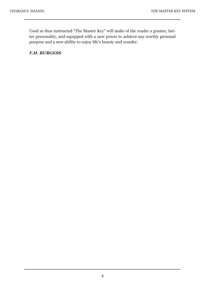Used as thus instructed "The Master Key" will make of the reader a greater, better personality, and equipped with a new power to achieve any worthy personal purpose and a new ability to enjoy life's beauty and wonder.

*F.H. BURGESS*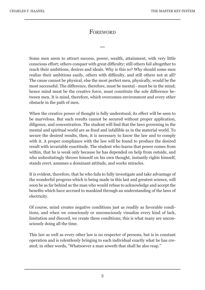### FOREWORD

—

Some men seem to attract success, power, wealth, attainment, with very little conscious effort; others conquer with great difficulty; still others fail altogether to reach their ambitions, desires and ideals. Why is this so? Why should some men realize their ambitions easily, others with difficulty, and still others not at all? The cause cannot be physical, else the most perfect men, physically, would be the most successful. The difference, therefore, must be mental - must be in the mind; hence mind must be the creative force, must constitute the sole difference between men. It is mind, therefore, which overcomes environment and every other obstacle in the path of men.

When the creative power of thought is fully understood, its effect will be seen to be marvelous. But such results cannot be secured without proper application, diligence, and concentration. The student will find that the laws governing in the mental and spiritual world are as fixed and infallible as in the material world. To secure the desired results, then, it is necessary to know the law and to comply with it. A proper compliance with the law will be found to produce the desired result with invariable exactitude. The student who learns that power comes from within, that he is weak only because he has depended on help from outside, and who unhesitatingly throws himself on his own thought, instantly rights himself, stands erect, assumes a dominant attitude, and works miracles.

It is evident, therefore, that he who fails to fully investigate and take advantage of the wonderful progress which is being made in this last and greatest science, will soon be as far behind as the man who would refuse to acknowledge and accept the benefits which have accrued to mankind through an understanding of the laws of electricity.

Of course, mind creates negative conditions just as readily as favorable conditions, and when we consciously or unconsciously visualize every kind of lack, limitation and discord, we create these conditions; this is what many are unconsciously doing all the time.

This law as well as every other law is no respecter of persons, but is in constant operation and is relentlessly bringing to each individual exactly what he has created; in other words, "Whatsoever a man soweth that shall he also reap."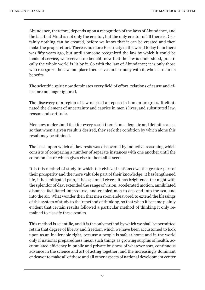Abundance, therefore, depends upon a recognition of the laws of Abundance, and the fact that Mind is not only the creator, but the only creator of all there is. Certainly nothing can be created, before we know that it can be created and then make the proper effort. There is no more Electricity in the world today than there was fifty years ago, but until someone recognized the law by which it could be made of service, we received no benefit; now that the law is understood, practically the whole world is lit by it. So with the law of Abundance; it is only those who recognize the law and place themselves in harmony with it, who share in its benefits.

The scientific spirit now dominates every field of effort, relations of cause and effect are no longer ignored.

The discovery of a region of law marked an epoch in human progress. It eliminated the element of uncertainty and caprice in men's lives, and substituted law, reason and certitude.

Men now understand that for every result there is an adequate and definite cause, so that when a given result is desired, they seek the condition by which alone this result may be attained.

The basis upon which all law rests was discovered by inductive reasoning which consists of comparing a number of separate instances with one another until the common factor which gives rise to them all is seen.

It is this method of study to which the civilized nations owe the greater part of their prosperity and the more valuable part of their knowledge; it has lengthened life, it has mitigated pain, it has spanned rivers, it has brightened the night with the splendor of day, extended the range of vision, accelerated motion, annihilated distance, facilitated intercourse, and enabled men to descend into the sea, and into the air. What wonder then that men soon endeavored to extend the blessings of this system of study to their method of thinking, so that when it became plainly evident that certain results followed a particular method of thinking it only remained to classify these results.

This method is scientific, and it is the only method by which we shall be permitted retain that degree of liberty and freedom which we have been accustomed to look upon as an inalienable right, because a people is safe at home and in the world only if national preparedness mean such things as growing surplus of health, accumulated efficiency in public and private business of whatever sort, continuous advance in the science and art of acting together, and the increasingly dominant endeavor to make all of these and all other aspects of national development center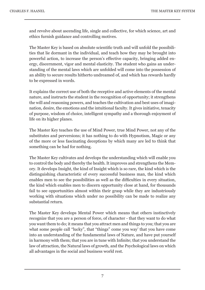and revolve about ascending life, single and collective, for which science, art and ethics furnish guidance and controlling motives.

The Master Key is based on absolute scientific truth and will unfold the possibilities that lie dormant in the individual, and teach how they may be brought into powerful action, to increase the person's effective capacity, bringing added energy, discernment, vigor and mental elasticity. The student who gains an understanding of the mental laws which are unfolded will come into the possession of an ability to secure results hitherto undreamed of, and which has rewards hardly to be expressed in words.

It explains the correct use of both the receptive and active elements of the mental nature, and instructs the student in the recognition of opportunity; it strengthens the will and reasoning powers, and teaches the cultivation and best uses of imagination, desire, the emotions and the intuitional faculty. It gives initiative, tenacity of purpose, wisdom of choice, intelligent sympathy and a thorough enjoyment of life on its higher planes.

The Master Key teaches the use of Mind Power, true Mind Power, not any of the substitutes and perversions; it has nothing to do with Hypnotism, Magic or any of the more or less fascinating deceptions by which many are led to think that something can be had for nothing.

The Master Key cultivates and develops the understanding which will enable you to control the body and thereby the health. It improves and strengthens the Memory. It develops Insight, the kind of Insight which is so rare, the kind which is the distinguishing characteristic of every successful business man, the kind which enables men to see the possibilities as well as the difficulties in every situation, the kind which enables men to discern opportunity close at hand, for thousands fail to see opportunities almost within their grasp while they are industriously working with situations which under no possibility can be made to realize any substantial return.

The Master Key develops Mental Power which means that others instinctively recognize that you are a person of force, of character - that they want to do what you want them to do; it means that you attract men and things to you; that you are what some people call "lucky", that "things" come you way' that you have come into an understanding of the fundamental laws of Nature, and have put yourself in harmony with them; that you are in tune with Infinite; that you understand the law of attraction, the Natural laws of growth, and the Psychological laws on which all advantages in the social and business world rest.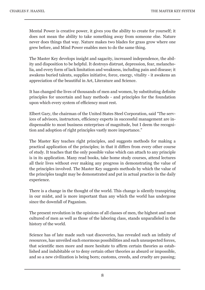Mental Power is creative power, it gives you the ability to create for yourself; it does not mean the ability to take something away from someone else. Nature never does things that way. Nature makes two blades for grass grow where one grew before, and Mind Power enables men to do the same thing.

The Master Key develops insight and sagacity, increased independence, the ability and disposition to be helpful. It destroys distrust, depression, fear, melancholia, and every form of lack limitation and weakness, including pain and disease; it awakens buried talents, supplies initiative, force, energy, vitality - it awakens an appreciation of the beautiful in Art, Literature and Science.

It has changed the lives of thousands of men and women, by substituting definite principles for uncertain and hazy methods - and principles for the foundation upon which every system of efficiency must rest.

Elbert Gary, the chairman of the United States Steel Corporation, said "The services of advisors, instructors, efficiency experts in successful management are indispensable to most business enterprises of magnitude, but I deem the recognition and adoption of right principles vastly more importance."

The Master Key teaches right principles, and suggests methods for making a practical application of the principles; in that it differs from every other course of study. It teaches that the only possible value which can attach to any principle is in its application. Many read books, take home study courses, attend lectures all their lives without ever making any progress in demonstrating the value of the principles involved. The Master Key suggests methods by which the value of the principles taught may be demonstrated and put in actual practice in the daily experience.

There is a change in the thought of the world. This change is silently transpiring in our midst, and is more important than any which the world has undergone since the downfall of Paganism.

The present revolution in the opinions of all classes of men, the highest and most cultured of men as well as those of the laboring class, stands unparalleled in the history of the world.

Science has of late made such vast discoveries, has revealed such an infinity of resources, has unveiled such enormous possibilities and such unsuspected forces, that scientific men more and more hesitate to affirm certain theories as established and indubitable or to deny certain other theories as absurd or impossible, and so a new civilization is being born; customs, creeds, and cruelty are passing;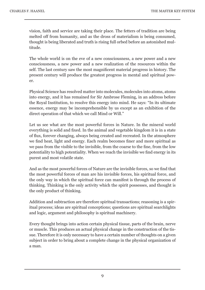vision, faith and service are taking their place. The fetters of tradition are being melted off from humanity, and as the dross of materialism is being consumed, thought is being liberated and truth is rising full orbed before an astonished multitude.

The whole world is on the eve of a new consciousness, a new power and a new consciousness, a new power and a new realization of the resources within the self. The last century saw the most magnificent material progress in history. The present century will produce the greatest progress in mental and spiritual power.

Physical Science has resolved matter into molecules, molecules into atoms, atoms into energy, and it has remained for Sir Ambrose Fleming, in an address before the Royal Institution, to resolve this energy into mind. He says: "In its ultimate essence, energy may be incomprehensible by us except as an exhibition of the direct operation of that which we call Mind or Will."

Let us see what are the most powerful forces in Nature. In the mineral world everything is solid and fixed. In the animal and vegetable kingdom it is in a state of flux, forever changing, always being created and recreated. In the atmosphere we find heat, light and energy. Each realm becomes finer and more spiritual as we pass from the visible to the invisible, from the coarse to the fine, from the low potentiality to high potentiality. When we reach the invisible we find energy in its purest and most volatile state.

And as the most powerful forces of Nature are the invisible forces, so we find that the most powerful forces of man are his invisible forces, his spiritual force, and the only way in which the spiritual force can manifest is through the process of thinking. Thinking is the only activity which the spirit possesses, and thought is the only product of thinking.

Addition and subtraction are therefore spiritual transactions; reasoning is a spiritual process; ideas are spiritual conceptions; questions are spiritual searchlights and logic, argument and philosophy is spiritual machinery.

Every thought brings into action certain physical tissue, parts of the brain, nerve or muscle. This produces an actual physical change in the construction of the tissue. Therefore it is only necessary to have a certain number of thoughts on a given subject in order to bring about a complete change in the physical organization of a man.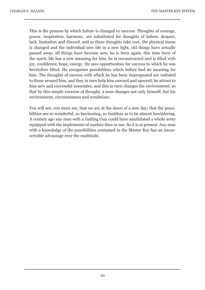This is the process by which failure is changed to success. Thoughts of courage, power, inspiration, harmony, are substituted for thoughts of failure, despair, lack, limitation and discord, and as these thoughts take root, the physical tissue is changed and the individual sees life in a new light, old things have actually passed away, all things have become new, he is born again, this time born of the spirit, life has a new meaning for him, he is reconstructed and is filled with joy, confidence, hope, energy. He sees opportunities for success to which he was heretofore blind. He recognizes possibilities which before had no meaning for him. The thoughts of success with which he has been impregnated are radiated to those around him, and they in turn help him onward and upward; he attract to him new and successful associates, and this in turn changes his environment; so that by this simple exercise of thought, a man changes not only himself, but his environment, circumstances and conditions.

You will see, you must see, that we are at the dawn of a new day; that the possibilities are so wonderful, so fascinating, so limitless as to be almost bewildering. A century ago any man with a Gatling Gun could have annihilated a whole army equipped with the implements of warfare then in use. So it is at present. Any man with a knowledge of the possibilities contained in the Master Key has an inconceivable advantage over the multitude.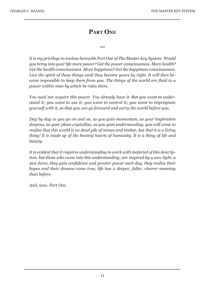### **PART ONE**

*—*

*It is my privilege to enclose herewith Part One of The Master Key System. Would you bring into your life more power? Get the power consciousness. More health? Get the health consciousness. More happiness? Get the happiness consciousness. Live the spirit of these things until they become yours by right. It will then become impossible to keep them from you. The things of the world are fluid to a power within man by which he rules them.* 

*You need not acquire this power. You already have it. But you want to understand it; you want to use it; you want to control it; you want to impregnate yourself with it, so that you can go forward and carry the world before you.* 

*Day by day as you go on and on, as you gain momentum, as your inspiration deepens, as your plans crystallize, as you gain understanding, you will come to realize that this world is no dead pile of stones and timber, but that it is a living thing! It is made up of the beating hearts of humanity. It is a thing of life and beauty.* 

*It is evident that it requires understanding to work with material of this description, but those who come into this understanding, are inspired by a new light, a new force, they gain confidence and greater power each day, they realize their hopes and their dreams come true, life has a deeper, fuller, clearer meaning than before.* 

*And, now, Part One.*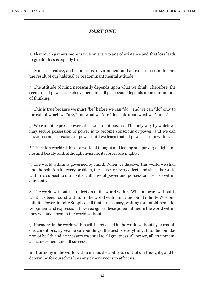#### *PART ONE*

—

1. That much gathers more is true on every plane of existence and that loss leads to greater loss is equally true.

2. Mind is creative, and conditions, environment and all experiences in life are the result of our habitual or predominant mental attitude.

3. The attitude of mind necessarily depends upon what we think. Therefore, the secret of all power, all achievement and all possession depends upon our method of thinking.

4. This is true because we must "be" before we can "do," and we can "do" only to the extent which we "are," and what we "are" depends upon what we "think."

5. We cannot express powers that we do not possess. The only way by which we may secure possession of power is to become conscious of power, and we can never become conscious of power until we learn that all power is from within.

6. There is a world within – a world of thought and feeling and power; of light and life and beauty and, although invisible, its forces are mighty.

7. The world within is governed by mind. When we discover this world we shall find the solution for every problem, the cause for every effect; and since the world within is subject to our control, all laws of power and possession are also within our control.

8. The world without is a reflection of the world within. What appears without is what has been found within. In the world within may be found infinite Wisdom, infinite Power, infinite Supply of all that is necessary, waiting for unfoldment, development and expression. If we recognize these potentialities in the world within they will take form in the world without.

9. Harmony in the world within will be reflected in the world without by harmonious conditions, agreeable surroundings, the best of everything. It is the foundation of health and a necessary essential to all greatness, all power, all attainment, all achievement and all success.

10. Harmony in the world within means the ability to control our thoughts, and to determine for ourselves how any experience is to affect us.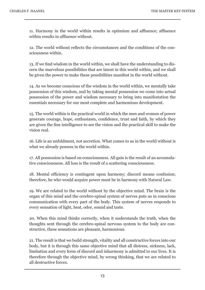11. Harmony in the world within results in optimism and affluence; affluence within results in affluence without.

12. The world without reflects the circumstances and the conditions of the consciousness within.

13. If we find wisdom in the world within, we shall have the understanding to discern the marvelous possibilities that are latent in this world within, and we shall be given the power to make these possibilities manifest in the world without.

14. As we become conscious of the wisdom in the world within, we mentally take possession of this wisdom, and by taking mental possession we come into actual possession of the power and wisdom necessary to bring into manifestation the essentials necessary for our most complete and harmonious development.

15. The world within is the practical world in which the men and women of power generate courage, hope, enthusiasm, confidence, trust and faith, by which they are given the fine intelligence to see the vision and the practical skill to make the vision real.

16. Life is an unfoldment, not accretion. What comes to us in the world without is what we already possess in the world within.

17. All possession is based on consciousness. All gain is the result of an accumulative consciousness. All loss is the result of a scattering consciousness.

18. Mental efficiency is contingent upon harmony; discord means confusion; therefore, he who would acquire power must be in harmony with Natural Law.

19. We are related to the world without by the objective mind. The brain is the organ of this mind and the cerebro-spinal system of nerves puts us in conscious communication with every part of the body. This system of nerves responds to every sensation of light, heat, odor, sound and taste.

20. When this mind thinks correctly, when it understands the truth, when the thoughts sent through the cerebro-spinal nervous system to the body are constructive, these sensations are pleasant, harmonious.

21. The result is that we build strength, vitality and all constructive forces into our body, but it is through this same objective mind that all distress, sickness, lack, limitation and every form of discord and inharmony is admitted to our lives. It is therefore through the objective mind, by wrong thinking, that we are related to all destructive forces.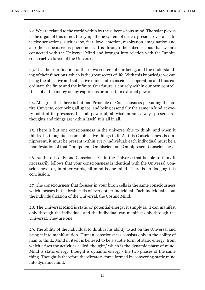22. We are related to the world within by the subconscious mind. The solar plexus is the organ of this mind; the sympathetic system of nerves presides over all subjective sensations, such as joy, fear, love, emotion, respiration, imagination and all other subconscious phenomena. It is through the subconscious that we are connected with the Universal Mind and brought into relation with the Infinite constructive forces of the Universe.

23. It is the coordination of these two centers of our being, and the understanding of their functions, which is the great secret of life. With this knowledge we can bring the objective and subjective minds into conscious cooperation and thus coordinate the finite and the infinite. Our future is entirely within our own control. It is not at the mercy of any capricious or uncertain external power.

24. All agree that there is but one Principle or Consciousness pervading the entire Universe, occupying all space, and being essentially the same in kind at every point of its presence. It is all powerful, all wisdom and always present. All thoughts and things are within Itself. It is all in all.

25. There is but one consciousness in the universe able to think; and when it thinks, its thoughts become objective things to it. As this Consciousness is omnipresent, it must be present within every individual; each individual must be a manifestation of that Omnipotent, Omniscient and Omnipresent Consciousness.

26. As there is only one Consciousness in the Universe that is able to think it necessarily follows that your consciousness is identical with the Universal Consciousness, or, in other words, all mind is one mind. There is no dodging this conclusion.

27. The consciousness that focuses in your brain cells is the same consciousness which focuses in the brain cells of every other individual. Each individual is but the individualization of the Universal, the Cosmic Mind.

28. The Universal Mind is static or potential energy; it simply is; it can manifest only through the individual, and the individual can manifest only through the Universal. They are one.

29. The ability of the individual to think is his ability to act on the Universal and bring it into manifestation. Human consciousness consists only in the ability of man to think. Mind in itself is believed to be a subtle form of static energy, from which arises the activities called 'thought,' which is the dynamic phase of mind. Mind is static energy, thought is dynamic energy - the two phases of the same thing. Thought is therefore the vibratory force formed by converting static mind into dynamic mind.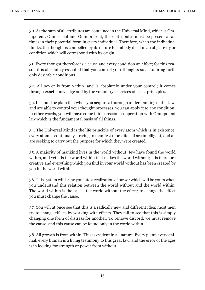30. As the sum of all attributes are contained in the Universal Mind, which is Omnipotent, Omniscient and Omnipresent, these attributes must be present at all times in their potential form in every individual. Therefore, when the individual thinks, the thought is compelled by its nature to embody itself in an objectivity or condition which will correspond with its origin.

31. Every thought therefore is a cause and every condition an effect; for this reason it is absolutely essential that you control your thoughts so as to bring forth only desirable conditions.

32. All power is from within, and is absolutely under your control; it comes through exact knowledge and by the voluntary exercises of exact principles.

33. It should be plain that when you acquire a thorough understanding of this law, and are able to control your thought processes, you can apply it to any condition; in other words, you will have come into conscious cooperation with Omnipotent law which is the fundamental basis of all things.

34. The Universal Mind is the life principle of every atom which is in existence; every atom is continually striving to manifest more life; all are intelligent, and all are seeking to carry out the purpose for which they were created.

35. A majority of mankind lives in the world without; few have found the world within, and yet it is the world within that makes the world without; it is therefore creative and everything which you find in your world without has been created by you in the world within.

36. This system will bring you into a realization of power which will be yours when you understand this relation between the world without and the world within. The world within is the cause, the world without the effect; to change the effect you must change the cause.

37. You will at once see that this is a radically new and different idea; most men try to change effects by working with effects. They fail to see that this is simply changing one form of distress for another. To remove discord, we must remove the cause, and this cause can be found only in the world within.

38. All growth is from within. This is evident in all nature. Every plant, every animal, every human is a living testimony to this great law, and the error of the ages is in looking for strength or power from without.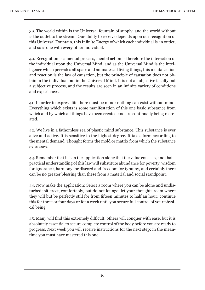39. The world within is the Universal fountain of supply, and the world without is the outlet to the stream. Our ability to receive depends upon our recognition of this Universal Fountain, this Infinite Energy of which each individual is an outlet, and so is one with every other individual.

40. Recognition is a mental process, mental action is therefore the interaction of the individual upon the Universal Mind, and as the Universal Mind is the intelligence which pervades all space and animates all living things, this mental action and reaction is the law of causation, but the principle of causation does not obtain in the individual but in the Universal Mind. It is not an objective faculty but a subjective process, and the results are seen in an infinite variety of conditions and experiences.

41. In order to express life there must be mind; nothing can exist without mind. Everything which exists is some manifestation of this one basic substance from which and by which all things have been created and are continually being recreated.

42. We live in a fathomless sea of plastic mind substance. This substance is ever alive and active. It is sensitive to the highest degree. It takes form according to the mental demand. Thought forms the mold or matrix from which the substance expresses.

43. Remember that it is in the application alone that the value consists, and that a practical understanding of this law will substitute abundance for poverty, wisdom for ignorance, harmony for discord and freedom for tyranny, and certainly there can be no greater blessing than these from a material and social standpoint.

44. Now make the application: Select a room where you can be alone and undisturbed; sit erect, comfortably, but do not lounge; let your thoughts roam where they will but be perfectly still for from fifteen minutes to half an hour; continue this for three or four days or for a week until you secure full control of your physical being.

45. Many will find this extremely difficult; others will conquer with ease, but it is absolutely essential to secure complete control of the body before you are ready to progress. Next week you will receive instructions for the next step; in the meantime you must have mastered this one.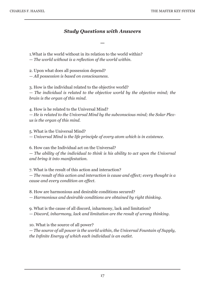#### *Study Questions with Answers*

*—*

1.What is the world without in its relation to the world within? — *The world without is a reflection of the world within.*

2. Upon what does all possession depend?

— *All possession is based on consciousness.*

3. How is the individual related to the objective world?

— *The individual is related to the objective world by the objective mind; the brain is the organ of this mind.*

4. How is he related to the Universal Mind?

— *He is related to the Universal Mind by the subconscious mind; the Solar Plexus is the organ of this mind.* 

5. What is the Universal Mind?

— *Universal Mind is the life principle of every atom which is in existence.*

6. How can the Individual act on the Universal?

— *The ability of the individual to think is his ability to act upon the Universal and bring it into manifestation.*

7. What is the result of this action and interaction?

— *The result of this action and interaction is cause and effect; every thought is a cause and every condition an effect.* 

8. How are harmonious and desirable conditions secured?

— *Harmonious and desirable conditions are obtained by right thinking.*

9. What is the cause of all discord, inharmony, lack and limitation?

— *Discord, inharmony, lack and limitation are the result of wrong thinking.*

10. What is the source of all power?

— *The source of all power is the world within, the Universal Fountain of Supply, the Infinite Energy of which each individual is an outlet.*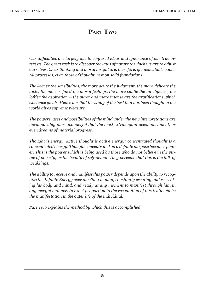## **PART TWO**

**—**

*Our difficulties are largely due to confused ideas and ignorance of our true interests. The great task is to discover the laws of nature to which we are to adjust ourselves. Clear thinking and moral insight are, therefore, of incalculable value. All processes, even those of thought, rest on solid foundations.* 

*The keener the sensibilities, the more acute the judgment, the more delicate the*  taste, the more refined the moral feelings, the more subtle the intelligence, the *loftier the aspiration -- the purer and more intense are the gratifications which existence yields. Hence it is that the study of the best that has been thought in the world gives supreme pleasure.* 

*The powers, uses and possibilities of the mind under the new interpretations are incomparably more wonderful that the most extravagant accomplishment, or even dreams of material progress.* 

*Thought is energy. Active thought is active energy; concentrated thought is a concentrated energy. Thought concentrated on a definite purpose becomes power. This is the power which is being used by those who do not believe in the virtue of poverty, or the beauty of self-denial. They perceive that this is the talk of weaklings.* 

*The ability to receive and manifest this power depends upon the ability to recognize the Infinite Energy ever dwelling in man, constantly creating and recreating his body and mind, and ready at any moment to manifest through him in any needful manner. In exact proportion to the recognition of this truth will be the manifestation in the outer life of the individual.* 

*Part Two explains the method by which this is accomplished.*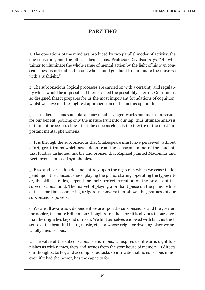#### *PART TWO*

*—*

1. The operations of the mind are produced by two parallel modes of activity, the one conscious, and the other subconscious. Professor Davidson says: "He who thinks to illuminate the whole range of mental action by the light of his own consciousness is not unlike the one who should go about to illuminate the universe with a rushlight."

2. The subconscious' logical processes are carried on with a certainty and regularity which would be impossible if there existed the possibility of error. Our mind is so designed that it prepares for us the most important foundations of cognition, whilst we have not the slightest apprehension of the modus operandi.

3. The subconscious soul, like a benevolent stranger, works and makes provision for our benefit, pouring only the mature fruit into our lap; thus ultimate analysis of thought processes shows that the subconscious is the theatre of the most important mental phenomena.

4. It is through the subconscious that Shakespeare must have perceived, without effort, great truths which are hidden from the conscious mind of the student; that Phidias fashioned marble and bronze; that Raphael painted Madonnas and Beethoven composed symphonies.

5. Ease and perfection depend entirely upon the degree in which we cease to depend upon the consciousness; playing the piano, skating, operating the typewriter, the skilled trades, depend for their perfect execution on the process of the sub-conscious mind. The marvel of playing a brilliant piece on the piano, while at the same time conducting a vigorous conversation, shows the greatness of our subconscious powers.

6. We are all aware how dependent we are upon the subconscious, and the greater, the nobler, the more brilliant our thoughts are, the more it is obvious to ourselves that the origin lies beyond our ken. We find ourselves endowed with tact, instinct, sense of the beautiful in art, music, etc., or whose origin or dwelling place we are wholly unconscious.

7. The value of the subconscious is enormous; it inspires us; it warns us; it furnishes us with names, facts and scenes from the storehouse of memory. It directs our thoughts, tastes, and accomplishes tasks so intricate that no conscious mind, even if it had the power, has the capacity for.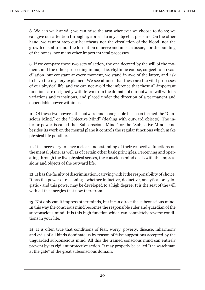8. We can walk at will; we can raise the arm whenever we choose to do so; we can give our attention through eye or ear to any subject at pleasure. On the other hand, we cannot stop our heartbeats nor the circulation of the blood, nor the growth of stature, nor the formation of nerve and muscle tissue, nor the building of the bones, nor many other important vital processes.

9. If we compare these two sets of action, the one decreed by the will of the moment, and the other proceeding in majestic, rhythmic course, subject to no vascillation, but constant at every moment, we stand in awe of the latter, and ask to have the mystery explained. We see at once that these are the vital processes of our physical life, and we can not avoid the inference that these all-important functions are designedly withdrawn from the domain of our outward will with its variations and transitions, and placed under the direction of a permanent and dependable power within us.

10. Of these two powers, the outward and changeable has been termed the "Conscious Mind," or the "Objective Mind" (dealing with outward objects). The interior power is called the "Subconscious Mind," or the "Subjective Mind," and besides its work on the mental plane it controls the regular functions which make physical life possible.

11. It is necessary to have a clear understanding of their respective functions on the mental plane, as well as of certain other basic principles. Perceiving and operating through the five physical senses, the conscious mind deals with the impressions and objects of the outward life.

12. It has the faculty of discrimination, carrying with it the responsibility of choice. It has the power of reasoning - whether inductive, deductive, analytical or syllogistic - and this power may be developed to a high degree. It is the seat of the will with all the energies that flow therefrom.

13. Not only can it impress other minds, but it can direct the subconscious mind. In this way the conscious mind becomes the responsible ruler and guardian of the subconscious mind. It is this high function which can completely reverse conditions in your life.

14. It is often true that conditions of fear, worry, poverty, disease, inharmony and evils of all kinds dominate us by reason of false suggestions accepted by the unguarded subconscious mind. All this the trained conscious mind can entirely prevent by its vigilant protective action. It may properly be called "the watchman at the gate" of the great subconscious domain.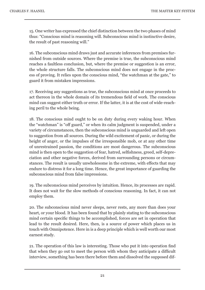15. One writer has expressed the chief distinction between the two phases of mind thus: "Conscious mind is reasoning will. Subconscious mind is instinctive desire, the result of past reasoning will."

16. The subconscious mind draws just and accurate inferences from premises furnished from outside sources. Where the premise is true, the subconscious mind reaches a faultless conclusion, but, where the premise or suggestion is an error, the whole structure falls. The subconscious mind does not engage in the process of proving. It relies upon the conscious mind, "the watchman at the gate," to guard it from mistaken impressions.

17. Receiving any suggestions as true, the subconscious mind at once proceeds to act thereon in the whole domain of its tremendous field of work. The conscious mind can suggest either truth or error. If the latter, it is at the cost of wide-reaching peril to the whole being.

18. The conscious mind ought to be on duty during every waking hour. When the "watchman" is "off guard," or when its calm judgment is suspended, under a variety of circumstances, then the subconscious mind is unguarded and left open to suggestion from all sources. During the wild excitement of panic, or during the height of anger, or the impulses of the irresponsible mob, or at any other time of unrestrained passion, the conditions are most dangerous. The subconscious mind is then open to the suggestion of fear, hatred, selfishness, greed, self-depreciation and other negative forces, derived from surrounding persons or circumstances. The result is usually unwholesome in the extreme, with effects that may endure to distress it for a long time. Hence, the great importance of guarding the subconscious mind from false impressions.

19. The subconscious mind perceives by intuition. Hence, its processes are rapid. It does not wait for the slow methods of conscious reasoning. In fact, it can not employ them.

20. The subconscious mind never sleeps, never rests, any more than does your heart, or your blood. It has been found that by plainly stating to the subconscious mind certain specific things to be accomplished, forces are set in operation that lead to the result desired. Here, then, is a source of power which places us in touch with Omnipotence. Here in is a deep principle which is well worth our most earnest study.

21. The operation of this law is interesting. Those who put it into operation find that when they go out to meet the person with whom they anticipate a difficult interview, something has been there before them and dissolved the supposed dif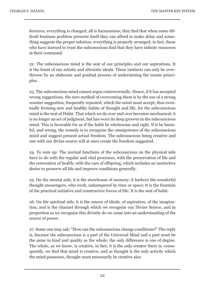ferences; everything is changed; all is harmonious; they find that when some difficult business problem presents itself they can afford to make delay and something suggests the proper solution; everything is properly arranged; in fact, those who have learned to trust the subconscious find that they have infinite resources at their command.

22. The subconscious mind is the seat of our principles and our aspirations. It is the fount of our artistic and altruistic ideals. These instincts can only be overthrown by an elaborate and gradual process of undermining the innate principles.

23. The subconscious mind cannot argue controversially. Hence, if it has accepted wrong suggestions, the sure method of overcoming them is by the use of a strong counter suggestion, frequently repeated, which the mind must accept, thus eventually forming new and healthy habits of thought and life, for the subconscious mind is the seat of Habit. That which we do over and over becomes mechanical; it is no longer an act of judgment, but has worn its deep grooves in the subconscious mind. This is favorable for us if the habit be wholesome and right. If it be harmful, and wrong, the remedy is to recognize the omnipotence of the subconscious mind and suggest present actual freedom. The subconscious being creative and one with our divine source will at once create the freedom suggested.

24. To sum up: The normal functions of the subconscious on the physical side have to do with the regular and vital processes, with the preservation of life and the restoration of health; with the care of offspring, which includes an instinctive desire to preserve all life and improve conditions generally.

25. On the mental side, it is the storehouse of memory; it harbors the wonderful thought messengers, who work, unhampered by time or space; it is the fountain of the practical initiative and constructive forces of life: It is the seat of habit.

26. On the spiritual side, it is the source of ideals, of aspiration, of the imagination, and is the channel through which we recognize our Divine Source, and in proportion as we recognize this divinity do we come into an understanding of the source of power.

27. Some one may ask: "How can the subconscious change conditions?" The reply is, because the subconscious is a part of the Universal Mind and a part must be the same in kind and quality as the whole; the only difference is one of degree. The whole, as we know, is creative, in fact, it is the only creator there is, consequently, we find that mind is creative, and as thought is the only activity which the mind possesses, thought must necessarily be creative also.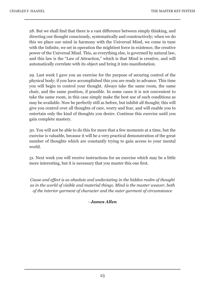28. But we shall find that there is a vast difference between simply thinking, and directing our thought consciously, systematically and constructively; when we do this we place our mind in harmony with the Universal Mind, we come in tune with the Infinite, we set in operation the mightiest force in existence, the creative power of the Universal Mind. This, as everything else, is governed by natural law, and this law is the "Law of Attraction," which is that Mind is creative, and will automatically correlate with its object and bring it into manifestation.

29. Last week I gave you an exercise for the purpose of securing control of the physical body; if you have accomplished this you are ready to advance. This time you will begin to control your thought. Always take the same room, the same chair, and the same position, if possible. In some cases it is not convenient to take the same room, in this case simply make the best use of such conditions as may be available. Now be perfectly still as before, but inhibit all thought; this will give you control over all thoughts of care, worry and fear, and will enable you to entertain only the kind of thoughts you desire. Continue this exercise until you gain complete mastery.

30. You will not be able to do this for more that a few moments at a time, but the exercise is valuable, because it will be a very practical demonstration of the great number of thoughts which are constantly trying to gain access to your mental world.

31. Next week you will receive instructions for an exercise which may be a little more interesting, but it is necessary that you master this one first.

*Cause and effect is as absolute and undeviating in the hidden realm of thought as in the world of visible and material things. Mind is the master weaver, both of the interior garment of character and the outer garment of circumstance*

*- James Allen*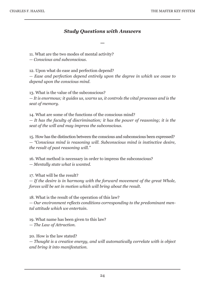#### *Study Questions with Answers*

*—*

11. What are the two modes of mental activity?

*— Conscious and subconscious.*

12. Upon what do ease and perfection depend? *— Ease and perfection depend entirely upon the degree in which we cease to depend upon the conscious mind.*

13. What is the value of the subconscious? *— It is enormous; it guides us, warns us, it controls the vital processes and is the seat of memory.*

14. What are some of the functions of the conscious mind? *— It has the faculty of discrimination; it has the power of reasoning; it is the seat of the will and may impress the subconscious.*

15. How has the distinction between the conscious and subconscious been expressed? *— "Conscious mind is reasoning will. Subconscious mind is instinctive desire, the result of past reasoning will."*

16. What method is necessary in order to impress the subconscious? *— Mentally state what is wanted.* 

17. What will be the result?

*— If the desire is in harmony with the forward movement of the great Whole, forces will be set in motion which will bring about the result.* 

18. What is the result of the operation of this law? *— Our environment reflects conditions corresponding to the predominant mental attitude which we entertain.* 

19. What name has been given to this law? *— The Law of Attraction.*

20. How is the law stated?

*— Thought is a creative energy, and will automatically correlate with is object and bring it into manifestation.*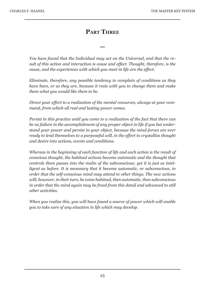# **PART THREE**

**—**

*You have found that the Individual may act on the Universal, and that the result of this action and interaction is cause and effect. Thought, therefore, is the cause, and the experiences with which you meet in life are the effect.* 

*Eliminate, therefore, any possible tendency to complain of conditions as they have been, or as they are, because it rests with you to change them and make them what you would like them to be.* 

*Direct your effort to a realization of the mental resources, always at your command, from which all real and lasting power comes.* 

*Persist in this practice until you come to a realization of the fact that there can be no failure in the accomplishment of any proper object in life if you but understand your power and persist in your object, because the mind-forces are ever ready to lend themselves to a purposeful will, in the effort to crystallize thought and desire into actions, events and conditions.* 

*Whereas in the beginning of each function of life and each action is the result of conscious thought, the habitual actions become automatic and the thought that controls them passes into the realm of the subconscious; yet it is just as intelligent as before. It is necessary that it become automatic, or subconscious, in order that the self-conscious mind may attend to other things. The new actions will, however, in their turn, be come habitual, then automatic, then subconscious in order that the mind again may be freed from this detail and advanced to still other activities.* 

*When you realize this, you will have found a source of power which will enable you to take care of any situation in life which may develop.*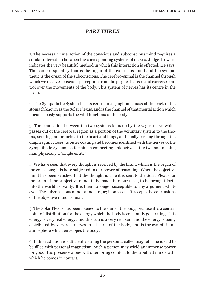#### *PART THREE*

*—*

1. The necessary interaction of the conscious and subconscious mind requires a similar interaction between the corresponding systems of nerves. Judge Troward indicates the very beautiful method in which this interaction is effected. He says: The cerebro-spinal system is the organ of the conscious mind and the sympathetic is the organ of the subconscious. The cerebro-spinal is the channel through which we receive conscious perception from the physical senses and exercise control over the movements of the body. This system of nerves has its centre in the brain.

2. The Sympathetic System has its centre in a ganglionic mass at the back of the stomach known as the Solar Plexus, and is the channel of that mental action which unconsciously supports the vital functions of the body.

3. The connection between the two systems is made by the vagus nerve which passes out of the cerebral region as a portion of the voluntary system to the thorax, sending out branches to the heart and lungs, and finally passing through the diaphragm, it loses its outer coating and becomes identified with the nerves of the Sympathetic System, so forming a connecting link between the two and making man physically a "single entity".

4. We have seen that every thought is received by the brain, which is the organ of the conscious; it is here subjected to our power of reasoning. When the objective mind has been satisfied that the thought is true it is sent to the Solar Plexus, or the brain of the subjective mind, to be made into our flesh, to be brought forth into the world as reality. It is then no longer susceptible to any argument whatever. The subconscious mind cannot argue; it only acts. It accepts the conclusions of the objective mind as final.

5. The Solar Plexus has been likened to the sum of the body, because it is a central point of distribution for the energy which the body is constantly generating. This energy is very real energy, and this sun is a very real sun, and the energy is being distributed by very real nerves to all parts of the body, and is thrown off in an atmosphere which envelopes the body.

6. If this radiation is sufficiently strong the person is called magnetic; he is said to be filled with personal magnetism. Such a person may wield an immense power for good. His presence alone will often bring comfort to the troubled minds with which he comes in contact.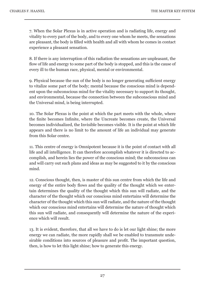7. When the Solar Plexus is in active operation and is radiating life, energy and vitality to every part of the body, and to every one whom he meets, the sensations are pleasant, the body is filled with health and all with whom he comes in contact experience a pleasant sensation.

8. If there is any interruption of this radiation the sensations are unpleasant, the flow of life and energy to some part of the body is stopped, and this is the cause of every ill to the human race, physical, mental or environmental.

9. Physical because the sun of the body is no longer generating sufficient energy to vitalize some part of the body; mental because the conscious mind is dependent upon the subconscious mind for the vitality necessary to support its thought, and environmental, because the connection between the subconscious mind and the Universal mind, is being interrupted.

10. The Solar Plexus is the point at which the part meets with the whole, where the finite becomes Infinite, where the Uncreate becomes create, the Universal becomes individualized, the Invisible becomes visible. It is the point at which life appears and there is no limit to the amount of life an individual may generate from this Solar centre.

11. This centre of energy is Omnipotent because it is the point of contact with all life and all intelligence. It can therefore accomplish whatever it is directed to accomplish, and herein lies the power of the conscious mind; the subconscious can and will carry out such plans and ideas as may be suggested to it by the conscious mind.

12. Conscious thought, then, is master of this sun centre from which the life and energy of the entire body flows and the quality of the thought which we entertain determines the quality of the thought which this sun will radiate, and the character of the thought which our conscious mind entertains will determine the character of the thought which this sun will radiate, and the nature of the thought which our conscious mind entertains will determine the nature of thought which this sun will radiate, and consequently will determine the nature of the experience which will result.

13. It is evident, therefore, that all we have to do is let our light shine; the more energy we can radiate, the more rapidly shall we be enabled to transmute undesirable conditions into sources of pleasure and profit. The important question, then, is how to let this light shine; how to generate this energy.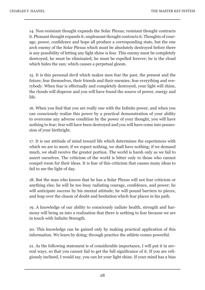14. Non-resistant thought expands the Solar Plexus; resistant thought contracts it. Pleasant thought expands it; unpleasant thought contracts it. Thoughts of courage, power, confidence and hope all produce a corresponding state, but the one arch enemy of the Solar Plexus which must be absolutely destroyed before there is any possibility of letting any light shine is fear. This enemy must be completely destroyed; he must be eliminated; he must be expelled forever; he is the cloud which hides the sun; which causes a perpetual gloom.

15. It is this personal devil which makes men fear the past, the present and the future; fear themselves, their friends and their enemies; fear everything and everybody. When fear is effectually and completely destroyed, your light will shine, the clouds will disperse and you will have found the source of power, energy and life.

16. When you find that you are really one with the Infinite power, and when you can consciously realize this power by a practical demonstration of your ability to overcome any adverse condition by the power of your thought, you will have nothing to fear; fear will have been destroyed and you will have come into possession of your birthright.

17. It is our attitude of mind toward life which determines the experiences with which we are to meet; if we expect nothing, we shall have nothing; if we demand much, we shall receive the greater portion. The world is harsh only as we fail to assert ourselves. The criticism of the world is bitter only to those who cannot compel room for their ideas. It is fear of this criticism that causes many ideas to fail to see the light of day.

18. But the man who knows that he has a Solar Plexus will not fear criticism or anything else; he will be too busy radiating courage, confidence, and power; he will anticipate success by his mental attitude; he will pound barriers to pieces, and leap over the chasm of doubt and hesitation which fear places in his path.

19. A knowledge of our ability to consciously radiate health, strength and harmony will bring us into a realization that there is nothing to fear because we are in touch with Infinite Strength.

20. This knowledge can be gained only by making practical application of this information. We learn by doing; through practice the athlete comes powerful.

21. As the following statement is of considerable importance, I will put it in several ways, so that you cannot fail to get the full significance of it. If you are religiously inclined, I would say, you can let your light shine. If your mind has a bias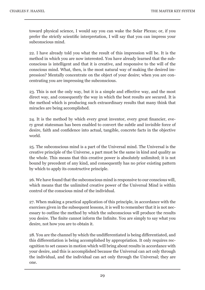toward physical science, I would say you can wake the Solar Plexus; or, if you prefer the strictly scientific interpretation, I will say that you can impress your subconscious mind.

22. I have already told you what the result of this impression will be. It is the method in which you are now interested. You have already learned that the subconscious is intelligent and that it is creative, and responsive to the will of the conscious mind. What, then, is the most natural way of making the desired impression? Mentally concentrate on the object of your desire; when you are concentrating you are impressing the subconscious.

23. This is not the only way, but it is a simple and effective way, and the most direct way, and consequently the way in which the best results are secured. It is the method which is producing such extraordinary results that many think that miracles are being accomplished.

24. It is the method by which every great inventor, every great financier, every great statesman has been enabled to convert the subtle and invisible force of desire, faith and confidence into actual, tangible, concrete facts in the objective world.

25. The subconscious mind is a part of the Universal mind. The Universal is the creative principle of the Universe, a part must be the same in kind and quality as the whole. This means that this creative power is absolutely unlimited; it is not bound by precedent of any kind, and consequently has no prior existing pattern by which to apply its constructive principle.

26. We have found that the subconscious mind is responsive to our conscious will, which means that the unlimited creative power of the Universal Mind is within control of the conscious mind of the individual.

27. When making a practical application of this principle, in accordance with the exercises given in the subsequent lessons, it is well to remember that it is not necessary to outline the method by which the subconscious will produce the results you desire. The finite cannot inform the Infinite. You are simply to say what you desire, not how you are to obtain it.

28. You are the channel by which the undifferentiated is being differentiated, and this differentiation is being accomplished by appropriation. It only requires recognition to set causes in motion which will bring about results in accordance with your desire, and this is accomplished because the Universal can act only through the individual, and the individual can act only through the Universal; they are one.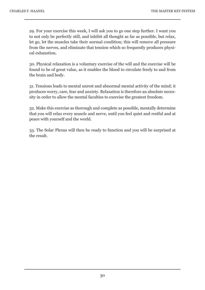29. For your exercise this week, I will ask you to go one step further. I want you to not only be perfectly still, and inhibit all thought as far as possible, but relax, let go, let the muscles take their normal condition; this will remove all pressure from the nerves, and eliminate that tension which so frequently produces physical exhaustion.

30. Physical relaxation is a voluntary exercise of the will and the exercise will be found to be of great value, as it enables the blood to circulate freely to and from the brain and body.

31. Tensions leads to mental unrest and abnormal mental activity of the mind; it produces worry, care, fear and anxiety. Relaxation is therefore an absolute necessity in order to allow the mental faculties to exercise the greatest freedom.

32. Make this exercise as thorough and complete as possible, mentally determine that you will relax every muscle and nerve, until you feel quiet and restful and at peace with yourself and the world.

33. The Solar Plexus will then be ready to function and you will be surprised at the result.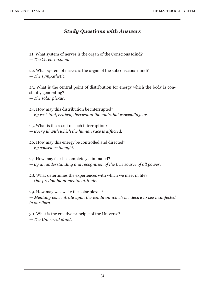#### *Study Questions with Answers*

*—*

21. What system of nerves is the organ of the Conscious Mind? *— The Cerebro-spinal.*

22. What system of nerves is the organ of the subconscious mind? *— The sympathetic.*

23. What is the central point of distribution for energy which the body is constantly generating?

*— The solar plexus.*

24. How may this distribution be interrupted? *— By resistant, critical, discordant thoughts, but especially fear.*

25. What is the result of such interruption? *— Every ill with which the human race is afflicted.*

26. How may this energy be controlled and directed? *— By conscious thought.*

27. How may fear be completely eliminated? *— By an understanding and recognition of the true source of all power.*

28. What determines the experiences with which we meet in life? *— Our predominant mental attitude.*

29. How may we awake the solar plexus? *— Mentally concentrate upon the condition which we desire to see manifested in our lives.* 

30. What is the creative principle of the Universe? *— The Universal Mind.*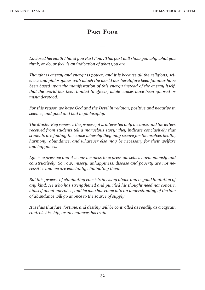## **PART FOUR**

*Enclosed herewith I hand you Part Four. This part will show you why what you think, or do, or feel, is an indication of what you are.* 

**—**

*Thought is energy and energy is power, and it is because all the religions, sciences and philosophies with which the world has heretofore been familiar have*  been based upon the manifestation of this energy instead of the energy itself, *that the world has been limited to effects, while causes have been ignored or misunderstood.* 

*For this reason we have God and the Devil in religion, positive and negative in science, and good and bad in philosophy.* 

*The Master Key reverses the process; it is interested only in cause, and the letters received from students tell a marvelous story; they indicate conclusively that students are finding the cause whereby they may secure for themselves health, harmony, abundance, and whatever else may be necessary for their welfare and happiness.* 

*Life is expressive and it is our business to express ourselves harmoniously and constructively. Sorrow, misery, unhappiness, disease and poverty are not necessities and we are constantly eliminating them.* 

*But this process of eliminating consists in rising above and beyond limitation of any kind. He who has strengthened and purified his thought need not concern himself about microbes, and he who has come into an understanding of the law of abundance will go at once to the source of supply.* 

*It is thus that fate, fortune, and destiny will be controlled as readily as a captain controls his ship, or an engineer, his train.*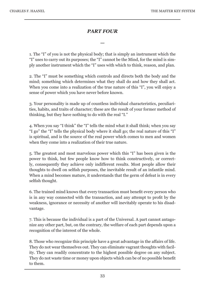#### *PART FOUR*

*—*

1. The "I" of you is not the physical body; that is simply an instrument which the "I" uses to carry out its purposes; the "I" cannot be the Mind, for the mind is simply another instrument which the "I" uses with which to think, reason, and plan.

2. The "I" must be something which controls and directs both the body and the mind; something which determines what they shall do and how they shall act. When you come into a realization of the true nature of this "I", you will enjoy a sense of power which you have never before known.

3. Your personality is made up of countless individual characteristics, peculiarities, habits, and traits of character; these are the result of your former method of thinking, but they have nothing to do with the real "I."

4. When you say "I think" the "I" tells the mind what it shall think; when you say "I go" the "I" tells the physical body where it shall go; the real nature of this "I" is spiritual, and is the source of the real power which comes to men and women when they come into a realization of their true nature.

5. The greatest and most marvelous power which this "I" has been given is the power to think, but few people know how to think constructively, or correctly, consequently they achieve only indifferent results. Most people allow their thoughts to dwell on selfish purposes, the inevitable result of an infantile mind. When a mind becomes mature, it understands that the germ of defeat is in every selfish thought.

6. The trained mind knows that every transaction must benefit every person who is in any way connected with the transaction, and any attempt to profit by the weakness, ignorance or necessity of another will inevitably operate to his disadvantage.

7. This is because the individual is a part of the Universal. A part cannot antagonize any other part, but, on the contrary, the welfare of each part depends upon a recognition of the interest of the whole.

8. Those who recognize this principle have a great advantage in the affairs of life. They do not wear themselves out. They can eliminate vagrant thoughts with facility. They can readily concentrate to the highest possible degree on any subject. They do not waste time or money upon objects which can be of no possible benefit to them.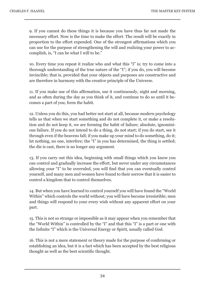9. If you cannot do these things it is because you have thus far not made the necessary effort. Now is the time to make the effort. The result will be exactly in proportion to the effort expended. One of the strongest affirmations which you can use for the purpose of strengthening the will and realizing your power to accomplish, is, "I can be what I will to be."

10. Every time you repeat it realize who and what this "I" is; try to come into a thorough understanding of the true nature of the "I"; if you do, you will become invincible; that is, provided that your objects and purposes are constructive and are therefore in harmony with the creative principle of the Universe.

11. If you make use of this affirmation, use it continuously, night and morning, and as often during the day as you think of it, and continue to do so until it becomes a part of you; form the habit.

12. Unless you do this, you had better not start at all, because modern psychology tells us that when we start something and do not complete it, or make a resolution and do not keep it, we are forming the habit of failure; absolute, ignominious failure. If you do not intend to do a thing, do not start; if you do start, see it through even if the heavens fall; if you make up your mind to do something, do it; let nothing, no one, interfere; the "I" in you has determined, the thing is settled; the die is cast, there is no longer any argument.

13. If you carry out this idea, beginning with small things which you know you can control and gradually increase the effort, but never under any circumstances allowing your "I" to be overruled, you will find that you can eventually control yourself, and many men and women have found to their sorrow that it is easier to control a kingdom that to control themselves.

14. But when you have learned to control yourself you will have found the "World Within" which controls the world without; you will have become irresistible; men and things will respond to your every wish without any apparent effort on your part.

15. This is not so strange or impossible as it may appear when you remember that the "World Within" is controlled by the "I" and that this "I" is a part or one with the Infinite "I" which is the Universal Energy or Spirit, usually called God.

16. This is not a mere statement or theory made for the purpose of confirming or establishing an idea, but it is a fact which has been accepted by the best religious thought as well as the best scientific thought.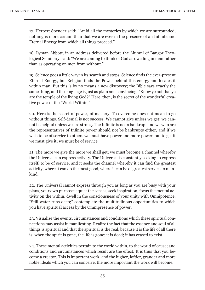17. Herbert Spender said: "Amid all the mysteries by which we are surrounded, nothing is more certain than that we are ever in the presence of an Infinite and Eternal Energy from which all things proceed."

18. Lyman Abbott, in an address delivered before the Alumni of Bangor Theological Seminary, said: "We are coming to think of God as dwelling in man rather than as operating on men from without."

19. Science goes a little way in its search and stops. Science finds the ever-present Eternal Energy, but Religion finds the Power behind this energy and locates it within man. But this is by no means a new discovery; the Bible says exactly the same thing, and the language is just as plain and convincing: "Know ye not that ye are the temple of the living God?" Here, then, is the secret of the wonderful creative power of the "World Within."

20. Here is the secret of power, of mastery. To overcome does not mean to go without things. Self-denial is not success. We cannot give unless we get; we cannot be helpful unless we are strong. The Infinite is not a bankrupt and we who are the representatives of Infinite power should not be bankrupts either, and if we wish to be of service to others we must have power and more power, but to get it we must give it; we must be of service.

21. The more we give the more we shall get; we must become a channel whereby the Universal can express activity. The Universal is constantly seeking to express itself, to be of service, and it seeks the channel whereby it can find the greatest activity, where it can do the most good, where it can be of greatest service to mankind.

22. The Universal cannot express through you as long as you are busy with your plans, your own purposes; quiet the senses, seek inspiration, focus the mental activity on the within, dwell in the consciousness of your unity with Omnipotence. "Still water runs deep;" contemplate the multitudinous opportunities to which you have spiritual access by the Omnipresence of power.

23. Visualize the events, circumstances and conditions which these spiritual connections may assist in manifesting. Realize the fact that the essence and soul of all things is spiritual and that the spiritual is the real, because it is the life of all there is; when the spirit is gone, the life is gone; it is dead; it has ceased to exist.

24. These mental activities pertain to the world within, to the world of cause; and conditions and circumstances which result are the effect. It is thus that you become a creator. This is important work, and the higher, loftier, grander and more noble ideals which you can conceive, the more important the work will become.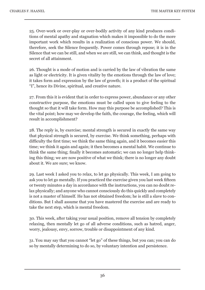25. Over-work or over-play or over-bodily activity of any kind produces conditions of mental apathy and stagnation which makes it impossible to do the more important work which results in a realization of conscious power. We should, therefore, seek the Silence frequently. Power comes through repose; it is in the Silence that we can be still, and when we are still, we can think, and thought is the secret of all attainment.

26. Thought is a mode of motion and is carried by the law of vibration the same as light or electricity. It is given vitality by the emotions through the law of love; it takes form and expression by the law of growth; it is a product of the spiritual "I", hence its Divine, spiritual, and creative nature.

27. From this it is evident that in order to express power, abundance or any other constructive purpose, the emotions must be called upon to give feeling to the thought so that it will take form. How may this purpose be accomplished? This is the vital point; how may we develop the faith, the courage, the feeling, which will result in accomplishment?

28. The reply is, by exercise; mental strength is secured in exactly the same way that physical strength is secured, by exercise. We think something, perhaps with difficulty the first time; we think the same thing again, and it becomes easier this time; we think it again and again; it then becomes a mental habit. We continue to think the same thing; finally it becomes automatic; we can no longer help thinking this thing; we are now positive of what we think; there is no longer any doubt about it. We are sure; we know.

29. Last week I asked you to relax, to let go physically. This week, I am going to ask you to let go mentally. If you practiced the exercise given you last week fifteen or twenty minutes a day in accordance with the instructions, you can no doubt relax physically; and anyone who cannot consciously do this quickly and completely is not a master of himself. He has not obtained freedom; he is still a slave to conditions. But I shall assume that you have mastered the exercise and are ready to take the next step, which is mental freedom.

30. This week, after taking your usual position, remove all tension by completely relaxing, then mentally let go of all adverse conditions, such as hatred, anger, worry, jealousy, envy, sorrow, trouble or disappointment of any kind.

31. You may say that you cannot "let go" of these things, but you can; you can do so by mentally determining to do so, by voluntary intention and persistence.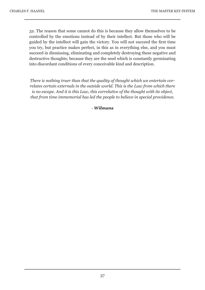32. The reason that some cannot do this is because they allow themselves to be controlled by the emotions instead of by their intellect. But those who will be guided by the intellect will gain the victory. You will not succeed the first time you try, but practice makes perfect, in this as in everything else, and you must succeed in dismissing, eliminating and completely destroying these negative and destructive thoughts; because they are the seed which is constantly germinating into discordant conditions of every conceivable kind and description.

*There is nothing truer than that the quality of thought which we entertain correlates certain externals in the outside world. This is the Law from which there is no escape. And it is this Law, this correlative of the thought with its object, that from time immemorial has led the people to believe in special providence.*

*- Wilmans*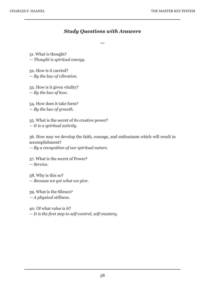### *Study Questions with Answers*

*—*

31. What is thought? *— Thought is spiritual energy.*

32. How is it carried? *— By the law of vibration.* 

33. How is it given vitality? *— By the law of love.*

34. How does it take form? *— By the law of growth.*

35. What is the secret of its creative power? *— It is a spiritual activity.*

36. How may we develop the faith, courage, and enthusiasm which will result in accomplishment?

*— By a recognition of our spiritual nature.* 

37. What is the secret of Power? *— Service.*

38. Why is this so? *— Because we get what we give.* 

39. What is the Silence? *— A physical stillness.*

40. Of what value is it? *— It is the first step to self-control, self-mastery.*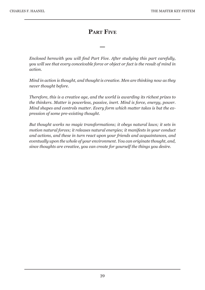## **PART FIVE**

*Enclosed herewith you will find Part Five. After studying this part carefully, you will see that every conceivable force or object or fact is the result of mind in action.* 

**—**

*Mind in action is thought, and thought is creative. Men are thinking now as they never thought before.* 

*Therefore, this is a creative age, and the world is awarding its richest prizes to the thinkers. Matter is powerless, passive, inert. Mind is force, energy, power. Mind shapes and controls matter. Every form which matter takes is but the expression of some pre-existing thought.* 

*But thought works no magic transformations; it obeys natural laws; it sets in motion natural forces; it releases natural energies; it manifests in your conduct and actions, and these in turn react upon your friends and acquaintances, and eventually upon the whole of your environment. You can originate thought, and, since thoughts are creative, you can create for yourself the things you desire.*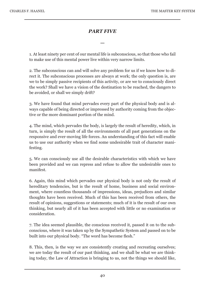#### *PART FIVE*

*—*

1. At least ninety per cent of our mental life is subconscious, so that those who fail to make use of this mental power live within very narrow limits.

2. The subconscious can and will solve any problem for us if we know how to direct it. The subconscious processes are always at work; the only question is, are we to be simply passive recipients of this activity, or are we to consciously direct the work? Shall we have a vision of the destination to be reached, the dangers to be avoided, or shall we simply drift?

3. We have found that mind pervades every part of the physical body and is always capable of being directed or impressed by authority coming from the objective or the more dominant portion of the mind.

4. The mind, which pervades the body, is largely the result of heredity, which, in turn, is simply the result of all the environments of all past generations on the responsive and ever-moving life forces. An understanding of this fact will enable us to use our authority when we find some undesirable trait of character manifesting.

5. We can consciously use all the desirable characteristics with which we have been provided and we can repress and refuse to allow the undesirable ones to manifest.

6. Again, this mind which pervades our physical body is not only the result of hereditary tendencies, but is the result of home, business and social environment, where countless thousands of impressions, ideas, prejudices and similar thoughts have been received. Much of this has been received from others, the result of opinions, suggestions or statements; much of it is the result of our own thinking, but nearly all of it has been accepted with little or no examination or consideration.

7. The idea seemed plausible, the conscious received it, passed it on to the subconscious, where it was taken up by the Sympathetic System and passed on to be built into our physical body. "The word has become flesh."

8. This, then, is the way we are consistently creating and recreating ourselves; we are today the result of our past thinking, and we shall be what we are thinking today, the Law of Attraction is bringing to us, not the things we should like,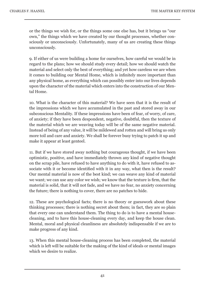or the things we wish for, or the things some one else has, but it brings us "our own," the things which we have created by our thought processes, whether consciously or unconsciously. Unfortunately, many of us are creating these things unconsciously.

9. If either of us were building a home for ourselves, how careful we would be in regard to the plans; how we should study every detail; how we should watch the material and select only the best of everything; and yet how careless we are when it comes to building our Mental Home, which is infinitely more important than any physical home, as everything which can possibly enter into our lives depends upon the character of the material which enters into the construction of our Mental Home.

10. What is the character of this material? We have seen that it is the result of the impressions which we have accumulated in the past and stored away in our subconscious Mentality. If these impressions have been of fear, of worry, of care, of anxiety; if they have been despondent, negative, doubtful, then the texture of the material which we are weaving today will be of the same negative material. Instead of being of any value, it will be mildewed and rotten and will bring us only more toil and care and anxiety. We shall be forever busy trying to patch it up and make it appear at least genteel.

11. But if we have stored away nothing but courageous thought, if we have been optimistic, positive, and have immediately thrown any kind of negative thought on the scrap pile, have refused to have anything to do with it, have refused to associate with it or become identified with it in any way, what then is the result? Our mental material is now of the best kind; we can weave any kind of material we want; we can use any color we wish; we know that the texture is firm, that the material is solid, that it will not fade, and we have no fear, no anxiety concerning the future; there is nothing to cover, there are no patches to hide.

12. These are psychological facts; there is no theory or guesswork about these thinking processes; there is nothing secret about them; in fact, they are so plain that every one can understand them. The thing to do is to have a mental housecleaning, and to have this house-cleaning every day, and keep the house clean. Mental, moral and physical cleanliness are absolutely indispensable if we are to make progress of any kind.

13. When this mental house-cleaning process has been completed, the material which is left will be suitable for the making of the kind of ideals or mental images which we desire to realize.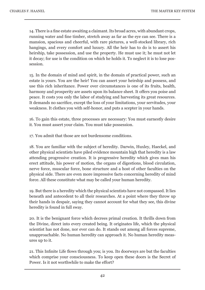14. There is a fine estate awaiting a claimant. Its broad acres, with abundant crops, running water and fine timber, stretch away as far as the eye can see. There is a mansion, spacious and cheerful, with rare pictures, a well-stocked library, rich hangings, and every comfort and luxury. All the heir has to do is to assert his heirship, take possession, and use the property. He must use it; he must not let it decay; for use is the condition on which he holds it. To neglect it is to lose possession.

15. In the domain of mind and spirit, in the domain of practical power, such an estate is yours. You are the heir! You can assert your heirship and possess, and use this rich inheritance. Power over circumstances is one of its fruits, health, harmony and prosperity are assets upon its balance sheet. It offers you poise and peace. It costs you only the labor of studying and harvesting its great resources. It demands no sacrifice, except the loss of your limitations, your servitudes, your weakness. It clothes you with self-honor, and puts a scepter in your hands.

16. To gain this estate, three processes are necessary: You must earnestly desire it. You must assert your claim. You must take possession.

17. You admit that those are not burdensome conditions.

18. You are familiar with the subject of heredity. Darwin, Huxley, Haeckel, and other physical scientists have piled evidence mountain high that heredity is a law attending progressive creation. It is progressive heredity which gives man his erect attitude, his power of motion, the organs of digestions, blood circulation, nerve force, muscular force, bone structure and a host of other faculties on the physical side. There are even more impressive facts concerning heredity of mind force. All these constitute what may be called your human heredity.

19. But there is a heredity which the physical scientists have not compassed. It lies beneath and antecedent to all their researches. At a point where they throw up their hands in despair, saying they cannot account for what they see, this divine heredity is found in full sway.

20. It is the benignant force which decrees primal creation. It thrills down from the Divine, direct into every created being. It originates life, which the physical scientist has not done, nor ever can do. It stands out among all forces supreme, unapproachable. No human heredity can approach it. No human heredity measures up to it.

21. This Infinite Life flows through you; is you. Its doorways are but the faculties which comprise your consciousness. To keep open these doors is the Secret of Power. Is it not worthwhile to make the effort?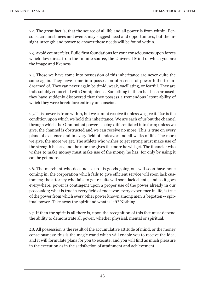22. The great fact is, that the source of all life and all power is from within. Persons, circumstances and events may suggest need and opportunities, but the insight, strength and power to answer these needs will be found within.

23. Avoid counterfeits. Build firm foundations for your consciousness upon forces which flow direct from the Infinite source, the Universal Mind of which you are the image and likeness.

24. Those we have come into possession of this inheritance are never quite the same again. They have come into possession of a sense of power hitherto undreamed of. They can never again be timid, weak, vacillating, or fearful. They are indissolubly connected with Omnipotence. Something in them has been aroused; they have suddenly discovered that they possess a tremendous latent ability of which they were heretofore entirely unconscious.

25. This power is from within, but we cannot receive it unless we give it. Use is the condition upon which we hold this inheritance. We are each of us but the channel through which the Omnipotent power is being differentiated into form; unless we give, the channel is obstructed and we can receive no more. This is true on every plane of existence and in every field of endeavor and all walks of life. The more we give, the more we get. The athlete who wishes to get strong must make use of the strength he has, and the more he gives the more he will get. The financier who wishes to make money must make use of the money he has, for only by using it can he get more.

26. The merchant who does not keep his goods going out will soon have none coming in; the corporation which fails to give efficient service will soon lack customers; the attorney who fails to get results will soon lack clients, and so it goes everywhere; power is contingent upon a proper use of the power already in our possession; what is true in every field of endeavor, every experience in life, is true of the power from which every other power known among men is begotten -- spiritual power. Take away the spirit and what is left? Nothing.

27. If then the spirit is all there is, upon the recognition of this fact must depend the ability to demonstrate all power, whether physical, mental or spiritual.

28. All possession is the result of the accumulative attitude of mind, or the money consciousness; this is the magic wand which will enable you to receive the idea, and it will formulate plans for you to execute, and you will find as much pleasure in the execution as in the satisfaction of attainment and achievement.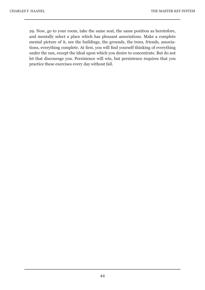29. Now, go to your room, take the same seat, the same position as heretofore, and mentally select a place which has pleasant associations. Make a complete mental picture of it, see the buildings, the grounds, the trees, friends, associations, everything complete. At first, you will find yourself thinking of everything under the sun, except the ideal upon which you desire to concentrate. But do not let that discourage you. Persistence will win, but persistence requires that you practice these exercises every day without fail.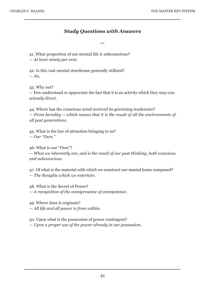### *Study Questions with Answers*

*—*

41. What proportion of our mental life is subconscious? *— At least ninety per cent.*

42. Is this vast mental storehouse generally utilized? *— No.*

43. Why not?

— Few understand or appreciate the fact that it is an activity which they may con*sciously direct.*

44. Where has the conscious mind received its governing tendencies? *— From heredity -- which means that it is the result of all the environments of all past generations.*

45. What is the law of attraction bringing to us? *— Our "Own."*

46. What is our "Own"? *— What we inherently are, and is the result of our past thinking, both conscious and subconscious.*

47. Of what is the material with which we construct our mental home composed? *— The thoughts which we entertain.*

48. What is the Secret of Power? *— A recognition of the omnipresence of omnipotence.* 

49. Where does it originate? *— All life and all power is from within.*

50. Upon what is the possession of power contingent? *— Upon a proper use of the power already in our possession.*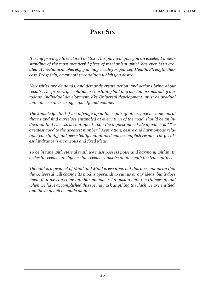## **PART SIX**

**—**

*It is my privilege to enclose Part Six. This part will give you an excellent understanding of the most wonderful piece of mechanism which has ever been created. A mechanism whereby you may create for yourself Health, Strength, Success, Prosperity or any other condition which you desire.* 

*Necessities are demands, and demands create action, and actions bring about results. The process of evolution is constantly building our tomorrows out of our todays. Individual development, like Universal development, must be gradual with an ever-increasing capacity and volume.* 

*The knowledge that if we infringe upon the rights of others, we become moral thorns and find ourselves entangled at every turn of the road, should be an indication that success is contingent upon the highest moral ideal, which is "The greatest good to the greatest number." Aspiration, desire and harmonious relations constantly and persistently maintained will accomplish results. The greatest hindrance is erroneous and fixed ideas.* 

*To be in tune with eternal truth we must possess poise and harmony within. In order to receive intelligence the receiver must be in tune with the transmitter.* 

*Thought is a product of Mind and Mind is creative, but this does not mean that the Universal will change its modus operandi to suit us or our ideas, but it does mean that we can come into harmonious relationship with the Universal, and when we have accomplished this we may ask anything to which we are entitled, and the way will be made plain.*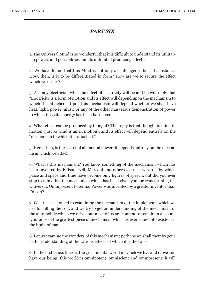#### *PART SIX*

*—*

1. The Universal Mind is so wonderful that it is difficult to understand its utilitarian powers and possibilities and its unlimited producing effects.

2. We have found that this Mind is not only all intelligence but all substance. How, then, is it to be differentiated in form? How are we to secure the effect which we desire?

3. Ask any electrician what the effect of electricity will be and he will reply that "Electricity is a form of motion and its effect will depend upon the mechanism to which it is attached." Upon this mechanism will depend whether we shall have heat, light, power, music or any of the other marvelous demonstration of power to which this vital energy has been harnessed.

4. What effect can be produced by thought? The reply is that thought is mind in motion (just as wind is air in motion), and its effect will depend entirely on the "mechanism to which it is attached."

5. Here, then, is the secret of all mental power; it depends entirely on the mechanism which we attach.

6. What is this mechanism? You know something of the mechanism which has been invented by Edison, Bell, Marconi and other electrical wizards, by which place and space and time have become only figures of speech, but did you ever stop to think that the mechanism which has been given you for transforming the Universal, Omnipresent Potential Power was invented by a greater inventor than Edison?

7. We are accustomed to examining the mechanism of the implements which we use for tilling the soil, and we try to get an understanding of the mechanism of the automobile which we drive, but most of us are content to remain in absolute ignorance of the greatest piece of mechanism which as ever come into existence, the brain of man.

8. Let us examine the wonders of this mechanism; perhaps we shall thereby get a better understanding of the various effects of which it is the cause.

9. In the first place, there is the great mental world in which we live and move and have our being; this world is omnipotent, omniscient and omnipresent; it will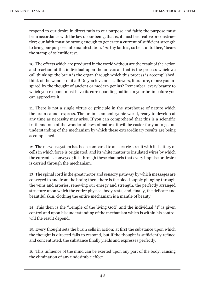respond to our desire in direct ratio to our purpose and faith; the purpose must be in accordance with the law of our being, that is, it must be creative or constructive; our faith must be strong enough to generate a current of sufficient strength to bring our purpose into manifestation. "As thy faith is, so be it unto thee," bears the stamp of scientific test.

10. The effects which are produced in the world without are the result of the action and reaction of the individual upon the universal; that is the process which we call thinking; the brain is the organ through which this process is accomplished; think of the wonder of it all! Do you love music, flowers, literature, or are you inspired by the thought of ancient or modern genius? Remember, every beauty to which you respond must have its corresponding outline in your brain before you can appreciate it.

11. There is not a single virtue or principle in the storehouse of nature which the brain cannot express. The brain is an embryonic world, ready to develop at any time as necessity may arise. If you can comprehend that this is a scientific truth and one of the wonderful laws of nature, it will be easier for you to get an understanding of the mechanism by which these extraordinary results are being accomplished.

12. The nervous system has been compared to an electric circuit with its battery of cells in which force is originated, and its white matter to insulated wires by which the current is conveyed; it is through these channels that every impulse or desire is carried through the mechanism.

13. The spinal cord is the great motor and sensory pathway by which messages are conveyed to and from the brain; then, there is the blood supply plunging through the veins and arteries, renewing our energy and strength, the perfectly arranged structure upon which the entire physical body rests, and, finally, the delicate and beautiful skin, clothing the entire mechanism is a mantle of beauty.

14. This then is the "Temple of the living God" and the individual "I" is given control and upon his understanding of the mechanism which is within his control will the result depend.

15. Every thought sets the brain cells in action; at first the substance upon which the thought is directed fails to respond, but if the thought is sufficiently refined and concentrated, the substance finally yields and expresses perfectly.

16. This influence of the mind can be exerted upon any part of the body, causing the elimination of any undesirable effect.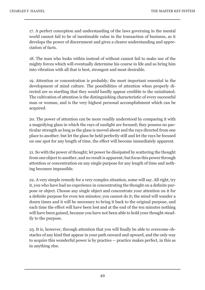17. A perfect conception and understanding of the laws governing in the mental world cannot fail to be of inestimable value in the transaction of business, as it develops the power of discernment and gives a clearer understanding and appreciation of facts.

18. The man who looks within instead of without cannot fail to make use of the mighty forces which will eventually determine his course in life and so bring him into vibration with all that is best, strongest and most desirable.

19. Attention or concentration is probably; the most important essential in the development of mind culture. The possibilities of attention when properly directed are so startling that they would hardly appear credible to the uninitiated. The cultivation of attention is the distinguishing characteristic of every successful man or woman, and is the very highest personal accomplishment which can be acquired.

20. The power of attention can be more readily understood by comparing it with a magnifying glass in which the rays of sunlight are focused; they possess no particular strength as long as the glass is moved about and the rays directed from one place to another; but let the glass be held perfectly still and let the rays be focused on one spot for any length of time, the effect will become immediately apparent.

21. So with the power of thought; let power be dissipated by scattering the thought from one object to another, and no result is apparent; but focus this power through attention or concentration on any single purpose for any length of time and nothing becomes impossible.

22. A very simple remedy for a very complex situation, some will say. All right, try it, you who have had no experience in concentrating the thought on a definite purpose or object. Choose any single object and concentrate your attention on it for a definite purpose for even ten minutes; you cannot do it; the mind will wander a dozen times and it will be necessary to bring it back to the original purpose, and each time the effect will have been lost and at the end of the ten minutes nothing will have been gained, because you have not been able to hold your thought steadily to the purpose.

23. It is, however, through attention that you will finally be able to overcome obstacles of any kind that appear in your path onward and upward, and the only way to acquire this wonderful power is by practice -- practice makes perfect, in this as in anything else.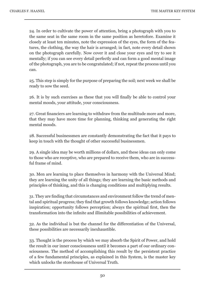24. In order to cultivate the power of attention, bring a photograph with you to the same seat in the same room in the same position as heretofore. Examine it closely at least ten minutes, note the expression of the eyes, the form of the features, the clothing, the way the hair is arranged; in fact, note every detail shown on the photograph carefully. Now cover it and close your eyes and try to see it mentally; if you can see every detail perfectly and can form a good mental image of the photograph, you are to be congratulated; if not, repeat the process until you can.

25. This step is simply for the purpose of preparing the soil; next week we shall be ready to sow the seed.

26. It is by such exercises as these that you will finally be able to control your mental moods, your attitude, your consciousness.

27. Great financiers are learning to withdraw from the multitude more and more, that they may have more time for planning, thinking and generating the right mental moods.

28. Successful businessmen are constantly demonstrating the fact that it pays to keep in touch with the thought of other successful businessmen.

29. A single idea may be worth millions of dollars, and these ideas can only come to those who are receptive, who are prepared to receive them, who are in successful frame of mind.

30. Men are learning to place themselves in harmony with the Universal Mind; they are learning the unity of all things; they are learning the basic methods and principles of thinking, and this is changing conditions and multiplying results.

31. They are finding that circumstances and environment follow the trend of mental and spiritual progress; they find that growth follows knowledge; action follows inspiration; opportunity follows perception; always the spiritual first, then the transformation into the infinite and illimitable possibilities of achievement.

32. As the individual is but the channel for the differentiation of the Universal, these possibilities are necessarily inexhaustible.

33. Thought is the process by which we may absorb the Spirit of Power, and hold the result in our inner consciousness until it becomes a part of our ordinary consciousness. The method of accomplishing this result by the persistent practice of a few fundamental principles, as explained in this System, is the master key which unlocks the storehouse of Universal Truth.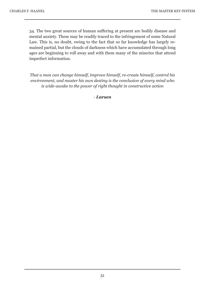34. The two great sources of human suffering at present are bodily disease and mental anxiety. These may be readily traced to the infringement of some Natural Law. This is, no doubt, owing to the fact that so far knowledge has largely remained partial, but the clouds of darkness which have accumulated through long ages are beginning to roll away and with them many of the miseries that attend imperfect information.

*That a man can change himself, improve himself, re-create himself, control his environment, and master his own destiny is the conclusion of every mind who is wide-awake to the power of right thought in constructive action*

*- Larsen*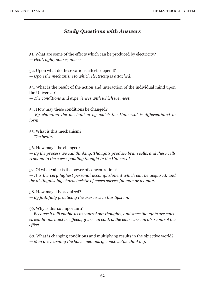### *Study Questions with Answers*

*—*

51. What are some of the effects which can be produced by electricity? *— Heat, light, power, music.*

52. Upon what do these various effects depend? *— Upon the mechanism to which electricity is attached.*

53. What is the result of the action and interaction of the individual mind upon the Universal?

*— The conditions and experiences with which we meet.*

54. How may these conditions be changed?

*— By changing the mechanism by which the Universal is differentiated in form.*

55. What is this mechanism? *— The brain.*

56. How may it be changed?

*— By the process we call thinking. Thoughts produce brain cells, and these cells respond to the corresponding thought in the Universal.*

57. Of what value is the power of concentration?

*— It is the very highest personal accomplishment which can be acquired, and the distinguishing characteristic of every successful man or woman.*

58. How may it be acquired? *— By faithfully practicing the exercises in this System.*

59. Why is this so important?

*— Because it will enable us to control our thoughts, and since thoughts are causes conditions must be effects; if we can control the cause we can also control the effect.*

60. What is changing conditions and multiplying results in the objective world? *— Men are learning the basic methods of constructive thinking.*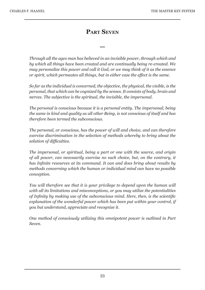## **PART SEVEN**

**—**

*Through all the ages man has believed in an invisible power, through which and by which all things have been created and are continually being re-created. We may personalize this power and call it God, or we may think of it as the essence or spirit, which permeates all things, but in either case the effect is the same.* 

*So far as the individual is concerned, the objective, the physical, the visible, is the personal, that which can be cognized by the senses. It consists of body, brain and nerves. The subjective is the spiritual, the invisible, the impersonal.* 

*The personal is conscious because it is a personal entity. The impersonal, being the same in kind and quality as all other Being, is not conscious of itself and has therefore been termed the subconscious.* 

*The personal, or conscious, has the power of will and choice, and can therefore exercise discrimination in the selection of methods whereby to bring about the solution of difficulties.* 

*The impersonal, or spiritual, being a part or one with the source, and origin of all power, can necessarily exercise no such choice, but, on the contrary, it has Infinite resources at its command. It can and does bring about results by methods concerning which the human or individual mind can have no possible conception.* 

*You will therefore see that it is your privilege to depend upon the human will with all its limitations and misconceptions, or you may utilize the potentialities of Infinity by making use of the subconscious mind. Here, then, is the scientific explanation of the wonderful power which has been put within your control, if you but understand, appreciate and recognize it.* 

*One method of consciously utilizing this omnipotent power is outlined in Part Seven.*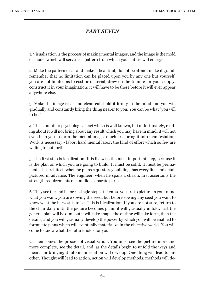#### *PART SEVEN*

*—*

1. Visualization is the process of making mental images, and the image is the mold or model which will serve as a pattern from which your future will emerge.

2. Make the pattern clear and make it beautiful; do not be afraid; make it grand; remember that no limitation can be placed upon you by any one but yourself; you are not limited as to cost or material; draw on the Infinite for your supply, construct it in your imagination; it will have to be there before it will ever appear anywhere else.

3. Make the image clear and clean-cut, hold it firmly in the mind and you will gradually and constantly bring the thing nearer to you. You can be what "you will to be."

4. This is another psychological fact which is well known, but unfortunately, reading about it will not bring about any result which you may have in mind; it will not even help you to form the mental image, much less bring it into manifestation. Work is necessary - labor, hard mental labor, the kind of effort which so few are willing to put forth.

5. The first step is idealization. It is likewise the most important step, because it is the plan on which you are going to build. It must be solid; it must be permanent. The architect, when he plans a 30-storey building, has every line and detail pictured in advance. The engineer, when he spans a chasm, first ascertains the strength requirements of a million separate parts.

6. They see the end before a single step is taken; so you are to picture in your mind what you want; you are sowing the seed, but before sowing any seed you want to know what the harvest is to be. This is Idealization. If you are not sure, return to the chair daily until the picture becomes plain; it will gradually unfold; first the general plan will be dim, but it will take shape, the outline will take form, then the details, and you will gradually develop the power by which you will be enabled to formulate plans which will eventually materialize in the objective world. You will come to know what the future holds for you.

7. Then comes the process of visualization. You must see the picture more and more complete, see the detail, and, as the details begin to unfold the ways and means for bringing it into manifestation will develop. One thing will lead to another. Thought will lead to action, action will develop methods, methods will de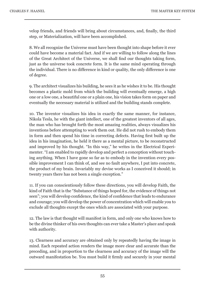velop friends, and friends will bring about circumstances, and, finally, the third step, or Materialization, will have been accomplished.

8. We all recognize the Universe must have been thought into shape before it ever could have become a material fact. And if we are willing to follow along the lines of the Great Architect of the Universe, we shall find our thoughts taking form, just as the universe took concrete form. It is the same mind operating through the individual. There is no difference in kind or quality, the only difference is one of degree.

9. The architect visualizes his building, he sees it as he wishes it to be. His thought becomes a plastic mold from which the building will eventually emerge, a high one or a low one, a beautiful one or a plain one, his vision takes form on paper and eventually the necessary material is utilized and the building stands complete.

10. The inventor visualizes his idea in exactly the same manner, for instance, Nikola Tesla, he with the giant intellect, one of the greatest inventors of all ages, the man who has brought forth the most amazing realities, always visualizes his inventions before attempting to work them out. He did not rush to embody them in form and then spend his time in correcting defects. Having first built up the idea in his imagination, he held it there as a mental picture, to be reconstructed and improved by his thought. "In this way," he writes in the Electrical Experimenter. "I am enabled to rapidly develop and perfect a conception without touching anything. When I have gone so far as to embody in the invention every possible improvement I can think of, and see no fault anywhere, I put into concrete, the product of my brain. Invariably my devise works as I conceived it should; in twenty years there has not been a single exception."

11. If you can conscientiously follow these directions, you will develop Faith, the kind of Faith that is the "Substance of things hoped for, the evidence of things not seen"; you will develop confidence, the kind of confidence that leads to endurance and courage; you will develop the power of concentration which will enable you to exclude all thoughts except the ones which are associated with your purpose.

12. The law is that thought will manifest in form, and only one who knows how to be the divine thinker of his own thoughts can ever take a Master's place and speak with authority.

13. Clearness and accuracy are obtained only by repeatedly having the image in mind. Each repeated action renders the image more clear and accurate than the preceding, and in proportion to the clearness and accuracy of the image will the outward manifestation be. You must build it firmly and securely in your mental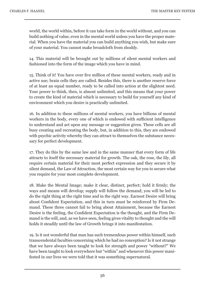world, the world within, before it can take form in the world without, and you can build nothing of value, even in the mental world unless you have the proper material. When you have the material you can build anything you wish, but make sure of your material. You cannot make broadcloth from shoddy.

14. This material will be brought out by millions of silent mental workers and fashioned into the form of the image which you have in mind.

15. Think of it! You have over five million of these mental workers, ready and in active use; brain cells they are called. Besides this, there is another reserve force of at least an equal number, ready to be called into action at the slightest need. Your power to think, then, is almost unlimited, and this means that your power to create the kind of material which is necessary to build for yourself any kind of environment which you desire is practically unlimited.

16. In addition to these millions of mental workers, you have billions of mental workers in the body, every one of which is endowed with sufficient intelligence to understand and act upon any message or suggestion given. These cells are all busy creating and recreating the body, but, in addition to this, they are endowed with psychic activity whereby they can attract to themselves the substance necessary for perfect development.

17. They do this by the same law and in the same manner that every form of life attracts to itself the necessary material for growth. The oak, the rose, the lily, all require certain material for their most perfect expression and they secure it by silent demand, the Law of Attraction, the most certain way for you to secure what you require for your most complete development.

18. Make the Mental Image; make it clear, distinct, perfect; hold it firmly; the ways and means will develop; supply will follow the demand; you will be led to do the right thing at the right time and in the right way. Earnest Desire will bring about Confident Expectation, and this in turn must be reinforced by Firm Demand. These three cannot fail to bring about Attainment, because the Earnest Desire is the feeling, the Confident Expectation is the thought, and the Firm Demand is the will, and, as we have seen, feeling gives vitality to thought and the will holds it steadily until the law of Growth brings it into manifestation.

19. Is it not wonderful that man has such tremendous power within himself, such transcendental faculties concerning which he had no conception? Is it not strange that we have always been taught to look for strength and power "without?" We have been taught to look everywhere but "within" and whenever this power manifested in our lives we were told that it was something supernatural.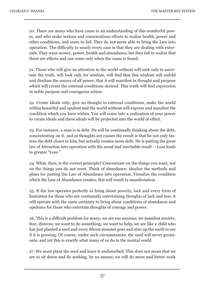20. There are many who have come to an understanding of this wonderful power, and who make serious and conscientious efforts to realize health, power and other conditions, and seem to fail. They do not seem able to bring the Law into operation. The difficulty in nearly every case is that they are dealing with externals. They want money, power, health and abundance, but they fail to realize that these are effects and can come only when the cause is found.

21. Those who will give no attention to the world without will seek only to ascertain the truth, will look only for wisdom, will find that this wisdom will unfold and disclose the source of all power, that it will manifest in thought and purpose which will create the external conditions desired. This truth will find expression in noble purpose and courageous action.

22. Create ideals only, give no thought to external conditions, make the world within beautiful and opulent and the world without will express and manifest the condition which you have within. You will come into a realization of your power to create ideals and these ideals will be projected into the world of effect.

23. For instance, a man is in debt. He will be continually thinking about the debt, concentrating on it, and as thoughts are causes the result is that he not only fastens the debt closer to him, but actually creates more debt. He is putting the great law of Attraction into operation with the usual and inevitable result -- Loss leads to greater "Loss."

24. What, then, is the correct principle? Concentrate on the things you want, not on the things you do not want. Think of abundance; idealize the methods and plans for putting the Law of Abundance into operation. Visualize the condition which the Law of Abundance creates; this will result in manifestation.

25. If the law operates perfectly to bring about poverty, lack and every form of limitation for those who are continually entertaining thoughts of lack and fear, it will operate with the same certainty to bring about conditions of abundance and opulence for those who entertain thoughts of courage and power.

26. This is a difficult problem for many; we are too anxious; we manifest anxiety, fear, distress; we want to do something; we want to help; we are like a child who has just planted a seed and every fifteen minutes goes and stirs up the earth to see if it is growing. Of course, under such circumstances, the seed will never germinate, and yet this is exactly what many of us do in the mental world.

27. We must plant the seed and leave it undisturbed. This does not mean that we are to sit down and do nothing, by no means; we will do more and better work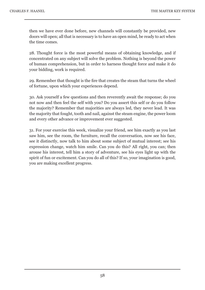then we have ever done before, new channels will constantly be provided, new doors will open; all that is necessary is to have an open mind, be ready to act when the time comes.

28. Thought force is the most powerful means of obtaining knowledge, and if concentrated on any subject will solve the problem. Nothing is beyond the power of human comprehension, but in order to harness thought force and make it do your bidding, work is required.

29. Remember that thought is the fire that creates the steam that turns the wheel of fortune, upon which your experiences depend.

30. Ask yourself a few questions and then reverently await the response; do you not now and then feel the self with you? Do you assert this self or do you follow the majority? Remember that majorities are always led, they never lead. It was the majority that fought, tooth and nail, against the steam engine, the power loom and every other advance or improvement ever suggested.

31. For your exercise this week, visualize your friend, see him exactly as you last saw him, see the room, the furniture, recall the conversation, now see his face, see it distinctly, now talk to him about some subject of mutual interest; see his expression change, watch him smile. Can you do this? All right, you can; then arouse his interest, tell him a story of adventure, see his eyes light up with the spirit of fun or excitement. Can you do all of this? If so, your imagination is good, you are making excellent progress.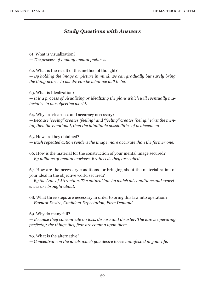## *Study Questions with Answers*

*—*

61. What is visualization? *— The process of making mental pictures.*

62. What is the result of this method of thought?

*— By holding the image or picture in mind, we can gradually but surely bring the thing nearer to us. We can be what we will to be.*

63. What is Idealization?

*— It is a process of visualizing or idealizing the plans which will eventually materialize in our objective world.*

64. Why are clearness and accuracy necessary? *— Because "seeing" creates "feeling" and "feeling" creates "being." First the mental, then the emotional, then the illimitable possibilities of achievement.*

65. How are they obtained? *— Each repeated action renders the image more accurate than the former one.* 

66. How is the material for the construction of your mental image secured? *— By millions of mental workers. Brain cells they are called.*

67. How are the necessary conditions for bringing about the materialization of your ideal in the objective world secured?

*— By the Law of Attraction. The natural law by which all conditions and experiences are brought about.*

68. What three steps are necessary in order to bring this law into operation? *— Earnest Desire, Confident Expectation, Firm Demand.*

69. Why do many fail?

*— Because they concentrate on loss, disease and disaster. The law is operating perfectly; the things they fear are coming upon them.*

70. What is the alternative?

*— Concentrate on the ideals which you desire to see manifested in your life.*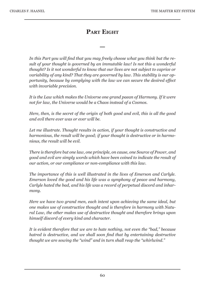# **PART EIGHT**

**—**

*In this Part you will find that you may freely choose what you think but the result of your thought is governed by an immutable law! Is not this a wonderful thought? Is it not wonderful to know that our lives are not subject to caprice or variability of any kind? That they are governed by law. This stability is our opportunity, because by complying with the law we can secure the desired effect with invariable precision.* 

*It is the Law which makes the Universe one grand paean of Harmony. If it were not for law, the Universe would be a Chaos instead of a Cosmos.* 

*Here, then, is the secret of the origin of both good and evil, this is all the good and evil there ever was or ever will be.* 

*Let me illustrate. Thought results in action, if your thought is constructive and harmonious, the result will be good; if your thought is destructive or in harmonious, the result will be evil.* 

*There is therefore but one law, one principle, on cause, one Source of Power, and good and evil are simply words which have been coined to indicate the result of our action, or our compliance or non-compliance with this law.* 

*The importance of this is well illustrated in the lives of Emerson and Carlyle. Emerson loved the good and his life was a symphony of peace and harmony, Carlyle hated the bad, and his life was a record of perpetual discord and inharmony.* 

*Here we have two grand men, each intent upon achieving the same ideal, but one makes use of constructive thought and is therefore in harmony with Natural Law, the other makes use of destructive thought and therefore brings upon himself discord of every kind and character.* 

*It is evident therefore that we are to hate nothing, not even the "bad," because hatred is destructive, and we shall soon find that by entertaining destructive thought we are sowing the "wind" and in turn shall reap the "whirlwind."*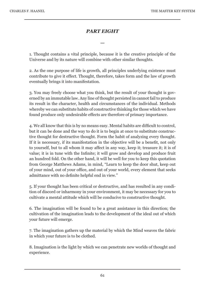### *PART EIGHT*

*—*

1. Thought contains a vital principle, because it is the creative principle of the Universe and by its nature will combine with other similar thoughts.

2. As the one purpose of life is growth, all principles underlying existence must contribute to give it effect. Thought, therefore, takes form and the law of growth eventually brings it into manifestation.

3. You may freely choose what you think, but the result of your thought is governed by an immutable law. Any line of thought persisted in cannot fail to produce its result in the character, health and circumstances of the individual. Methods whereby we can substitute habits of constructive thinking for those which we have found produce only undesirable effects are therefore of primary importance.

4. We all know that this is by no means easy. Mental habits are difficult to control, but it can be done and the way to do it is to begin at once to substitute constructive thought for destructive thought. Form the habit of analyzing every thought. If it is necessary, if its manifestation in the objective will be a benefit, not only to yourself, but to all whom it may affect in any way, keep it; treasure it; it is of value; it is in tune with the Infinite; it will grow and develop and produce fruit an hundred fold. On the other hand, it will be well for you to keep this quotation from George Matthews Adams, in mind, "Learn to keep the door shut, keep out of your mind, out of your office, and out of your world, every element that seeks admittance with no definite helpful end in view."

5. If your thought has been critical or destructive, and has resulted in any condition of discord or inharmony in your environment, it may be necessary for you to cultivate a mental attitude which will be conducive to constructive thought.

6. The imagination will be found to be a great assistance in this direction; the cultivation of the imagination leads to the development of the ideal out of which your future will emerge.

7. The imagination gathers up the material by which the Mind weaves the fabric in which your future is to be clothed.

8. Imagination is the light by which we can penetrate new worlds of thought and experience.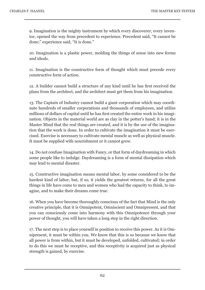9. Imagination is the mighty instrument by which every discoverer, every inventor, opened the way from precedent to experience. Precedent said, "It cannot be done;" experience said, "It is done."

10. Imagination is a plastic power, molding the things of sense into new forms and ideals.

11. Imagination is the constructive form of thought which must precede every constructive form of action.

12. A builder cannot build a structure of any kind until he has first received the plans from the architect, and the architect must get them from his imagination.

13. The Captain of Industry cannot build a giant corporation which may coordinate hundreds of smaller corporations and thousands of employees, and utilize millions of dollars of capital until he has first created the entire work in his imagination. Objects in the material world are as clay in the potter's hand; it is in the Master Mind that the real things are created, and it is by the use of the imagination that the work is done. In order to cultivate the imagination it must be exercised. Exercise is necessary to cultivate mental muscle as well as physical muscle. It must be supplied with nourishment or it cannot grow.

14. Do not confuse Imagination with Fancy, or that form of daydreaming in which some people like to indulge. Daydreaming is a form of mental dissipation which may lead to mental disaster.

15. Constructive imagination means mental labor, by some considered to be the hardest kind of labor, but, if so, it yields the greatest returns, for all the great things in life have come to men and women who had the capacity to think, to imagine, and to make their dreams come true.

16. When you have become thoroughly conscious of the fact that Mind is the only creative principle, that it is Omnipotent, Omniscient and Omnipresent, and that you can consciously come into harmony with this Omnipotence through your power of thought, you will have taken a long step in the right direction.

17. The next step is to place yourself in position to receive this power. As it is Omnipresent, it must be within you. We know that this is so because we know that all power is from within, but it must be developed, unfolded, cultivated; in order to do this we must be receptive, and this receptivity is acquired just as physical strength is gained, by exercise.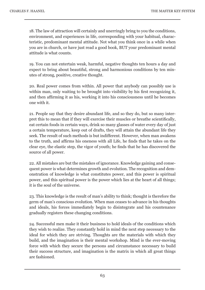18. The law of attraction will certainly and unerringly bring to you the conditions, environment, and experiences in life, corresponding with your habitual, characteristic, predominant mental attitude. Not what you think once in a while when you are in church, or have just read a good book, BUT your predominant mental attitude is what counts.

19. You can not entertain weak, harmful, negative thoughts ten hours a day and expect to bring about beautiful, strong and harmonious conditions by ten minutes of strong, positive, creative thought.

20. Real power comes from within. All power that anybody can possibly use is within man, only waiting to be brought into visibility by his first recognizing it, and then affirming it as his, working it into his consciousness until he becomes one with it.

21. People say that they desire abundant life, and so they do, but so many interpret this to mean that if they will exercise their muscles or breathe scientifically, eat certain foods in certain ways, drink so many glasses of water every day of just a certain temperature, keep out of drafts, they will attain the abundant life they seek. The result of such methods is but indifferent. However, when man awakens to the truth, and affirms his oneness with all Life, he finds that he takes on the clear eye, the elastic step, the vigor of youth; he finds that he has discovered the source of all power.

22. All mistakes are but the mistakes of ignorance. Knowledge gaining and consequent power is what determines growth and evolution. The recognition and demonstration of knowledge is what constitutes power, and this power is spiritual power, and this spiritual power is the power which lies at the heart of all things; it is the soul of the universe.

23. This knowledge is the result of man's ability to think; thought is therefore the germ of man's conscious evolution. When man ceases to advance in his thoughts and ideals, his forces immediately begin to disintegrate and his countenance gradually registers these changing conditions.

24. Successful men make it their business to hold ideals of the conditions which they wish to realize. They constantly hold in mind the next step necessary to the ideal for which they are striving. Thoughts are the materials with which they build, and the imagination is their mental workshop. Mind is the ever-moving force with which they secure the persons and circumstance necessary to build their success structure, and imagination is the matrix in which all great things are fashioned.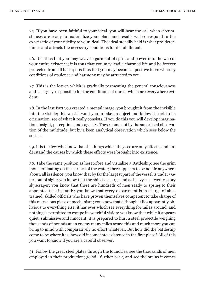25. If you have been faithful to your ideal, you will hear the call when circumstances are ready to materialize your plans and results will correspond in the exact ratio of your fidelity to your ideal. The ideal steadily held is what pre-determines and attracts the necessary conditions for its fulfillment.

26. It is thus that you may weave a garment of spirit and power into the web of your entire existence; it is thus that you may lead a charmed life and be forever protected from all harm; it is thus that you may become a positive force whereby conditions of opulence and harmony may be attracted to you.

27. This is the leaven which is gradually permeating the general consciousness and is largely responsible for the conditions of unrest which are everywhere evident.

28. In the last Part you created a mental image, you brought it from the invisible into the visible; this week I want you to take an object and follow it back to its origination, see of what it really consists. If you do this you will develop imagination, insight, perception, and sagacity. These come not by the superficial observation of the multitude, but by a keen analytical observation which sees below the surface.

29. It is the few who know that the things which they see are only effects, and understand the causes by which these effects were brought into existence.

30. Take the same position as heretofore and visualize a Battleship; see the grim monster floating on the surface of the water; there appears to be no life anywhere about; all is silence; you know that by far the largest part of the vessel is under water; out of sight; you know that the ship is as large and as heavy as a twenty-story skyscraper; you know that there are hundreds of men ready to spring to their appointed task instantly; you know that every department is in charge of able, trained, skilled officials who have proven themselves competent to take charge of this marvelous piece of mechanism; you know that although it lies apparently oblivious to everything else, it has eyes which see everything for miles around, and nothing is permitted to escape its watchful vision; you know that while it appears quiet, submissive and innocent, it is prepared to hurl a steel projectile weighing thousands of pounds at an enemy many miles away; this and much more you can bring to mind with comparatively no effort whatever. But how did the battleship come to be where it is; how did it come into existence in the first place? All of this you want to know if you are a careful observer.

31. Follow the great steel plates through the foundries, see the thousands of men employed in their production; go still further back, and see the ore as it comes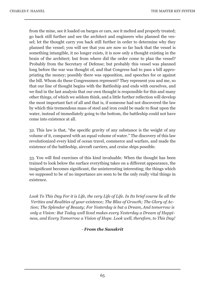from the mine, see it loaded on barges or cars, see it melted and properly treated; go back still further and see the architect and engineers who planned the vessel; let the thought carry you back still further in order to determine why they planned the vessel; you will see that you are now so far back that the vessel is something intangible, it no longer exists, it is now only a thought existing in the brain of the architect; but from where did the order come to plan the vessel? Probably from the Secretary of Defense; but probably this vessel was planned long before the war was thought of, and that Congress had to pass a bill appropriating the money; possibly there was opposition, and speeches for or against the bill. Whom do these Congressmen represent? They represent you and me, so that our line of thought begins with the Battleship and ends with ourselves, and we find in the last analysis that our own thought is responsible for this and many other things, of which we seldom think, and a little further reflection will develop the most important fact of all and that is, if someone had not discovered the law by which this tremendous mass of steel and iron could be made to float upon the water, instead of immediately going to the bottom, the battleship could not have come into existence at all.

32. This law is that, "the specific gravity of any substance is the weight of any volume of it, compared with an equal volume of water." The discovery of this law revolutionized every kind of ocean travel, commerce and warfare, and made the existence of the battleship, aircraft carriers, and cruise ships possible.

33. You will find exercises of this kind invaluable. When the thought has been trained to look below the surface everything takes on a different appearance, the insignificant becomes significant, the uninteresting interesting; the things which we supposed to be of no importance are seen to be the only really vital things in existence.

*Look To This Day For it is Life, the very Life of Life. In Its brief course lie all the Verities and Realities of your existence; The Bliss of Growth; The Glory of Action; The Splendor of Beauty; For Yesterday is but a Dream, And tomorrow is only a Vision: But Today well lived makes every Yesterday a Dream of Happiness, and Every Tomorrow a Vision of Hope. Look well, therefore, to This Day!* 

#### *- From the Sanskrit*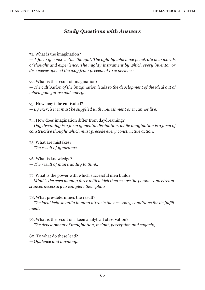## *Study Questions with Answers*

—

71. What is the imagination?

*— A form of constructive thought. The light by which we penetrate new worlds of thought and experience. The mighty instrument by which every inventor or discoverer opened the way from precedent to experience.*

72. What is the result of imagination?

*— The cultivation of the imagination leads to the development of the ideal out of which your future will emerge.*

73. How may it be cultivated? *— By exercise; it must be supplied with nourishment or it cannot live.*

74. How does imagination differ from daydreaming? *— Day dreaming is a form of mental dissipation, while imagination is a form of constructive thought which must precede every constructive action.*

75. What are mistakes? *— The result of ignorance.* 

76. What is knowledge? *— The result of man's ability to think.* 

77. What is the power with which successful men build? *— Mind is the very moving force with which they secure the persons and circumstances necessary to complete their plans.*

78. What pre-determines the result?

*— The ideal held steadily in mind attracts the necessary conditions for its fulfillment.*

79. What is the result of a keen analytical observation? *— The development of imagination, insight, perception and sagacity.*

80. To what do these lead?

*— Opulence and harmony.*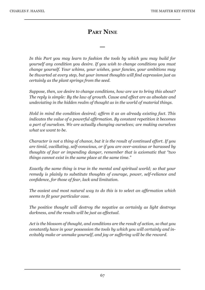## **PART NINE**

**—**

*In this Part you may learn to fashion the tools by which you may build for yourself any condition you desire. If you wish to change conditions you must change yourself. Your whims, your wishes, your fancies, your ambitions may be thwarted at every step, but your inmost thoughts will find expression just as certainly as the plant springs from the seed.* 

*Suppose, then, we desire to change conditions, how are we to bring this about? The reply is simple: By the law of growth. Cause and effect are as absolute and undeviating in the hidden realm of thought as in the world of material things.* 

*Hold in mind the condition desired; affirm it as an already existing fact. This indicates the value of a powerful affirmation. By constant repetition it becomes a part of ourselves. We are actually changing ourselves; are making ourselves what we want to be.* 

*Character is not a thing of chance, but it is the result of continued effort. If you are timid, vacillating, self-conscious, or if you are over-anxious or harassed by thoughts of fear or impending danger, remember that is axiomatic that "two things cannot exist in the same place at the same time."* 

*Exactly the same thing is true in the mental and spiritual world; so that your remedy is plainly to substitute thoughts of courage, power, self-reliance and confidence, for those of fear, lack and limitation.* 

*The easiest and most natural way to do this is to select an affirmation which seems to fit your particular case.* 

*The positive thought will destroy the negative as certainly as light destroys darkness, and the results will be just as effectual.* 

*Act is the blossom of thought, and conditions are the result of action, so that you constantly have in your possession the tools by which you will certainly and inevitably make or unmake yourself, and joy or suffering will be the reward.*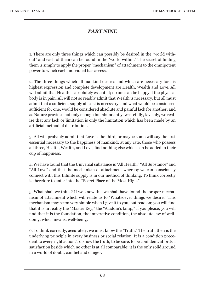### *PART NINE*

*—*

1. There are only three things which can possibly be desired in the "world without" and each of them can be found in the "world within." The secret of finding them is simply to apply the proper "mechanism" of attachment to the omnipotent power to which each individual has access.

2. The three things which all mankind desires and which are necessary for his highest expression and complete development are Health, Wealth and Love. All will admit that Health is absolutely essential; no one can be happy if the physical body is in pain. All will not so readily admit that Wealth is necessary, but all must admit that a sufficient supply at least is necessary, and what would be considered sufficient for one, would be considered absolute and painful lack for another; and as Nature provides not only enough but abundantly, wastefully, lavishly, we realize that any lack or limitation is only the limitation which has been made by an artificial method of distribution.

3. All will probably admit that Love is the third, or maybe some will say the first essential necessary to the happiness of mankind; at any rate, those who possess all three, Health, Wealth, and Love, find nothing else which can be added to their cup of happiness.

4. We have found that the Universal substance is "All Health," "All Substance" and "All Love" and that the mechanism of attachment whereby we can consciously connect with this Infinite supply is in our method of thinking. To think correctly is therefore to enter into the "Secret Place of the Most High."

5. What shall we think? If we know this we shall have found the proper mechanism of attachment which will relate us to "Whatsoever things we desire." This mechanism may seem very simple when I give it to you, but read on; you will find that it is in reality the "Master Key," the "Aladdin's lamp," if you please; you will find that it is the foundation, the imperative condition, the absolute law of welldoing, which means, well-being.

6. To think correctly, accurately, we must know the "Truth." The truth then is the underlying principle in every business or social relation. It is a condition precedent to every right action. To know the truth, to be sure, to be confident, affords a satisfaction beside which no other is at all comparable; it is the only solid ground in a world of doubt, conflict and danger.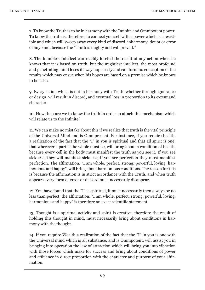7. To know the Truth is to be in harmony with the Infinite and Omnipotent power. To know the truth is, therefore, to connect yourself with a power which is irresistible and which will sweep away every kind of discord, inharmony, doubt or error of any kind, because the "Truth is mighty and will prevail."

8. The humblest intellect can readily foretell the result of any action when he knows that it is based on truth, but the mightiest intellect, the most profound and penetrating mind loses its way hopelessly and can form no conception of the results which may ensue when his hopes are based on a premise which he knows to be false.

9. Every action which is not in harmony with Truth, whether through ignorance or design, will result in discord, and eventual loss in proportion to its extent and character.

10. How then are we to know the truth in order to attach this mechanism which will relate us to the Infinite?

11. We can make no mistake about this if we realize that truth is the vital principle of the Universal Mind and is Omnipresent. For instance, if you require health, a realization of the fact that the "I" in you is spiritual and that all spirit is one; that wherever a part is the whole must be, will bring about a condition of health, because every cell in the body must manifest the truth as you see it. If you see sickness; they will manifest sickness; if you see perfection they must manifest perfection. The affirmation, "I am whole, perfect, strong, powerful, loving, harmonious and happy", will bring about harmonious conditions. The reason for this is because the affirmation is in strict accordance with the Truth, and when truth appears every form of error or discord must necessarily disappear.

12. You have found that the "I" is spiritual, it must necessarily then always be no less than perfect, the affirmation. "I am whole, perfect, strong, powerful, loving, harmonious and happy" is therefore an exact scientific statement.

13. Thought is a spiritual activity and spirit is creative, therefore the result of holding this thought in mind, must necessarily bring about conditions in harmony with the thought.

14. If you require Wealth a realization of the fact that the "I" in you is one with the Universal mind which is all substance, and is Omnipotent, will assist you in bringing into operation the law of attraction which will bring you into vibration with those forces which make for success and bring about conditions of power and affluence in direct proportion with the character and purpose of your affirmation.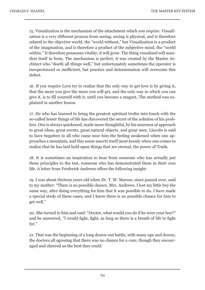15. Visualization is the mechanism of the attachment which you require. Visualization is a very different process from seeing; seeing is physical, and is therefore related to the objective world, the "world without," but Visualization is a product of the imagination, and is therefore a product of the subjective mind, the "world within." It therefore possesses vitality; it will grow. The thing visualized will manifest itself in form. The mechanism is perfect; it was created by the Master Architect who "doeth all things well," but unfortunately sometimes the operator is inexperienced or inefficient, but practice and determination will overcome this defect.

16. If you require Love try to realize that the only way to get love is by giving it, that the more you give the more you will get, and the only way in which you can give it, is to fill yourself with it, until you become a magnet. The method was explained in another lesson.

17. He who has learned to bring the greatest spiritual truths into touch with the so-called lesser things of life has discovered the secret of the solution of his problem. One is always quickened, made more thoughtful, by his nearness of approach to great ideas, great events, great natural objects, and great men. Lincoln is said to have begotten in all who came near him the feeling awakened when one approaches a mountain, and this sense asserts itself most keenly when one comes to realize that he has laid hold upon things that are eternal, the power of Truth.

18. It is sometimes an inspiration to hear from someone who has actually put these principles to the test, someone who has demonstrated them in their own life. A letter from Frederick Andrews offers the following insight:

19. I was about thirteen years old when Dr. T. W. Marsee, since passed over, said to my mother: "There is no possible chance, Mrs. Andrews. I lost my little boy the same way, after doing everything for him that it was possible to do. I have made a special study of these cases, and I know there is no possible chance for him to get well."

20. She turned to him and said: "Doctor, what would you do if he were your boy?" and he answered, "I would fight, fight, as long as there is a breath of life to fight for."

21. That was the beginning of a long drawn-out battle, with many ups and downs, the doctors all agreeing that there was no chance for a cure, though they encouraged and cheered us the best they could.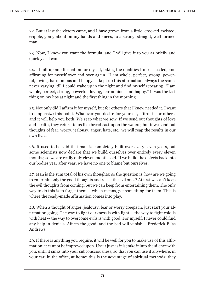22. But at last the victory came, and I have grown from a little, crooked, twisted, cripple, going about on my hands and knees, to a strong, straight, well formed man.

23. Now, I know you want the formula, and I will give it to you as briefly and quickly as I can.

24. I built up an affirmation for myself, taking the qualities I most needed, and affirming for myself over and over again, "I am whole, perfect, strong, powerful, loving, harmonious and happy." I kept up this affirmation, always the same, never varying, till I could wake up in the night and find myself repeating, "I am whole, perfect, strong, powerful, loving, harmonious and happy." It was the last thing on my lips at night and the first thing in the morning.

25. Not only did I affirm it for myself, but for others that I knew needed it. I want to emphasize this point. Whatever you desire for yourself, affirm it for others, and it will help you both. We reap what we sow. If we send out thoughts of love and health, they return to us like bread cast upon the waters; but if we send out thoughts of fear, worry, jealousy, anger, hate, etc., we will reap the results in our own lives.

26. It used to be said that man is completely built over every seven years, but some scientists now declare that we build ourselves over entirely every eleven months; so we are really only eleven months old. If we build the defects back into our bodies year after year, we have no one to blame but ourselves.

27. Man is the sum total of his own thoughts; so the question is, how are we going to entertain only the good thoughts and reject the evil ones? At first we can't keep the evil thoughts from coming, but we can keep from entertaining them. The only way to do this is to forget them -- which means, get something for them. This is where the ready-made affirmation comes into play.

28. When a thought of anger, jealousy, fear or worry creeps in, just start your affirmation going. The way to fight darkness is with light -- the way to fight cold is with heat -- the way to overcome evils is with good. For myself, I never could find any help in denials. Affirm the good, and the bad will vanish. - Frederick Elias Andrews

29. If there is anything you require, it will be well for you to make use of this affirmation; it cannot be improved upon. Use it just as it is; take it into the silence with you, until it sinks into your subconsciousness, so that you can use it anywhere, in your car, in the office, at home; this is the advantage of spiritual methods; they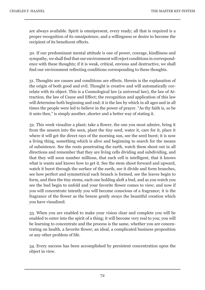are always available. Spirit is omnipresent, every ready; all that is required is a proper recognition of its omnipotence, and a willingness or desire to become the recipient of its beneficent effects.

30. If our predominant mental attitude is one of power, courage, kindliness and sympathy, we shall find that our environment will reject conditions in correspondence with these thoughts; if it is weak, critical, envious and destructive, we shall find our environment reflecting conditions corresponding to these thoughts.

31. Thoughts are causes and conditions are effects. Herein is the explanation of the origin of both good and evil. Thought is creative and will automatically correlate with its object. This is a Cosmological law (a universal law), the law of Attraction, the law of Cause and Effect; the recognition and application of this law will determine both beginning and end; it is the law by which in all ages and in all times the people were led to believe in the power of prayer. "As thy faith is, so be it unto thee," is simply another, shorter and a better way of stating it.

32. This week visualize a plant; take a flower, the one you most admire, bring it from the unseen into the seen, plant the tiny seed, water it, care for it, place it where it will get the direct rays of the morning sun, see the seed burst; it is now a living thing, something which is alive and beginning to search for the means of subsistence. See the roots penetrating the earth, watch them shoot out in all directions and remember that they are living cells dividing and subdividing, and that they will soon number millions, that each cell is intelligent, that it knows what is wants and knows how to get it. See the stem shoot forward and upward, watch it burst through the surface of the earth, see it divide and form branches, see how perfect and symmetrical each branch is formed, see the leaves begin to form, and then the tiny stems, each one holding aloft a bud, and as you watch you see the bud begin to unfold and your favorite flower comes to view; and now if you will concentrate intently you will become conscious of a fragrance; it is the fragrance of the flower as the breeze gently sways the beautiful creation which you have visualized.

33. When you are enabled to make your vision clear and complete you will be enabled to enter into the spirit of a thing; it will become very real to you; you will be learning to concentrate and the process is the same, whether you are concentrating on health, a favorite flower, an ideal, a complicated business proposition or any other problem of life.

34. Every success has been accomplished by persistent concentration upon the object in view.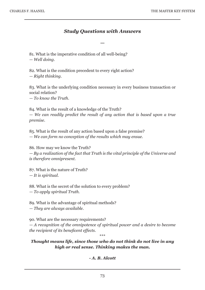## *Study Questions with Answers*

*—*

81. What is the imperative condition of all well-being? *— Well doing.*

82. What is the condition precedent to every right action? *— Right thinking.*

83. What is the underlying condition necessary in every business transaction or social relation?

*— To know the Truth.*

84. What is the result of a knowledge of the Truth? *— We can readily predict the result of any action that is based upon a true premise.*

85. What is the result of any action based upon a false premise? *— We can form no conception of the results which may ensue.*

86. How may we know the Truth? *— By a realization of the fact that Truth is the vital principle of the Universe and is therefore omnipresent.*

87. What is the nature of Truth? *— It is spiritual.*

88. What is the secret of the solution to every problem? *— To apply spiritual Truth.*

89. What is the advantage of spiritual methods? *— They are always available.*

90. What are the necessary requirements? *— A recognition of the omnipotence of spiritual power and a desire to become the recipient of its beneficent effects.*

*Thought means life, since those who do not think do not live in any high or real sense. Thinking makes the man.*

\*\*\*

#### *- A. B. Alcott*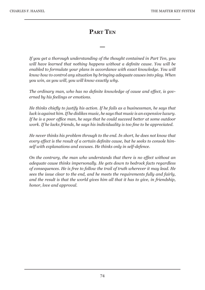# **PART TEN**

**—** 

*If you get a thorough understanding of the thought contained in Part Ten, you will have learned that nothing happens without a definite cause. You will be enabled to formulate your plans in accordance with exact knowledge. You will know how to control any situation by bringing adequate causes into play. When you win, as you will, you will know exactly why.* 

*The ordinary man, who has no definite knowledge of cause and effect, is governed by his feelings or emotions.* 

*He thinks chiefly to justify his action. If he fails as a businessman, he says that luck is against him. If he dislikes music, he says that music is an expensive luxury. If he is a poor office man, he says that he could succeed better at some outdoor work. If he lacks friends, he says his individuality is too fine to be appreciated.* 

*He never thinks his problem through to the end. In short, he does not know that every effect is the result of a certain definite cause, but he seeks to console himself with explanations and excuses. He thinks only in self-defence.* 

*On the contrary, the man who understands that there is no effect without an adequate cause thinks impersonally. He gets down to bedrock facts regardless of consequences. He is free to follow the trail of truth wherever it may lead. He sees the issue clear to the end, and he meets the requirements fully and fairly, and the result is that the world gives him all that it has to give, in friendship, honor, love and approval.*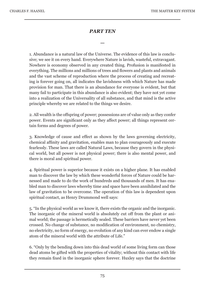#### *PART TEN*

*—*

1. Abundance is a natural law of the Universe. The evidence of this law is conclusive; we see it on every hand. Everywhere Nature is lavish, wasteful, extravagant. Nowhere is economy observed in any created thing. Profusion is manifested in everything. The millions and millions of trees and flowers and plants and animals and the vast scheme of reproduction where the process of creating and recreating is forever going on, all indicates the lavishness with which Nature has made provision for man. That there is an abundance for everyone is evident, but that many fail to participate in this abundance is also evident; they have not yet come into a realization of the Universality of all substance, and that mind is the active principle whereby we are related to the things we desire.

2. All wealth is the offspring of power; possessions are of value only as they confer power. Events are significant only as they affect power; all things represent certain forms and degrees of power.

3. Knowledge of cause and effect as shown by the laws governing electricity, chemical affinity and gravitation, enables man to plan courageously and execute fearlessly. These laws are called Natural Laws, because they govern in the physical world, but all power is not physical power; there is also mental power, and there is moral and spiritual power.

4. Spiritual power is superior because it exists on a higher plane. It has enabled man to discover the law by which these wonderful forces of Nature could be harnessed and made to do the work of hundreds and thousands of men. It has enabled man to discover laws whereby time and space have been annihilated and the law of gravitation to be overcome. The operation of this law is dependent upon spiritual contact, as Henry Drummond well says:

5. "In the physical world as we know it, there exists the organic and the inorganic. The inorganic of the mineral world is absolutely cut off from the plant or animal world; the passage is hermetically sealed. These barriers have never yet been crossed. No change of substance, no modification of environment, no chemistry, no electricity, no form of energy, no evolution of any kind can ever endow a single atom of the mineral world with the attribute of Life."

6. "Only by the bending down into this dead world of some living form can those dead atoms be gifted with the properties of vitality; without this contact with life they remain fixed in the inorganic sphere forever. Huxley says that the doctrine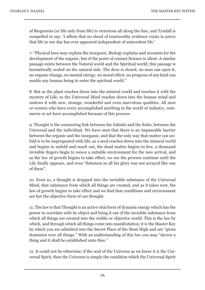of Biogenesis (or life only from life) is victorious all along the line, and Tyndall is compelled to say: 'I affirm that no shred of trustworthy evidence exists to prove that life in our day has ever appeared independent of antecedent life.'

7. "Physical laws may explain the inorganic, Biology explains and accounts for the development of the organic, but of the point of contact Science is silent. A similar passage exists between the Natural world and the Spiritual world; this passage is hermetically sealed on the natural side. The door is closed; no man can open it, no organic change, no mental energy, no moral effort, no progress of any kind can enable any human being to enter the spiritual world."

8. But as the plant reaches down into the mineral world and touches it with the mystery of Life, so the Universal Mind reaches down into the human mind and endows it with new, strange, wonderful and even marvelous qualities. All men or women who have every accomplished anything in the world of industry, commerce or art have accomplished because of this process.

9. Thought is the connecting link between the Infinite and the finite, between the Universal and the individual. We have seen that there is an impassable barrier between the organic and the inorganic, and that the only way that matter can unfold is to be impregnated with life; as a seed reaches down into the mineral world and begins to unfold and reach out, the dead matter begins to live, a thousand invisible fingers begin to weave a suitable environment for the new arrival, and as the law of growth begins to take effect, we see the process continue until the Lily finally appears, and even "Solomon in all his glory was not arrayed like one of these".

10. Even so, a thought is dropped into the invisible substance of the Universal Mind, that substance from which all things are created, and as it takes root, the law of growth begins to take effect and we find that conditions and environment are but the objective form of our thought.

11. The law is that Thought is an active vital form of dynamic energy which has the power to correlate with its object and bring it out of the invisible substance from which all things are created into the visible or objective world. This is the law by which, and through which all things come into manifestation; it is the Master Key by which you are admitted into the Secret Place of the Most High and are "given dominion over all things." With an understanding of this law you may "decree a thing and it shall be established unto thee."

12. It could not be otherwise; if the soul of the Universe as we know it is the Universal Spirit, then the Universe is simply the condition which the Universal Spirit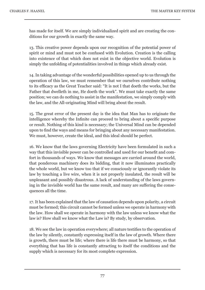has made for itself. We are simply individualized spirit and are creating the conditions for our growth in exactly the same way.

13. This creative power depends upon our recognition of the potential power of spirit or mind and must not be confused with Evolution. Creation is the calling into existence of that which does not exist in the objective world. Evolution is simply the unfolding of potentialities involved in things which already exist.

14. In taking advantage of the wonderful possibilities opened up to us through the operation of this law, we must remember that we ourselves contribute nothing to its efficacy as the Great Teacher said: "It is not I that doeth the works, but the Father that dwelleth in me, He doeth the work". We must take exactly the same position; we can do nothing to assist in the manifestation, we simply comply with the law, and the All-originating Mind will bring about the result.

15. The great error of the present day is the idea that Man has to originate the intelligence whereby the Infinite can proceed to bring about a specific purpose or result. Nothing of this kind is necessary; the Universal Mind can be depended upon to find the ways and means for bringing about any necessary manifestation. We must, however, create the ideal, and this ideal should be perfect.

16. We know that the laws governing Electricity have been formulated in such a way that this invisible power can be controlled and used for our benefit and comfort in thousands of ways. We know that messages are carried around the world, that ponderous machinery does its bidding, that it now illuminates practically the whole world, but we know too that if we consciously or ignorantly violate its law by touching a live wire, when it is not properly insulated, the result will be unpleasant and possibly disastrous. A lack of understanding of the laws governing in the invisible world has the same result, and many are suffering the consequences all the time.

17. It has been explained that the law of causation depends upon polarity, a circuit must be formed; this circuit cannot be formed unless we operate in harmony with the law. How shall we operate in harmony with the law unless we know what the law is? How shall we know what the Law is? By study, by observation.

18. We see the law in operation everywhere; all nature testifies to the operation of the law by silently, constantly expressing itself in the law of growth. Where there is growth, there must be life; where there is life there must be harmony, so that everything that has life is constantly attracting to itself the conditions and the supply which is necessary for its most complete expression.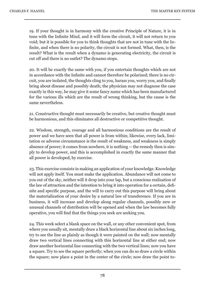19. If your thought is in harmony with the creative Principle of Nature, it is in tune with the Infinite Mind, and it will form the circuit, it will not return to you void; but it is possible for you to think thoughts that are not in tune with the Infinite, and when there is no polarity, the circuit is not formed. What, then, is the result? What is the result when a dynamo is generating electricity, the circuit is cut off and there is no outlet? The dynamo stops.

20. It will be exactly the same with you, if you entertain thoughts which are not in accordance with the Infinite and cannot therefore be polarized; there is no circuit, you are isolated, the thoughts cling to you, harass you, worry you, and finally bring about disease and possibly death; the physician may not diagnose the case exactly in this way, he may give it some fancy name which has been manufactured for the various ills which are the result of wrong thinking, but the cause is the same nevertheless.

21. Constructive thought must necessarily be creative, but creative thought must be harmonious, and this eliminates all destructive or competitive thought.

22. Wisdom, strength, courage and all harmonious conditions are the result of power and we have seen that all power is from within; likewise, every lack, limitation or adverse circumstance is the result of weakness, and weakness is simply absence of power; it comes from nowhere, it is nothing -- the remedy then is simply to develop power, and this is accomplished in exactly the same manner that all power is developed, by exercise.

23. This exercise consists in making an application of your knowledge. Knowledge will not apply itself. You must make the application. Abundance will not come to you out of the sky, neither will it drop into your lap, but a conscious realization of the law of attraction and the intention to bring it into operation for a certain, definite and specific purpose, and the will to carry out this purpose will bring about the materialization of your desire by a natural law of transference. If you are in business, it will increase and develop along regular channels, possibly new or unusual channels of distribution will be opened and when the law becomes fully operative, you will find that the things you seek are seeking you.

24. This week select a blank space on the wall, or any other convenient spot, from where you usually sit, mentally draw a black horizontal line about six inches long, try to see the line as plainly as though it were painted on the wall; now mentally draw two vertical lines connecting with this horizontal line at either end; now draw another horizontal line connecting with the two vertical lines; now you have a square. Try to see the square perfectly; when you can do so draw a circle within the square; now place a point in the center of the circle; now draw the point to-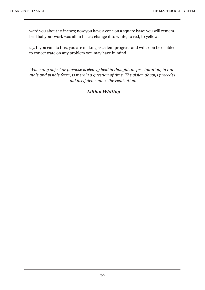ward you about 10 inches; now you have a cone on a square base; you will remember that your work was all in black; change it to white, to red, to yellow.

25. If you can do this, you are making excellent progress and will soon be enabled to concentrate on any problem you may have in mind.

*When any object or purpose is clearly held in thought, its precipitation, in tangible and visible form, is merely a question of time. The vision always precedes and itself determines the realization.*

*- Lillian Whiting*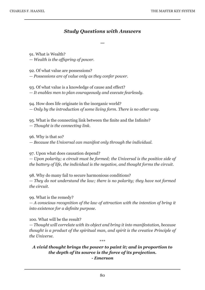## *Study Questions with Answers*

*—*

91. What is Wealth? *— Wealth is the offspring of power.*

92. Of what value are possessions? *— Possessions are of value only as they confer power.*

93. Of what value is a knowledge of cause and effect? *— It enables men to plan courageously and execute fearlessly.*

94. How does life originate in the inorganic world? *— Only by the introduction of some living form. There is no other way.*

95. What is the connecting link between the finite and the Infinite? *— Thought is the connecting link.* 

96. Why is that so?

*— Because the Universal can manifest only through the individual.*

97. Upon what does causation depend? *— Upon polarity; a circuit must be formed; the Universal is the positive side of the battery of life, the individual is the negative, and thought forms the circuit.* 

98. Why do many fail to secure harmonious conditions? *— They do not understand the law; there is no polarity; they have not formed the circuit.* 

99. What is the remedy?

*— A conscious recognition of the law of attraction with the intention of bring it into existence for a definite purpose.*

100. What will be the result?

*— Thought will correlate with its object and bring it into manifestation, because thought is a product of the spiritual man, and spirit is the creative Principle of the Universe.*

\*\*\*

*A vivid thought brings the power to paint it; and in proportion to the depth of its source is the force of its projection. - Emerson*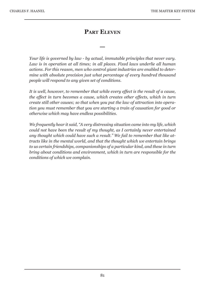## **PART ELEVEN**

**—**

*Your life is governed by law - by actual, immutable principles that never vary.*  Law is in operation at all times; in all places. Fixed laws underlie all human *actions. For this reason, men who control giant industries are enabled to determine with absolute precision just what percentage of every hundred thousand people will respond to any given set of conditions.* 

*It is well, however, to remember that while every effect is the result of a cause, the effect in turn becomes a cause, which creates other effects, which in turn create still other causes; so that when you put the law of attraction into operation you must remember that you are starting a train of causation for good or otherwise which may have endless possibilities.* 

*We frequently hear it said, "A very distressing situation came into my life, which could not have been the result of my thought, as I certainly never entertained any thought which could have such a result." We fail to remember that like attracts like in the mental world, and that the thought which we entertain brings to us certain friendships, companionships of a particular kind, and these in turn bring about conditions and environment, which in turn are responsible for the conditions of which we complain.*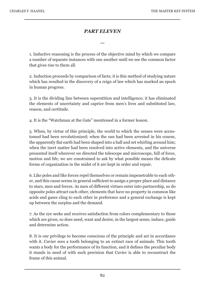### *PART ELEVEN*

*—*

1. Inductive reasoning is the process of the objective mind by which we compare a number of separate instances with one another until we see the common factor that gives rise to them all.

2. Induction proceeds by comparison of facts; it is this method of studying nature which has resulted in the discovery of a reign of law which has marked an epoch in human progress.

3. It is the dividing line between superstition and intelligence; it has eliminated the elements of uncertainty and caprice from men's lives and substituted law, reason, and certitude.

4. It is the "Watchman at the Gate" mentioned in a former lesson.

5. When, by virtue of this principle, the world to which the senses were accustomed had been revolutionized; when the sun had been arrested in his course, the apparently flat earth had been shaped into a ball and set whirling around him; when the inert matter had been resolved into active elements, and the universe presented itself wherever we directed the telescope and microscope, full of force, motion and life; we are constrained to ask by what possible means the delicate forms of organization in the midst of it are kept in order and repair.

6. Like poles and like forces repel themselves or remain impenetrable to each other, and this cause seems in general sufficient to assign a proper place and distance to stars, men and forces. As men of different virtues enter into partnership, so do opposite poles attract each other, elements that have no property in common like acids and gases cling to each other in preference and a general exchange is kept up between the surplus and the demand.

7. As the eye seeks and receives satisfaction from colors complementary to those which are given, so does need, want and desire, in the largest sense, induce, guide and determine action.

8. It is our privilege to become conscious of the principle and act in accordance with it. Cuvier sees a tooth belonging to an extinct race of animals. This tooth wants a body for the performance of its function, and it defines the peculiar body it stands in need of with such precision that Cuvier is able to reconstruct the frame of this animal.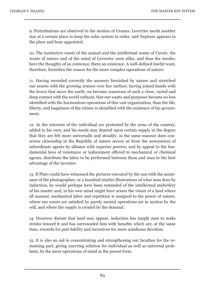9. Perturbations are observed in the motion of Uranus. Leverrier needs another star at a certain place to keep the solar system in order, and Neptune appears in the place and hour appointed.

10. The instinctive wants of the animal and the intellectual wants of Cuvier, the wants of nature and of the mind of Leverrier were alike, and thus the results; here the thoughts of an existence, there an existence. A well-defined lawful want, therefore, furnishes the reason for the more complex operations of nature.

11. Having recorded correctly the answers furnished by nature and stretched our senses with the growing science over her surface; having joined hands with the levers that move the earth; we become conscious of such a close, varied and deep contact with the world without, that our wants and purposes become no less identified with the harmonious operations of this vast organization, than the life, liberty, and happiness of the citizen is identified with the existence of his government.

12. As the interests of the individual are protected by the arms of the country, added to his own; and his needs may depend upon certain supply in the degree that they are felt more universally and steadily; in the same manner does conscious citizenship in the Republic of nature secure us from the annoyances of subordinate agents by alliance with superior powers; and by appeal to the fundamental laws of resistance or inducement offered to mechanical or chemical agents, distribute the labor to be performed between them and man to the best advantage of the inventor.

13. If Plato could have witnessed the pictures executed by the sun with the assistance of the photographer, or a hundred similar illustrations of what man does by induction, he would perhaps have been reminded of the intellectual midwifery of his master and, in his own mind might have arisen the vision of a land where all manual, mechanical labor and repetition is assigned to the power of nature, where our wants are satisfied by purely mental operations set in motion by the will, and where the supply is created by the demand.

14. However distant that land may appear, induction has taught men to make strides toward it and has surrounded him with benefits which are, at the same time, rewards for past fidelity and incentives for more assiduous devotion.

15. It is also an aid in concentrating and strengthening our faculties for the remaining part, giving unerring solution for individual as well as universal problems, by the mere operations of mind in the purest form.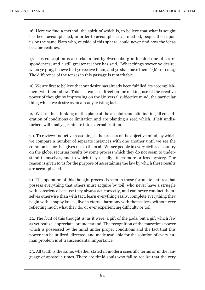16. Here we find a method, the spirit of which is, to believe that what is sought has been accomplished, in order to accomplish it: a method, bequeathed upon us by the same Plato who, outside of this sphere, could never find how the ideas became realities.

17. This conception is also elaborated by Swedenborg in his doctrine of correspondences; and a still greater teacher has said, "What things soever ye desire, when ye pray, believe that ye receive them, and ye shall have them." (Mark 11:24) The difference of the tenses in this passage is remarkable.

18. We are first to believe that our desire has already been fulfilled, its accomplishment will then follow. This is a concise direction for making use of the creative power of thought by impressing on the Universal subjective mind, the particular thing which we desire as an already existing fact.

19. We are thus thinking on the plane of the absolute and eliminating all consideration of conditions or limitation and are planting a seed which, if left undisturbed, will finally germinate into external fruition.

20. To review: Inductive reasoning is the process of the objective mind, by which we compare a number of separate instances with one another until we see the common factor that gives rise to them all. We see people in every civilized country on the globe, securing results by some process which they do not seem to understand themselves, and to which they usually attach more or less mystery. Our reason is given to us for the purpose of ascertaining the law by which these results are accomplished.

21. The operation of this thought process is seen in those fortunate natures that possess everything that others must acquire by toil, who never have a struggle with conscience because they always act correctly, and can never conduct themselves otherwise than with tact, learn everything easily, complete everything they begin with a happy knack, live in eternal harmony with themselves, without ever reflecting much what they do, or ever experiencing difficulty or toil.

22. The fruit of this thought is, as it were, a gift of the gods, but a gift which few as yet realize, appreciate, or understand. The recognition of the marvelous power which is possessed by the mind under proper conditions and the fact that this power can be utilized, directed, and made available for the solution of every human problem is of transcendental importance.

23. All truth is the same, whether stated in modern scientific terms or in the language of apostolic times. There are timid souls who fail to realize that the very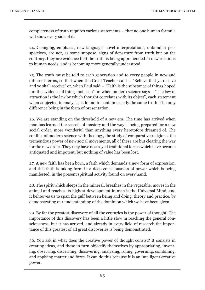completeness of truth requires various statements -- that no one human formula will show every side of it.

24. Changing, emphasis, new language, novel interpretations, unfamiliar perspectives, are not, as some suppose, signs of departure from truth but on the contrary, they are evidence that the truth is being apprehended in new relations to human needs, and is becoming more generally understood.

25. The truth must be told to each generation and to every people in new and different terms, so that when the Great Teacher said -- "Believe that ye receive and ye shall receive" or, when Paul said -- "Faith is the substance of things hoped for, the evidence of things not seen" or, when modern science says -- "The law of attraction is the law by which thought correlates with its object", each statement when subjected to analysis, is found to contain exactly the same truth. The only difference being in the form of presentation.

26. We are standing on the threshold of a new era. The time has arrived when man has learned the secrets of mastery and the way is being prepared for a new social order, more wonderful than anything every heretofore dreamed of. The conflict of modern science with theology, the study of comparative religions, the tremendous power of new social movements, all of these are but clearing the way for the new order. They may have destroyed traditional forms which have become antiquated and impotent, but nothing of value has been lost.

27. A new faith has been born, a faith which demands a new form of expression, and this faith is taking form in a deep consciousness of power which is being manifested, in the present spiritual activity found on every hand.

28. The spirit which sleeps in the mineral, breathes in the vegetable, moves in the animal and reaches its highest development in man is the Universal Mind, and it behooves us to span the gulf between being and doing, theory and practice, by demonstrating our understanding of the dominion which we have been given.

29. By far the greatest discovery of all the centuries is the power of thought. The importance of this discovery has been a little slow in reaching the general consciousness, but it has arrived, and already in every field of research the importance of this greatest of all great discoveries is being demonstrated.

30. You ask in what does the creative power of thought consist? It consists in creating ideas, and these in turn objectify themselves by appropriating, inventing, observing, discerning, discovering, analyzing, ruling, governing, combining, and applying matter and force. It can do this because it is an intelligent creative power.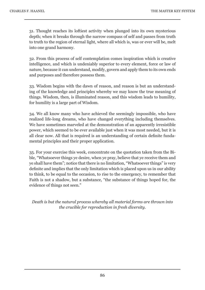31. Thought reaches its loftiest activity when plunged into its own mysterious depth; when it breaks through the narrow compass of self and passes from truth to truth to the region of eternal light, where all which is, was or ever will be, melt into one grand harmony.

32. From this process of self contemplation comes inspiration which is creative intelligence, and which is undeniably superior to every element, force or law of nature, because it can understand, modify, govern and apply them to its own ends and purposes and therefore possess them.

33. Wisdom begins with the dawn of reason, and reason is but an understanding of the knowledge and principles whereby we may know the true meaning of things. Wisdom, then, is illuminated reason, and this wisdom leads to humility, for humility is a large part of Wisdom.

34. We all know many who have achieved the seemingly impossible, who have realized life-long dreams, who have changed everything including themselves. We have sometimes marveled at the demonstration of an apparently irresistible power, which seemed to be ever available just when it was most needed, but it is all clear now. All that is required is an understanding of certain definite fundamental principles and their proper application.

35. For your exercise this week, concentrate on the quotation taken from the Bible, "Whatsoever things ye desire, when ye pray, believe that ye receive them and ye shall have them"; notice that there is no limitation, "Whatsoever things" is very definite and implies that the only limitation which is placed upon us in our ability to think, to be equal to the occasion, to rise to the emergency, to remember that Faith is not a shadow, but a substance, "the substance of things hoped for, the evidence of things not seen."

*Death is but the natural process whereby all material forms are thrown into the crucible for reproduction in fresh diversity.*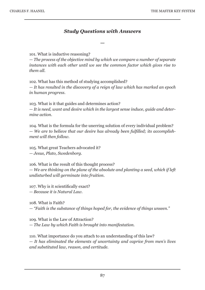## *Study Questions with Answers*

*—*

101. What is inductive reasoning?

*— The process of the objective mind by which we compare a number of separate instances with each other until we see the common factor which gives rise to them all.*

102. What has this method of studying accomplished? *— It has resulted in the discovery of a reign of law which has marked an epoch in human progress*.

103. What is it that guides and determines action? *— It is need, want and desire which in the largest sense induce, guide and determine action.*

104. What is the formula for the unerring solution of every individual problem? *— We are to believe that our desire has already been fulfilled; its accomplishment will then follow.* 

105. What great Teachers advocated it? *— Jesus, Plato, Swedenborg.* 

106. What is the result of this thought process? *— We are thinking on the plane of the absolute and planting a seed, which if left undisturbed will germinate into fruition.*

107. Why is it scientifically exact? *— Because it is Natural Law.*

108. What is Faith?

*— "Faith is the substance of things hoped for, the evidence of things unseen."* 

109. What is the Law of Attraction? *— The Law by which Faith is brought into manifestation.* 

110. What importance do you attach to an understanding of this law? *— It has eliminated the elements of uncertainty and caprice from men's lives and substituted law, reason, and certitude.*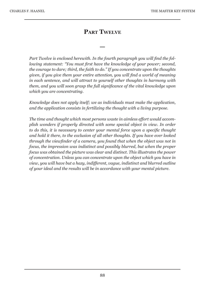# **PART TWELVE**

**—**

*Part Twelve is enclosed herewith. In the fourth paragraph you will find the following statement: "You must first have the knowledge of your power; second, the courage to dare; third, the faith to do." If you concentrate upon the thoughts given, if you give them your entire attention, you will find a world of meaning in each sentence, and will attract to yourself other thoughts in harmony with them, and you will soon grasp the full significance of the vital knowledge upon which you are concentrating.* 

*Knowledge does not apply itself; we as individuals must make the application, and the application consists in fertilizing the thought with a living purpose.* 

*The time and thought which most persons waste in aimless effort would accomplish wonders if properly directed with some special object in view. In order to do this, it is necessary to center your mental force upon a specific thought and hold it there, to the exclusion of all other thoughts. If you have ever looked through the viewfinder of a camera, you found that when the object was not in focus, the impression was indistinct and possibly blurred, but when the proper focus was obtained the picture was clear and distinct. This illustrates the power of concentration. Unless you can concentrate upon the object which you have in view, you will have but a hazy, indifferent, vague, indistinct and blurred outline of your ideal and the results will be in accordance with your mental picture.*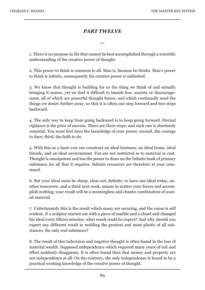#### *PART TWELVE*

*—*

1. There is no purpose in life that cannot be best accomplished through a scientific understanding of the creative power of thought.

2. This power to think is common to all. Man is, because he thinks. Man's power to think is infinite, consequently his creative power is unlimited.

3. We know that thought is building for us the thing we think of and actually bringing it nearer, yet we find it difficult to banish fear, anxiety or discouragement, all of which are powerful thought forces, and which continually send the things we desire further away, so that it is often one step forward and two steps backward.

4. The only way to keep from going backward is to keep going forward. Eternal vigilance is the price of success. There are three steps, and each one is absolutely essential. You must first have the knowledge of your power; second, the courage to dare; third, the faith to do.

5. With this as a basis you can construct an ideal business, an ideal home, ideal friends, and an ideal environment. You are not restricted as to material or cost. Thought is omnipotent and has the power to draw on the Infinite bank of primary substance for all that it requires. Infinite resources are therefore at your command.

6. But your ideal must be sharp, clear-cut, definite; to have one ideal today, another tomorrow, and a third next week, means to scatter your forces and accomplish nothing; your result will be a meaningless and chaotic combination of wasted material.

7. Unfortunately this is the result which many are securing, and the cause is self evident. If a sculptor started out with a piece of marble and a chisel and changed his ideal every fifteen minutes, what result could he expect? And why should you expect any different result in molding the greatest and most plastic of all substances, the only real substance?

8. The result of this indecision and negative thought is often found in the loss of material wealth. Supposed independence which required many years of toil and effort suddenly disappears. It is often found then that money and property are not independence at all. On the contrary, the only independence is found to be a practical working knowledge of the creative power of thought.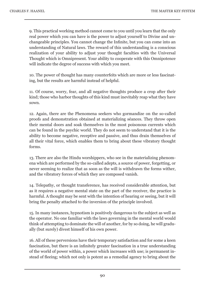9. This practical working method cannot come to you until you learn that the only real power which you can have is the power to adjust yourself to Divine and unchangeable principles. You cannot change the Infinite, but you can come into an understanding of Natural laws. The reward of this understanding is a conscious realization of your ability to adjust your thought faculties with the Universal Thought which is Omnipresent. Your ability to cooperate with this Omnipotence will indicate the degree of success with which you meet.

10. The power of thought has many counterfeits which are more or less fascinating, but the results are harmful instead of helpful.

11. Of course, worry, fear, and all negative thoughts produce a crop after their kind; those who harbor thoughts of this kind must inevitably reap what they have sown.

12. Again, there are the Phenomena seekers who gormandize on the so-called proofs and demonstration obtained at materializing séances. They throw open their mental doors and soak themselves in the most poisonous currents which can be found in the psychic world. They do not seem to understand that it is the ability to become negative, receptive and passive, and thus drain themselves of all their vital force, which enables them to bring about these vibratory thought forms.

13. There are also the Hindu worshippers, who see in the materializing phenomena which are performed by the so-called adepts, a source of power, forgetting, or never seeming to realize that as soon as the will is withdrawn the forms wither, and the vibratory forces of which they are composed vanish.

14. Telepathy, or thought transference, has received considerable attention, but as it requires a negative mental state on the part of the receiver, the practice is harmful. A thought may be sent with the intention of hearing or seeing, but it will bring the penalty attached to the inversion of the principle involved.

15. In many instances, hypnotism is positively dangerous to the subject as well as the operator. No one familiar with the laws governing in the mental world would think of attempting to dominate the will of another, for by so doing, he will gradually (but surely) divest himself of his own power.

16. All of these perversions have their temporary satisfaction and for some a keen fascination, but there is an infinitely greater fascination in a true understanding of the world of power within, a power which increases with use; is permanent instead of fleeing; which not only is potent as a remedial agency to bring about the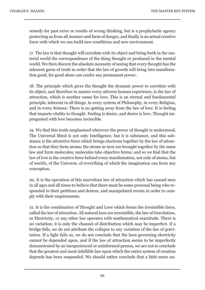remedy for past error or results of wrong thinking, but is a prophylactic agency protecting us from all manner and form of danger, and finally is an actual creative force with which we can build new conditions and new environment.

17. The law is that thought will correlate with its object and bring forth in the material world the correspondence of the thing thought or produced in the mental world. We then discern the absolute necessity of seeing that every thought has the inherent germ of truth in order that the law of growth will bring into manifestation good, for good alone can confer any permanent power.

18. The principle which gives the thought the dynamic power to correlate with its object, and therefore to master every adverse human experience, is the law of attraction, which is another name for love. This is an eternal and fundamental principle, inherent in all things, in every system of Philosophy, in every Religion, and in every Science. There is no getting away from the law of love. It is feeling that imparts vitality to thought. Feeling is desire, and desire is love. Thought impregnated with love becomes invincible.

19. We find this truth emphasized wherever the power of thought is understood, The Universal Mind is not only Intelligence, but it is substance, and this substance is the attractive force which brings electrons together by the law of attraction so that they form atoms; the atoms in turn are brought together by the same law and form molecules; molecules take objective forms; and so we find that the law of love is the creative force behind every manifestation, not only of atoms, but of worlds, of the Universe, of everything of which the imagination can form any conception.

20. It is the operation of this marvelous law of attraction which has caused men in all ages and all times to believe that there must be some personal being who responded to their petitions and desires, and manipulated events in order to comply with their requirements.

21. It is the combination of Thought and Love which forms the irresistible force, called the law of attraction. All natural laws are irresistible, the law of Gravitation, or Electricity, or any other law operates with mathematical exactitude. There is no variation; it is only the channel of distribution which may be imperfect. If a bridge falls, we do not attribute the collapse to any variation of the law of gravitation. If a light fails us, we do not conclude that the laws governing electricity cannot be depended upon, and if the law of attraction seems to be imperfectly demonstrated by an inexperienced or uninformed person, we are not to conclude that the greatest and most infallible law upon which the entire system of creation depends has been suspended. We should rather conclude that a little more un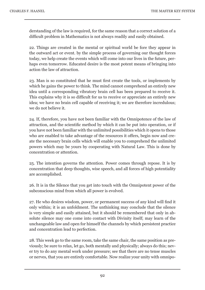derstanding of the law is required, for the same reason that a correct solution of a difficult problem in Mathematics is not always readily and easily obtained.

22. Things are created in the mental or spiritual world be fore they appear in the outward act or event. by the simple process of governing our thought forces today, we help create the events which will come into our lives in the future, perhaps even tomorrow. Educated desire is the most potent means of bringing into action the law of attraction.

23. Man is so constituted that he must first create the tools, or implements by which he gains the power to think. The mind cannot comprehend an entirely new idea until a corresponding vibratory brain cell has been prepared to receive it. This explains why it is so difficult for us to receive or appreciate an entirely new idea; we have no brain cell capable of receiving it; we are therefore incredulous; we do not believe it.

24. If, therefore, you have not been familiar with the Omnipotence of the law of attraction, and the scientific method by which it can be put into operation, or if you have not been familiar with the unlimited possibilities which it opens to those who are enabled to take advantage of the resources it offers, begin now and create the necessary brain cells which will enable you to comprehend the unlimited powers which may be yours by cooperating with Natural Law. This is done by concentration or attention.

25. The intention governs the attention. Power comes through repose. It is by concentration that deep thoughts, wise speech, and all forces of high potentiality are accomplished.

26. It is in the Silence that you get into touch with the Omnipotent power of the subconscious mind from which all power is evolved.

27. He who desires wisdom, power, or permanent success of any kind will find it only within; it is an unfoldment. The unthinking may conclude that the silence is very simple and easily attained, but it should be remembered that only in absolute silence may one come into contact with Divinity itself; may learn of the unchangeable law and open for himself the channels by which persistent practice and concentration lead to perfection.

28. This week go to the same room, take the same chair, the same position as previously; be sure to relax, let go, both mentally and physically; always do this; never try to do any mental work under pressure; see that there are no tense muscles or nerves, that you are entirely comfortable. Now realize your unity with omnipo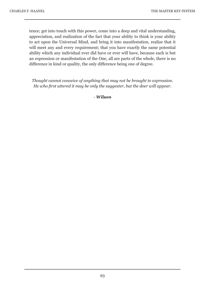tence; get into touch with this power, come into a deep and vital understanding, appreciation, and realization of the fact that your ability to think is your ability to act upon the Universal Mind, and bring it into manifestation, realize that it will meet any and every requirement; that you have exactly the same potential ability which any individual ever did have or ever will have, because each is but an expression or manifestation of the One, all are parts of the whole, there is no difference in kind or quality, the only difference being one of degree.

*Thought cannot conceive of anything that may not be brought to expression. He who first uttered it may be only the suggester, but the doer will appear.*

*- Wilson*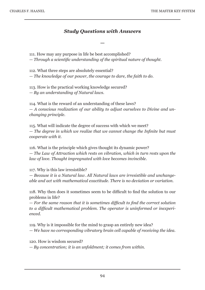#### *Study Questions with Answers*

*—*

111. How may any purpose in life be best accomplished? *— Through a scientific understanding of the spiritual nature of thought.*

112. What three steps are absolutely essential? *— The knowledge of our power, the courage to dare, the faith to do.*

113. How is the practical working knowledge secured? *— By an understanding of Natural laws.* 

114. What is the reward of an understanding of these laws? *— A conscious realization of our ability to adjust ourselves to Divine and unchanging principle.*

115. What will indicate the degree of success with which we meet? *— The degree in which we realize that we cannot change the Infinite but must cooperate with it.* 

116. What is the principle which gives thought its dynamic power? *— The Law of Attraction which rests on vibration, which in turn rests upon the law of love. Thought impregnated with love becomes invincible.* 

117. Why is this law irresistible?

*— Because it is a Natural law. All Natural laws are irresistible and unchangeable and act with mathematical exactitude. There is no deviation or variation.* 

118. Why then does it sometimes seem to be difficult to find the solution to our problems in life?

*— For the same reason that it is sometimes difficult to find the correct solution to a difficult mathematical problem. The operator is uninformed or inexperienced.* 

119. Why is it impossible for the mind to grasp an entirely new idea? *— We have no corresponding vibratory brain cell capable of receiving the idea.*

120. How is wisdom secured?

*— By concentration; it is an unfoldment; it comes from within.*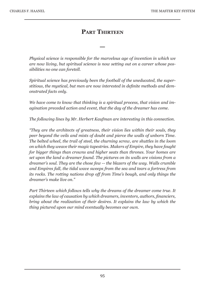# **PART THIRTEEN**

**—**

*Physical science is responsible for the marvelous age of invention in which we are now living, but spiritual science is now setting out on a career whose possibilities no one can foretell.* 

*Spiritual science has previously been the football of the uneducated, the superstitious, the mystical, but men are now interested in definite methods and demonstrated facts only.* 

*We have come to know that thinking is a spiritual process, that vision and imagination preceded action and event, that the day of the dreamer has come.* 

*The following lines by Mr. Herbert Kaufman are interesting in this connection.* 

*"They are the architects of greatness, their vision lies within their souls, they peer beyond the veils and mists of doubt and pierce the walls of unborn Time. The belted wheel, the trail of steel, the churning screw, are shuttles in the loom on which they weave their magic tapestries. Makers of Empire, they have fought for bigger things than crowns and higher seats than thrones. Your homes are set upon the land a dreamer found. The pictures on its walls are visions from a dreamer's soul. They are the chose few -- the blazers of the way. Walls crumble and Empires fall, the tidal wave sweeps from the sea and tears a fortress from its rocks. The rotting nations drop off from Time's bough, and only things the dreamer's make live on."* 

*Part Thirteen which follows tells why the dreams of the dreamer come true. It explains the law of causation by which dreamers, inventors, authors, financiers, bring about the realization of their desires. It explains the law by which the thing pictured upon our mind eventually becomes our own.*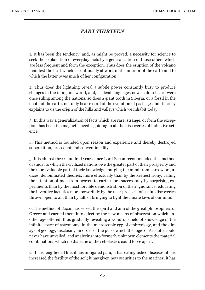### *PART THIRTEEN*

*—*

1. It has been the tendency, and, as might be proved, a necessity for science to seek the explanation of everyday facts by a generalization of those others which are less frequent and form the exception. Thus does the eruption of the volcano manifest the heat which is continually at work in the interior of the earth and to which the latter owes much of her configuration.

2. Thus does the lightning reveal a subtle power constantly busy to produce changes in the inorganic world, and, as dead languages now seldom heard were once ruling among the nations, so does a giant tooth in Siberia, or a fossil in the depth of the earth, not only bear record of the evolution of past ages, but thereby explains to us the origin of the hills and valleys which we inhabit today.

3. In this way a generalization of facts which are rare, strange, or form the exception, has been the magnetic needle guiding to all the discoveries of inductive science.

4. This method is founded upon reason and experience and thereby destroyed superstition, precedent and conventionality.

5. It is almost three-hundred years since Lord Bacon recommended this method of study, to which the civilized nations owe the greater part of their prosperity and the more valuable part of their knowledge; purging the mind from narrow prejudices, denominated theories, more effectually than by the keenest irony; calling the attention of men from heaven to earth more successfully by surprising experiments than by the most forcible demonstration of their ignorance; educating the inventive faculties more powerfully by the near prospect of useful discoveries thrown open to all, than by talk of bringing to light the innate laws of our mind.

6. The method of Bacon has seized the spirit and aim of the great philosophers of Greece and carried them into effect by the new means of observation which another age offered; thus gradually revealing a wondrous field of knowledge in the infinite space of astronomy, in the microscopic egg of embryology, and the dim age of geology; disclosing an order of the pulse which the logic of Aristotle could never have unveiled, and analyzing into formerly unknown elements the material combinations which no dialectic of the scholastics could force apart.

7. It has lengthened life; it has mitigated pain; it has extinguished diseases; it has increased the fertility of the soil; it has given new securities to the mariner; it has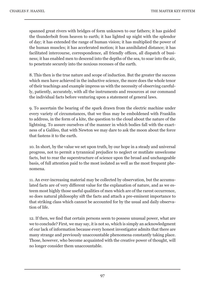spanned great rivers with bridges of form unknown to our fathers; it has guided the thunderbolt from heaven to earth; it has lighted up night with the splendor of day; it has extended the range of human vision; it has multiplied the power of the human muscles; it has accelerated motion; it has annihilated distance; it has facilitated intercourse, correspondence, all friendly offices, all dispatch of business; it has enabled men to descend into the depths of the sea, to soar into the air, to penetrate securely into the noxious recesses of the earth.

8. This then is the true nature and scope of induction. But the greater the success which men have achieved in the inductive science, the more does the whole tenor of their teachings and example impress us with the necessity of observing carefully, patiently, accurately, with all the instruments and resources at our command the individual facts before venturing upon a statement of general laws.

9. To ascertain the bearing of the spark drawn from the electric machine under every variety of circumstances, that we thus may be emboldened with Franklin to address, in the form of a kite, the question to the cloud about the nature of the lightning. To assure ourselves of the manner in which bodies fall with the exactness of a Galileo, that with Newton we may dare to ask the moon about the force that fastens it to the earth.

10. In short, by the value we set upon truth, by our hope in a steady and universal progress, not to permit a tyrannical prejudice to neglect or mutilate unwelcome facts, but to rear the superstructure of science upon the broad and unchangeable basis, of full attention paid to the most isolated as well as the most frequent phenomena.

11. An ever-increasing material may be collected by observation, but the accumulated facts are of very different value for the explanation of nature, and as we esteem most highly those useful qualities of men which are of the rarest occurrence, so does natural philosophy sift the facts and attach a pre-eminent importance to that striking class which cannot be accounted for by the usual and daily observation of life.

12. If then, we find that certain persons seem to possess unusual power, what are we to conclude? First, we may say, it is not so, which is simply an acknowledgment of our lack of information because every honest investigator admits that there are many strange and previously unaccountable phenomena constantly taking place. Those, however, who become acquainted with the creative power of thought, will no longer consider them unaccountable.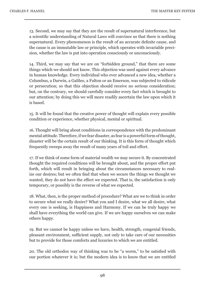13. Second, we may say that they are the result of supernatural interference, but a scientific understanding of Natural Laws will convince us that there is nothing supernatural. Every phenomenon is the result of an accurate definite cause, and the cause is an immutable law or principle, which operates with invariable precision, whether the law is put into operation consciously or unconsciously.

14. Third, we may say that we are on "forbidden ground," that there are some things which we should not know. This objection was used against every advance in human knowledge. Every individual who ever advanced a new idea, whether a Columbus, a Darwin, a Galileo, a Fulton or an Emerson, was subjected to ridicule or persecution; so that this objection should receive no serious consideration; but, on the contrary, we should carefully consider every fact which is brought to our attention; by doing this we will more readily ascertain the law upon which it is based.

15. It will be found that the creative power of thought will explain every possible condition or experience, whether physical, mental or spiritual.

16. Thought will bring about conditions in correspondence with the predominant mental attitude. Therefore, if we fear disaster, as fear is a powerful form of thought, disaster will be the certain result of our thinking. It is this form of thought which frequently sweeps away the result of many years of toil and effort.

17. If we think of some form of material wealth we may secure it. By concentrated thought the required conditions will be brought about, and the proper effort put forth, which will result in bringing about the circumstances necessary to realize our desires; but we often find that when we secure the things we thought we wanted, they do not have the effect we expected. That is, the satisfaction is only temporary, or possibly is the reverse of what we expected.

18. What, then, is the proper method of procedure? What are we to think in order to secure what we really desire? What you and I desire, what we all desire, what every one is seeking, is Happiness and Harmony. If we can be truly happy we shall have everything the world can give. If we are happy ourselves we can make others happy.

19. But we cannot be happy unless we have, health, strength, congenial friends, pleasant environment, sufficient supply, not only to take care of our necessities but to provide for those comforts and luxuries to which we are entitled.

20. The old orthodox way of thinking was to be "a worm," to be satisfied with our portion whatever it is; but the modern idea is to know that we are entitled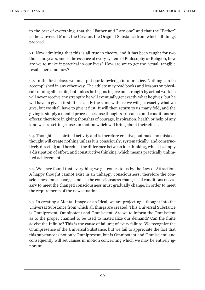to the best of everything, that the "Father and I are one" and that the "Father" is the Universal Mind, the Creator, the Original Substance from which all things proceed.

21. Now admitting that this is all true in theory, and it has been taught for two thousand years, and is the essence of every system of Philosophy or Religion, how are we to make it practical in our lives? How are we to get the actual, tangible results here and now?

22. In the first place, we must put our knowledge into practice. Nothing can be accomplished in any other way. The athlete may read books and lessons on physical training all his life, but unless he begins to give out strength by actual work he will never receive any strength; he will eventually get exactly what he gives; but he will have to give it first. It is exactly the same with us; we will get exactly what we give, but we shall have to give it first. It will then return to us many fold, and the giving is simply a mental process, because thoughts are causes and conditions are effects; therefore in giving thoughts of courage, inspiration, health or help of any kind we are setting causes in motion which will bring about their effect.

23. Thought is a spiritual activity and is therefore creative, but make no mistake, thought will create nothing unless it is consciously, systematically, and constructively directed; and herein is the difference between idle thinking, which is simply a dissipation of effort, and constructive thinking, which means practically unlimited achievement.

24. We have found that everything we get comes to us by the Law of Attraction. A happy thought cannot exist in an unhappy consciousness; therefore the consciousness must change, and, as the consciousness changes, all conditions necessary to meet the changed consciousness must gradually change, in order to meet the requirements of the new situation.

25. In creating a Mental Image or an Ideal, we are projecting a thought into the Universal Substance from which all things are created. This Universal Substance is Omnipresent, Omnipotent and Omniscient. Are we to inform the Omniscient as to the proper channel to be used to materialize our demand? Can the finite advise the Infinite? This is the cause of failure; of every failure. We recognize the Omnipresence of the Universal Substance, but we fail to appreciate the fact that this substance is not only Omnipresent, but is Omnipotent and Omniscient, and consequently will set causes in motion concerning which we may be entirely ignorant.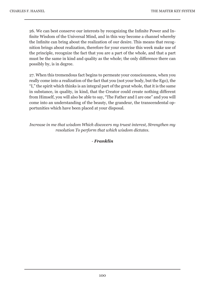26. We can best conserve our interests by recognizing the Infinite Power and Infinite Wisdom of the Universal Mind, and in this way become a channel whereby the Infinite can bring about the realization of our desire. This means that recognition brings about realization, therefore for your exercise this week make use of the principle, recognize the fact that you are a part of the whole, and that a part must be the same in kind and quality as the whole; the only difference there can possibly by, is in degree.

27. When this tremendous fact begins to permeate your consciousness, when you really come into a realization of the fact that you (not your body, but the Ego), the "I," the spirit which thinks is an integral part of the great whole, that it is the same in substance, in quality, in kind, that the Creator could create nothing different from Himself, you will also be able to say, "The Father and I are one" and you will come into an understanding of the beauty, the grandeur, the transcendental opportunities which have been placed at your disposal.

*Increase in me that wisdom Which discovers my truest interest, Strengthen my resolution To perform that which wisdom dictates.*

*- Franklin*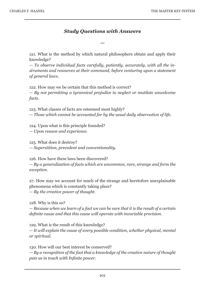### *Study Questions with Answers*

*—*

121. What is the method by which natural philosophers obtain and apply their knowledge?

*— To observe individual facts carefully, patiently, accurately, with all the instruments and resources at their command, before venturing upon a statement of general laws.* 

122. How may we be certain that this method is correct? *— By not permitting a tyrannical prejudice to neglect or mutilate unwelcome facts.*

123. What classes of facts are esteemed most highly? *— Those which cannot be accounted for by the usual daily observation of life.*

124. Upon what is this principle founded? *— Upon reason and experience.*

125. What does it destroy?

*— Superstition, precedent and conventionality.*

126. How have these laws been discovered? *— By a generalization of facts which are uncommon, rare, strange and form the exception.*

27. How may we account for much of the strange and heretofore unexplainable phenomena which is constantly taking place? *— By the creative power of thought.*

128. Why is this so?

*— Because when we learn of a fact we can be sure that it is the result of a certain definite cause and that this cause will operate with invariable precision.*

129. What is the result of this knowledge? *— It will explain the cause of every possible condition, whether physical, mental or spiritual.*

130. How will our best interest be conserved? *— By a recognition of the fact that a knowledge of the creative nature of thought puts us in touch with Infinite power.*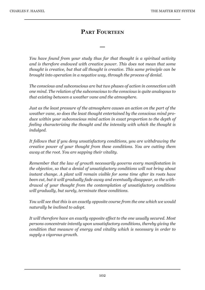# **PART FOURTEEN**

**—**

*You have found from your study thus far that thought is a spiritual activity and is therefore endowed with creative power. This does not mean that some thought is creative, but that all thought is creative. This same principle can be brought into operation in a negative way, through the process of denial.* 

*The conscious and subconscious are but two phases of action in connection with one mind. The relation of the subconscious to the conscious is quite analogous to that existing between a weather vane and the atmosphere.* 

*Just as the least pressure of the atmosphere causes an action on the part of the weather vane, so does the least thought entertained by the conscious mind produce within your subconscious mind action in exact proportion to the depth of feeling characterizing the thought and the intensity with which the thought is indulged.* 

*It follows that if you deny unsatisfactory conditions, you are withdrawing the creative power of your thought from these conditions. You are cutting them away at the root. You are sapping their vitality.* 

*Remember that the law of growth necessarily governs every manifestation in the objective, so that a denial of unsatisfactory conditions will not bring about instant change. A plant will remain visible for some time after its roots have been cut, but it will gradually fade away and eventually disappear, so the withdrawal of your thought from the contemplation of unsatisfactory conditions will gradually, but surely, terminate these conditions.* 

*You will see that this is an exactly opposite course from the one which we would naturally be inclined to adopt.* 

*It will therefore have an exactly opposite effect to the one usually secured. Most persons concentrate intently upon unsatisfactory conditions, thereby giving the condition that measure of energy and vitality which is necessary in order to supply a vigorous growth.*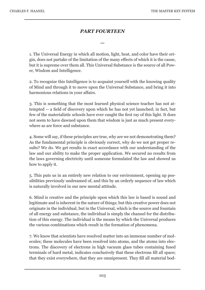### *PART FOURTEEN*

*—*

1. The Universal Energy in which all motion, light, heat, and color have their origin, does not partake of the limitation of the many effects of which it is the cause, but it is supreme over them all. This Universal Substance is the source of all Power, Wisdom and Intelligence.

2. To recognize this Intelligence is to acquaint yourself with the knowing quality of Mind and through it to move upon the Universal Substance, and bring it into harmonious relations in your affairs.

3. This is something that the most learned physical science teacher has not attempted -- a field of discovery upon which he has not yet launched; in fact, but few of the materialistic schools have ever caught the first ray of this light. It does not seem to have dawned upon them that wisdom is just as much present everywhere as are force and substance.

4. Some will say, if these principles are true, why are we not demonstrating them? As the fundamental principle is obviously correct, why do we not get proper results? We do. We get results in exact accordance with our understanding of the law and our ability to make the proper application. We secured no results from the laws governing electricity until someone formulated the law and showed us how to apply it.

5. This puts us in an entirely new relation to our environment, opening up possibilities previously undreamed of, and this by an orderly sequence of law which is naturally involved in our new mental attitude.

6. Mind is creative and the principle upon which this law is based is sound and legitimate and is inherent in the nature of things; but this creative power does not originate in the individual, but in the Universal, which is the source and fountain of all energy and substance, the individual is simply the channel for the distribution of this energy. The individual is the means by which the Universal produces the various combinations which result in the formation of phenomena.

7. We know that scientists have resolved matter into an immense number of molecules; these molecules have been resolved into atoms, and the atoms into electrons. The discovery of electrons in high vacuum glass tubes containing fused terminals of hard metal, indicates conclusively that these electrons fill all space; that they exist everywhere, that they are omnipresent. They fill all material bod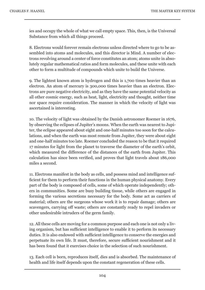ies and occupy the whole of what we call empty space. This, then, is the Universal Substance from which all things proceed.

8. Electrons would forever remain electrons unless directed where to go to be assembled into atoms and molecules, and this director is Mind. A number of electrons revolving around a center of force constitutes an atom; atoms unite in absolutely regular mathematical ratios and form molecules, and these unite with each other to form a multitude of compounds which unite to build the Universe.

9. The lightest known atom is hydrogen and this is 1,700 times heavier than an electron. An atom of mercury is 300,000 times heavier than an electron. Electrons are pure negative electricity, and as they have the same potential velocity as all other cosmic energy, such as heat, light, electricity and thought, neither time nor space require consideration. The manner in which the velocity of light was ascertained is interesting.

10. The velocity of light was obtained by the Danish astronomer Roemer in 1676, by observing the eclipses of Jupiter's moons. When the earth was nearest to Jupiter, the eclipse appeared about eight and one-half minutes too soon for the calculations, and when the earth was most remote from Jupiter, they were about eight and one-half minutes too late. Roemer concluded the reason to be that it required 17 minutes for light from the planet to traverse the diameter of the earth's orbit, which measured the difference of the distances of the earth from Jupiter. This calculation has since been verified, and proves that light travels about 186,000 miles a second.

11. Electrons manifest in the body as cells, and possess mind and intelligence sufficient for them to perform their functions in the human physical anatomy. Every part of the body is composed of cells, some of which operate independently; others in communities. Some are busy building tissue, while others are engaged in forming the various secretions necessary for the body. Some act as carriers of material; others are the surgeons whose work it is to repair damage; others are scavengers, carrying off waste; others are constantly ready to repel invaders or other undesirable intruders of the germ family.

12. All these cells are moving for a common purpose and each one is not only a living organism, but has sufficient intelligence to enable it to perform its necessary duties. It is also endowed with sufficient intelligence to conserve the energies and perpetuate its own life. It must, therefore, secure sufficient nourishment and it has been found that it exercises choice in the selection of such nourishment.

13. Each cell is born, reproduces itself, dies and is absorbed. The maintenance of health and life itself depends upon the constant regeneration of these cells.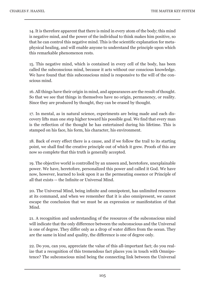14. It is therefore apparent that there is mind in every atom of the body; this mind is negative mind, and the power of the individual to think makes him positive, so that he can control this negative mind. This is the scientific explanation for metaphysical healing, and will enable anyone to understand the principle upon which this remarkable phenomenon rests.

15. This negative mind, which is contained in every cell of the body, has been called the subconscious mind, because it acts without our conscious knowledge. We have found that this subconscious mind is responsive to the will of the conscious mind.

16. All things have their origin in mind, and appearances are the result of thought. So that we see that things in themselves have no origin, permanency, or reality. Since they are produced by thought, they can be erased by thought.

17. In mental, as in natural science, experiments are being made and each discovery lifts man one step higher toward his possible goal. We find that every man is the reflection of the thought he has entertained during his lifetime. This is stamped on his face, his form, his character, his environment.

18. Back of every effect there is a cause, and if we follow the trail to its starting point, we shall find the creative principle out of which it grew. Proofs of this are now so complete that this truth is generally accepted.

19. The objective world is controlled by an unseen and, heretofore, unexplainable power. We have, heretofore, personalized this power and called it God. We have now, however, learned to look upon it as the permeating essence or Principle of all that exists -- the Infinite or Universal Mind.

20. The Universal Mind, being infinite and omnipotent, has unlimited resources at its command, and when we remember that it is also omnipresent, we cannot escape the conclusion that we must be an expression or manifestation of that Mind.

21. A recognition and understanding of the resources of the subconscious mind will indicate that the only difference between the subconscious and the Universal is one of degree. They differ only as a drop of water differs from the ocean. They are the same in kind and quality, the difference is one of degree only.

22. Do you, can you, appreciate the value of this all-important fact; do you realize that a recognition of this tremendous fact places you in touch with Omnipotence? The subconscious mind being the connecting link between the Universal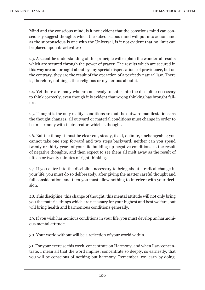Mind and the conscious mind, is it not evident that the conscious mind can consciously suggest thoughts which the subconscious mind will put into action, and as the subconscious is one with the Universal, is it not evident that no limit can be placed upon its activities?

23. A scientific understanding of this principle will explain the wonderful results which are secured through the power of prayer. The results which are secured in this way are not brought about by any special dispensations of providence, but on the contrary, they are the result of the operation of a perfectly natural law. There is, therefore, nothing either religious or mysterious about it.

24. Yet there are many who are not ready to enter into the discipline necessary to think correctly, even though it is evident that wrong thinking has brought failure.

25. Thought is the only reality; conditions are but the outward manifestations; as the thought changes, all outward or material conditions must change in order to be in harmony with their creator, which is thought.

26. But the thought must be clear cut, steady, fixed, definite, unchangeable; you cannot take one step forward and two steps backward, neither can you spend twenty or thirty years of your life building up negative conditions as the result of negative thoughts, and then expect to see them all melt away as the result of fifteen or twenty minutes of right thinking.

27. If you enter into the discipline necessary to bring about a radical change in your life, you must do so deliberately, after giving the matter careful thought and full consideration, and then you must allow nothing to interfere with your decision.

28. This discipline, this change of thought, this mental attitude will not only bring you the material things which are necessary for your highest and best welfare, but will bring health and harmonious conditions generally.

29. If you wish harmonious conditions in your life, you must develop an harmonious mental attitude.

30. Your world without will be a reflection of your world within.

31. For your exercise this week, concentrate on Harmony, and when I say concentrate, I mean all that the word implies; concentrate so deeply, so earnestly, that you will be conscious of nothing but harmony. Remember, we learn by doing.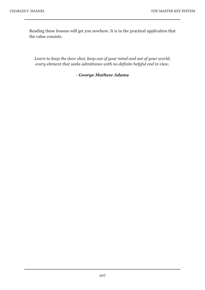Reading these lessons will get you nowhere. It is in the practical application that the value consists.

*Learn to keep the door shut, keep out of your mind and out of your world, every element that seeks admittance with no definite helpful end in view.*

#### *- George Mathew Adams*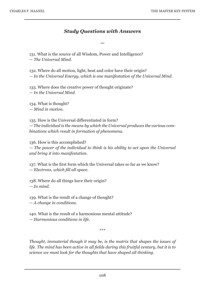### *Study Questions with Answers*

*—*

131. What is the source of all Wisdom, Power and Intelligence? *— The Universal Mind.*

132. Where do all motion, light, heat and color have their origin? *— In the Universal Energy, which is one manifestation of the Universal Mind.*

133. Where does the creative power of thought originate? *— In the Universal Mind.*

134. What is thought? *— Mind in motion.*

135. How is the Universal differentiated in form? *— The individual is the means by which the Universal produces the various combinations which result in formation of phenomena.* 

136. How is this accomplished? *— The power of the individual to think is his ability to act upon the Universal and bring it into manifestation.*

137. What is the first form which the Universal takes so far as we know? *— Electrons, which fill all space.*

138. Where do all things have their origin? *— In mind.* 

139. What is the result of a change of thought? *— A change in conditions.*

140. What is the result of a harmonious mental attitude? *— Harmonious conditions in life.*

\*\*\*

*Thought, immaterial though it may be, is the matrix that shapes the issues of life. The mind has been active in all fields during this fruitful century, but it is to science we must look for the thoughts that have shaped all thinking.*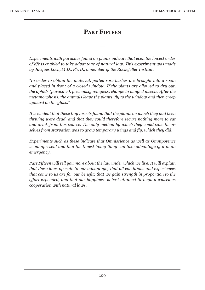## **PART FIFTEEN**

**—**

*Experiments with parasites found on plants indicate that even the lowest order of life is enabled to take advantage of natural law. This experiment was made by Jacques Loch, M.D., Ph. D., a member of the Rockefeller Institute.* 

*"In order to obtain the material, potted rose bushes are brought into a room and placed in front of a closed window. If the plants are allowed to dry out, the aphids (parasites), previously wingless, change to winged insects. After the metamorphosis, the animals leave the plants, fly to the window and then creep upward on the glass."* 

*It is evident that these tiny insects found that the plants on which they had been thriving were dead, and that they could therefore secure nothing more to eat and drink from this source. The only method by which they could save themselves from starvation was to grow temporary wings and fly, which they did.* 

*Experiments such as these indicate that Omniscience as well as Omnipotence is omnipresent and that the tiniest living thing can take advantage of it in an emergency.* 

*Part Fifteen will tell you more about the law under which we live. It will explain that these laws operate to our advantage; that all conditions and experiences that come to us are for our benefit; that we gain strength in proportion to the effort expended, and that our happiness is best attained through a conscious cooperation with natural laws.*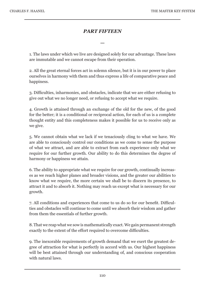### *PART FIFTEEN*

*—*

1. The laws under which we live are designed solely for our advantage. These laws are immutable and we cannot escape from their operation.

2. All the great eternal forces act in solemn silence, but it is in our power to place ourselves in harmony with them and thus express a life of comparative peace and happiness.

3. Difficulties, inharmonies, and obstacles, indicate that we are either refusing to give out what we no longer need, or refusing to accept what we require.

4. Growth is attained through an exchange of the old for the new, of the good for the better; it is a conditional or reciprocal action, for each of us is a complete thought entity and this completeness makes it possible for us to receive only as we give.

5. We cannot obtain what we lack if we tenaciously cling to what we have. We are able to consciously control our conditions as we come to sense the purpose of what we attract, and are able to extract from each experience only what we require for our further growth. Our ability to do this determines the degree of harmony or happiness we attain.

6. The ability to appropriate what we require for our growth, continually increases as we reach higher planes and broader visions, and the greater our abilities to know what we require, the more certain we shall be to discern its presence, to attract it and to absorb it. Nothing may reach us except what is necessary for our growth.

7. All conditions and experiences that come to us do so for our benefit. Difficulties and obstacles will continue to come until we absorb their wisdom and gather from them the essentials of further growth.

8. That we reap what we sow is mathematically exact. We gain permanent strength exactly to the extent of the effort required to overcome difficulties.

9. The inexorable requirements of growth demand that we exert the greatest degree of attraction for what is perfectly in accord with us. Our highest happiness will be best attained through our understanding of, and conscious cooperation with natural laws.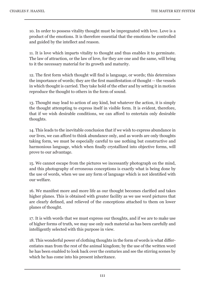10. In order to possess vitality thought must be impregnated with love. Love is a product of the emotions. It is therefore essential that the emotions be controlled and guided by the intellect and reason.

11. It is love which imparts vitality to thought and thus enables it to germinate. The law of attraction, or the law of love, for they are one and the same, will bring to it the necessary material for its growth and maturity.

12. The first form which thought will find is language, or words; this determines the importance of words; they are the first manifestation of thought -- the vessels in which thought is carried. They take hold of the ether and by setting it in motion reproduce the thought to others in the form of sound.

13. Thought may lead to action of any kind, but whatever the action, it is simply the thought attempting to express itself in visible form. It is evident, therefore, that if we wish desirable conditions, we can afford to entertain only desirable thoughts.

14. This leads to the inevitable conclusion that if we wish to express abundance in our lives, we can afford to think abundance only, and as words are only thoughts taking form, we must be especially careful to use nothing but constructive and harmonious language, which when finally crystallized into objective forms, will prove to our advantage.

15. We cannot escape from the pictures we incessantly photograph on the mind, and this photography of erroneous conceptions is exactly what is being done by the use of words, when we use any form of language which is not identified with our welfare.

16. We manifest more and more life as our thought becomes clarified and takes higher planes. This is obtained with greater facility as we use word pictures that are clearly defined, and relieved of the conceptions attached to them on lower planes of thought.

17. It is with words that we must express our thoughts, and if we are to make use of higher forms of truth, we may use only such material as has been carefully and intelligently selected with this purpose in view.

18. This wonderful power of clothing thoughts in the form of words is what differentiates man from the rest of the animal kingdom; by the use of the written word he has been enabled to look back over the centuries and see the stirring scenes by which he has come into his present inheritance.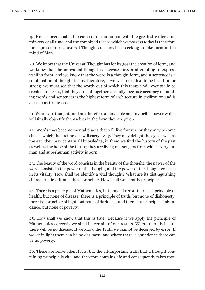19. He has been enabled to come into communion with the greatest writers and thinkers of all time, and the combined record which we possess today is therefore the expression of Universal Thought as it has been seeking to take form in the mind of Man.

20. We know that the Universal Thought has for its goal the creation of form, and we know that the individual thought is likewise forever attempting to express itself in form, and we know that the word is a thought form, and a sentence is a combination of thought forms, therefore, if we wish our ideal to be beautiful or strong, we must see that the words out of which this temple will eventually be created are exact, that they are put together carefully, because accuracy in building words and sentences is the highest form of architecture in civilization and is a passport to success.

21. Words are thoughts and are therefore an invisible and invincible power which will finally objectify themselves in the form they are given.

22. Words may become mental places that will live forever, or they may become shacks which the first breeze will carry away. They may delight the eye as well as the ear; they may contain all knowledge; in them we find the history of the past as well as the hope of the future; they are living messengers from which every human and superhuman activity is born.

23. The beauty of the word consists in the beauty of the thought; the power of the word consists in the power of the thought, and the power of the thought consists in its vitality. How shall we identify a vital thought? What are its distinguishing characteristics? It must have principle. How shall we identify principle?

24. There is a principle of Mathematics, but none of error; there is a principle of health, but none of disease; there is a principle of truth, but none of dishonesty; there is a principle of light, but none of darkness, and there is a principle of abundance, but none of poverty.

25. How shall we know that this is true? Because if we apply the principle of Mathematics correctly we shall be certain of our results. Where there is health there will be no disease. If we know the Truth we cannot be deceived by error. If we let in light there can be no darkness, and where there is abundance there can be no poverty.

26. These are self-evident facts, but the all-important truth that a thought containing principle is vital and therefore contains life and consequently takes root,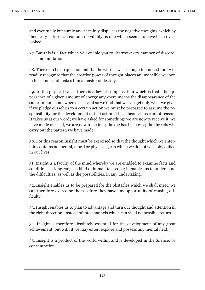and eventually but surely and certainly displaces the negative thoughts, which by their very nature can contain no vitality, is one which seems to have been overlooked.

27. But this is a fact which will enable you to destroy every manner of discord, lack and limitation.

28. There can be no question but that he who "is wise enough to understand" will readily recognize that the creative power of thought places an invincible weapon in his hands and makes him a master of destiny.

29. In the physical world there is a law of compensation which is that "the appearance of a given amount of energy anywhere means the disappearance of the same amount somewhere else," and so we find that we can get only what we give; if we pledge ourselves to a certain action we must be prepared to assume the responsibility for the development of that action. The subconscious cannot reason. It takes us at our word; we have asked for something; we are now to receive it; we have made our bed, we are now to lie in it; the die has been cast; the threads will carry out the pattern we have made.

30. For this reason Insight must be exercised so that the thought which we entertain contains no mental, moral or physical germ which we do not wish objectified in our lives.

31. Insight is a faculty of the mind whereby we are enabled to examine facts and conditions at long range, a kind of human telescope; it enables us to understand the difficulties, as well as the possibilities, in any undertaking.

32. Insight enables us to be prepared for the obstacles which we shall meet; we can therefore overcome them before they have any opportunity of causing difficulty.

33. Insight enables us to plan to advantage and turn our thought and attention in the right direction, instead of into channels which can yield no possible return.

34. Insight is therefore absolutely essential for the development of any great achievement, but with it we may enter, explore and possess any mental field.

35. Insight is a product of the world within and is developed in the Silence, by concentration.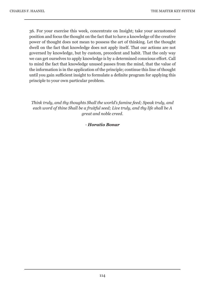36. For your exercise this week, concentrate on Insight; take your accustomed position and focus the thought on the fact that to have a knowledge of the creative power of thought does not mean to possess the art of thinking. Let the thought dwell on the fact that knowledge does not apply itself. That our actions are not governed by knowledge, but by custom, precedent and habit. That the only way we can get ourselves to apply knowledge is by a determined conscious effort. Call to mind the fact that knowledge unused passes from the mind, that the value of the information is in the application of the principle; continue this line of thought until you gain sufficient insight to formulate a definite program for applying this principle to your own particular problem.

*Think truly, and thy thoughts Shall the world's famine feed; Speak truly, and each word of thine Shall be a fruitful seed; Live truly, and thy life shall be A great and noble creed.*

#### *- Horatio Bonar*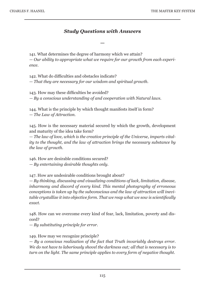### *Study Questions with Answers*

*—*

141. What determines the degree of harmony which we attain? *— Our ability to appropriate what we require for our growth from each experience.* 

142. What do difficulties and obstacles indicate? *— That they are necessary for our wisdom and spiritual growth.*

143. How may these difficulties be avoided? *— By a conscious understanding of and cooperation with Natural laws.*

144. What is the principle by which thought manifests itself in form? *— The Law of Attraction.*

145. How is the necessary material secured by which the growth, development and maturity of the idea take form?

*— The law of love, which is the creative principle of the Universe, imparts vitality to the thought, and the law of attraction brings the necessary substance by the law of growth.* 

146. How are desirable conditions secured? *— By entertaining desirable thoughts only.*

147. How are undesirable conditions brought about?

*— By thinking, discussing and visualizing conditions of lack, limitation, disease, inharmony and discord of every kind. This mental photography of erroneous conceptions is taken up by the subconscious and the law of attraction will inevitable crystallize it into objective form. That we reap what we sow is scientifically exact.* 

148. How can we overcome every kind of fear, lack, limitation, poverty and discord?

*— By substituting principle for error.*

149. How may we recognize principle?

*— By a conscious realization of the fact that Truth invariably destroys error. We do not have to laboriously shovel the darkness out; all that is necessary is to turn on the light. The same principle applies to every form of negative thought.*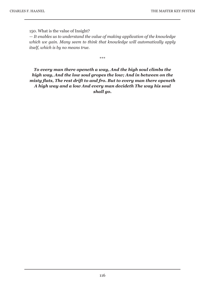150. What is the value of Insight?

*— It enables us to understand the value of making application of the knowledge which we gain. Many seem to think that knowledge will automatically apply itself, which is by no means true.* 

\*\*\*

*To every man there openeth a way, And the high soul climbs the high way, And the low soul gropes the low; And in between on the misty flats, The rest drift to and fro. But to every man there openeth A high way and a low And every man decideth The way his soul shall go.*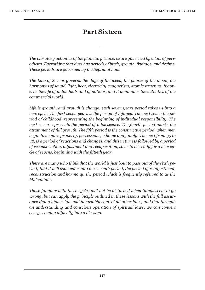# **Part Sixteen**

**—**

*The vibratory activities of the planetary Universe are governed by a law of periodicity. Everything that lives has periods of birth, growth, fruitage, and decline. These periods are governed by the Septimal Law.* 

*The Law of Sevens governs the days of the week, the phases of the moon, the harmonies of sound, light, heat, electricity, magnetism, atomic structure. It governs the life of individuals and of nations, and it dominates the activities of the commercial world.* 

*Life is growth, and growth is change, each seven years period takes us into a new cycle. The first seven years is the period of infancy. The next seven the period of childhood, representing the beginning of individual responsibility. The next seven represents the period of adolescence. The fourth period marks the attainment of full growth. The fifth period is the constructive period, when men begin to acquire property, possessions, a home and family. The next from 35 to 42, is a period of reactions and changes, and this in turn is followed by a period of reconstruction, adjustment and recuperation, so as to be ready for a new cycle of sevens, beginning with the fiftieth year.* 

*There are many who think that the world is just bout to pass out of the sixth period; that it will soon enter into the seventh period, the period of readjustment, reconstruction and harmony; the period which is frequently referred to as the Millennium.* 

*Those familiar with these cycles will not be disturbed when things seem to go wrong, but can apply the principle outlined in these lessons with the full assurance that a higher law will invariably control all other laws, and that through an understanding and conscious operation of spiritual laws, we can convert every seeming difficulty into a blessing.*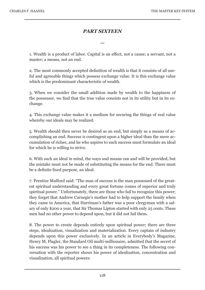### *PART SIXTEEN*

*—*

1. Wealth is a product of labor. Capital is an effect, not a cause; a servant, not a master; a means, not an end.

2. The most commonly accepted definition of wealth is that it consists of all useful and agreeable things which possess exchange value. It is this exchange value which is the predominant characteristic of wealth.

3. When we consider the small addition made by wealth to the happiness of the possessor, we find that the true value consists not in its utility but in its exchange.

4. This exchange value makes it a medium for securing the things of real value whereby our ideals may be realized.

5. Wealth should then never be desired as an end, but simply as a means of accomplishing an end. Success is contingent upon a higher ideal than the mere accumulation of riches, and he who aspires to such success must formulate an ideal for which he is willing to strive.

6. With such an ideal in mind, the ways and means can and will be provided, but the mistake must not be made of substituting the means for the end. There must be a definite fixed purpose, an ideal.

7. Prentice Mulford said: "The man of success is the man possessed of the greatest spiritual understanding and every great fortune comes of superior and truly spiritual power." Unfortunately, there are those who fail to recognize this power; they forget that Andrew Carnegie's mother had to help support the family when they came to America, that Harriman's father was a poor clergyman with a salary of only \$200 a year, that Sir Thomas Lipton started with only 25 cents. These men had no other power to depend upon, but it did not fail them.

8. The power to create depends entirely upon spiritual power; there are three steps, idealization, visualization and materialization. Every captain of industry depends upon this power exclusively. In an article in Everybody's Magazine, Henry M. Flagler, the Standard Oil multi-millionaire, admitted that the secret of his success was his power to see a thing in its completeness. The following conversation with the reporter shows his power of idealization, concentration and visualization, all spiritual powers: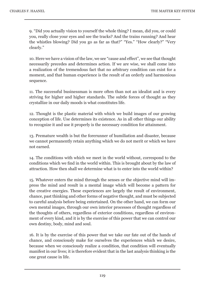9. "Did you actually vision to yourself the whole thing? I mean, did you, or could you, really close your eyes and see the tracks? And the trains running? And hear the whistles blowing? Did you go as far as that?" "Yes." "How clearly?" "Very clearly."

10. Here we have a vision of the law, we see "cause and effect", we see that thought necessarily precedes and determines action. If we are wise, we shall come into a realization of the tremendous fact that no arbitrary condition can exist for a moment, and that human experience is the result of an orderly and harmonious sequence.

11. The successful businessman is more often than not an idealist and is every striving for higher and higher standards. The subtle forces of thought as they crystallize in our daily moods is what constitutes life.

12. Thought is the plastic material with which we build images of our growing conception of life. Use determines its existence. As in all other things our ability to recognize it and use it properly is the necessary condition for attainment.

13. Premature wealth is but the forerunner of humiliation and disaster, because we cannot permanently retain anything which we do not merit or which we have not earned.

14. The conditions with which we meet in the world without, correspond to the conditions which we find in the world within. This is brought about by the law of attraction. How then shall we determine what is to enter into the world within?

15. Whatever enters the mind through the senses or the objective mind will impress the mind and result in a mental image which will become a pattern for the creative energies. These experiences are largely the result of environment, chance, past thinking and other forms of negative thought, and must be subjected to careful analysis before being entertained. On the other hand, we can form our own mental images, through our own interior processes of thought regardless of the thoughts of others, regardless of exterior conditions, regardless of environment of every kind, and it is by the exercise of this power that we can control our own destiny, body, mind and soul.

16. It is by the exercise of this power that we take our fate out of the hands of chance, and consciously make for ourselves the experiences which we desire, because when we consciously realize a condition, that condition will eventually manifest in our lives; it is therefore evident that in the last analysis thinking is the one great cause in life.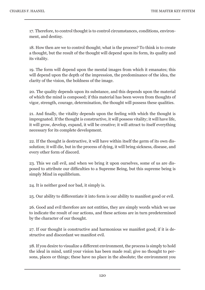17. Therefore, to control thought is to control circumstances, conditions, environment, and destiny.

18. How then are we to control thought; what is the process? To think is to create a thought, but the result of the thought will depend upon its form, its quality and its vitality.

19. The form will depend upon the mental images from which it emanates; this will depend upon the depth of the impression, the predominance of the idea, the clarity of the vision, the boldness of the image.

20. The quality depends upon its substance, and this depends upon the material of which the mind is composed; if this material has been woven from thoughts of vigor, strength, courage, determination, the thought will possess these qualities.

21. And finally, the vitality depends upon the feeling with which the thought is impregnated. If the thought is constructive, it will possess vitality; it will have life, it will grow, develop, expand, it will be creative; it will attract to itself everything necessary for its complete development.

22. If the thought is destructive, it will have within itself the germ of its own dissolution; it will die, but in the process of dying, it will bring sickness, disease, and every other form of discord.

23. This we call evil, and when we bring it upon ourselves, some of us are disposed to attribute our difficulties to a Supreme Being, but this supreme being is simply Mind in equilibrium.

24. It is neither good nor bad, it simply is.

25. Our ability to differentiate it into form is our ability to manifest good or evil.

26. Good and evil therefore are not entities, they are simply words which we use to indicate the result of our actions, and these actions are in turn predetermined by the character of our thought.

27. If our thought is constructive and harmonious we manifest good; if it is destructive and discordant we manifest evil.

28. If you desire to visualize a different environment, the process is simply to hold the ideal in mind, until your vision has been made real; give no thought to persons, places or things; these have no place in the absolute; the environment you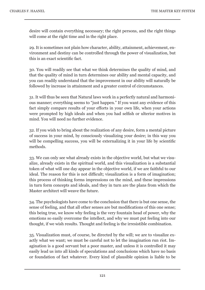desire will contain everything necessary; the right persons, and the right things will come at the right time and in the right place.

29. It is sometimes not plain how character, ability, attainment, achievement, environment and destiny can be controlled through the power of visualization, but this is an exact scientific fact.

30. You will readily see that what we think determines the quality of mind, and that the quality of mind in turn determines our ability and mental capacity, and you can readily understand that the improvement in our ability will naturally be followed by increase in attainment and a greater control of circumstances.

31. It will thus be seen that Natural laws work in a perfectly natural and harmonious manner; everything seems to "just happen." If you want any evidence of this fact simply compare results of your efforts in your own life, when your actions were prompted by high ideals and when you had selfish or ulterior motives in mind. You will need no further evidence.

32. If you wish to bring about the realization of any desire, form a mental picture of success in your mind, by consciously visualizing your desire; in this way you will be compelling success, you will be externalizing it in your life by scientific methods.

33. We can only see what already exists in the objective world, but what we visualize, already exists in the spiritual world, and this visualization is a substantial token of what will one day appear in the objective world, if we are faithful to our ideal. The reason for this is not difficult; visualization is a form of imagination; this process of thinking forms impressions on the mind, and these impressions in turn form concepts and ideals, and they in turn are the plans from which the Master architect will weave the future.

34. The psychologists have come to the conclusion that there is but one sense, the sense of feeling, and that all other senses are but modifications of this one sense; this being true, we know why feeling is the very fountain head of power, why the emotions so easily overcome the intellect, and why we must put feeling into our thought, if we wish results. Thought and feeling is the irresistible combination.

35. Visualization must, of course, be directed by the will; we are to visualize exactly what we want; we must be careful not to let the imagination run riot. Imagination is a good servant but a poor master, and unless it is controlled it may easily lead us into all kinds of speculations and conclusions which have no basis or foundation of fact whatever. Every kind of plausible opinion is liable to be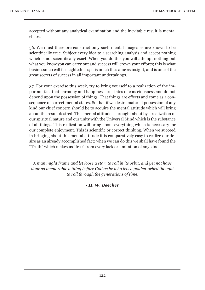accepted without any analytical examination and the inevitable result is mental chaos.

36. We must therefore construct only such mental images as are known to be scientifically true. Subject every idea to a searching analysis and accept nothing which is not scientifically exact. When you do this you will attempt nothing but what you know you can carry out and success will crown your efforts; this is what businessmen call far-sightedness; it is much the same as insight, and is one of the great secrets of success in all important undertakings.

37. For your exercise this week, try to bring yourself to a realization of the important fact that harmony and happiness are states of consciousness and do not depend upon the possession of things. That things are effects and come as a consequence of correct mental states. So that if we desire material possession of any kind our chief concern should be to acquire the mental attitude which will bring about the result desired. This mental attitude is brought about by a realization of our spiritual nature and our unity with the Universal Mind which is the substance of all things. This realization will bring about everything which is necessary for our complete enjoyment. This is scientific or correct thinking. When we succeed in bringing about this mental attitude it is comparatively easy to realize our desire as an already accomplished fact; when we can do this we shall have found the "Truth" which makes us "free" from every lack or limitation of any kind.

*A man might frame and let loose a star, to roll in its orbit, and yet not have done so memorable a thing before God as he who lets a golden-orbed thought to roll through the generations of time.*

*- H. W. Beecher*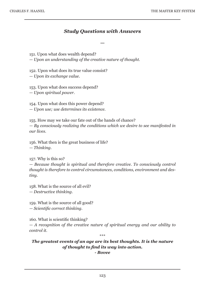### *Study Questions with Answers*

*—*

151. Upon what does wealth depend? *— Upon an understanding of the creative nature of thought.*

152. Upon what does its true value consist? *— Upon its exchange value.*

153. Upon what does success depend? *— Upon spiritual power.* 

154. Upon what does this power depend? *— Upon use; use determines its existence.*

155. How may we take our fate out of the hands of chance? *— By consciously realizing the conditions which we desire to see manifested in our lives.*

156. What then is the great business of life? *— Thinking.*

#### 157. Why is this so?

*— Because thought is spiritual and therefore creative. To consciously control thought is therefore to control circumstances, conditions, environment and destiny.*

158. What is the source of all evil? *— Destructive thinking.*

159. What is the source of all good? *— Scientific correct thinking.*

160. What is scientific thinking?

*— A recognition of the creative nature of spiritual energy and our ability to control it.*

\*\*\*

#### *The greatest events of an age are its best thoughts. It is the nature of thought to find its way into action. - Bovee*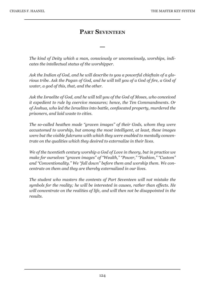## **PART SEVENTEEN**

*The kind of Deity which a man, consciously or unconsciously, worships, indicates the intellectual status of the worshipper.* 

**—**

*Ask the Indian of God, and he will describe to you a powerful chieftain of a glo*rious tribe. Ask the Pagan of God, and he will tell you of a God of fire, a God of *water, a god of this, that, and the other.* 

*Ask the Israelite of God, and he will tell you of the God of Moses, who conceived it expedient to rule by coercive measures; hence, the Ten Commandments. Or of Joshua, who led the Israelites into battle, confiscated property, murdered the prisoners, and laid waste to cities.* 

*The so-called heathen made "graven images" of their Gods, whom they were accustomed to worship, but among the most intelligent, at least, these images were but the visible fulcrums with which they were enabled to mentally concentrate on the qualities which they desired to externalize in their lives.* 

*We of the twentieth century worship a God of Love in theory, but in practice we make for ourselves "graven images" of "Wealth," "Power," "Fashion," "Custom" and "Conventionality." We "fall down" before them and worship them. We concentrate on them and they are thereby externalized in our lives.* 

*The student who masters the contents of Part Seventeen will not mistake the symbols for the reality; he will be interested in causes, rather than effects. He will concentrate on the realities of life, and will then not be disappointed in the results.*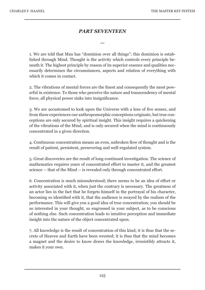### *PART SEVENTEEN*

*—*

1. We are told that Man has "dominion over all things"; this dominion is established through Mind. Thought is the activity which controls every principle beneath it. The highest principle by reason of its superior essence and qualities necessarily determines the circumstances, aspects and relation of everything with which it comes in contact.

2. The vibrations of mental forces are the finest and consequently the most powerful in existence. To those who perceive the nature and transcendency of mental force, all physical power sinks into insignificance.

3. We are accustomed to look upon the Universe with a lens of five senses, and from these experiences our anthropomorphic conceptions originate, but true conceptions are only secured by spiritual insight. This insight requires a quickening of the vibrations of the Mind, and is only secured when the mind is continuously concentrated in a given direction.

4. Continuous concentration means an even, unbroken flow of thought and is the result of patient, persistent, persevering and well-regulated system.

5. Great discoveries are the result of long-continued investigation. The science of mathematics requires years of concentrated effort to master it, and the greatest science -- that of the Mind -- is revealed only through concentrated effort.

6. Concentration is much misunderstood; there seems to be an idea of effort or activity associated with it, when just the contrary is necessary. The greatness of an actor lies in the fact that he forgets himself in the portrayal of his character, becoming so identified with it, that the audience is swayed by the realism of the performance. This will give you a good idea of true concentration; you should be so interested in your thought, so engrossed in your subject, as to be conscious of nothing else. Such concentration leads to intuitive perception and immediate insight into the nature of the object concentrated upon.

7. All knowledge is the result of concentration of this kind; it is thus that the secrets of Heaven and Earth have been wrested; it is thus that the mind becomes a magnet and the desire to know draws the knowledge, irresistibly attracts it, makes it your own.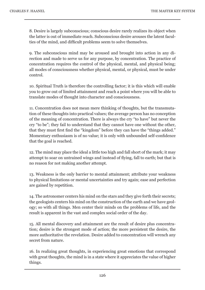8. Desire is largely subconscious; conscious desire rarely realizes its object when the latter is out of immediate reach. Subconscious desire arouses the latent faculties of the mind, and difficult problems seem to solve themselves.

9. The subconscious mind may be aroused and brought into action in any direction and made to serve us for any purpose, by concentration. The practice of concentration requires the control of the physical, mental, and physical being; all modes of consciousness whether physical, mental, or physical, must be under control.

10. Spiritual Truth is therefore the controlling factor; it is this which will enable you to grow out of limited attainment and reach a point where you will be able to translate modes of thought into character and consciousness.

11. Concentration does not mean mere thinking of thoughts, but the transmutation of these thoughts into practical values; the average person has no conception of the meaning of concentration. There is always the cry "to have" but never the cry "to be"; they fail to understand that they cannot have one without the other, that they must first find the "kingdom" before they can have the "things added." Momentary enthusiasm is of no value; it is only with unbounded self-confidence that the goal is reached.

12. The mind may place the ideal a little too high and fall short of the mark; it may attempt to soar on untrained wings and instead of flying, fall to earth; but that is no reason for not making another attempt.

13. Weakness is the only barrier to mental attainment; attribute your weakness to physical limitations or mental uncertainties and try again; ease and perfection are gained by repetition.

14. The astronomer centers his mind on the stars and they give forth their secrets; the geologists centers his mind on the construction of the earth and we have geology; so with all things. Men center their minds on the problems of life, and the result is apparent in the vast and complex social order of the day.

15. All mental discovery and attainment are the result of desire plus concentration; desire is the strongest mode of action; the more persistent the desire, the more authoritative the revelation. Desire added to concentration will wrench any secret from nature.

16. In realizing great thoughts, in experiencing great emotions that correspond with great thoughts, the mind is in a state where it appreciates the value of higher things.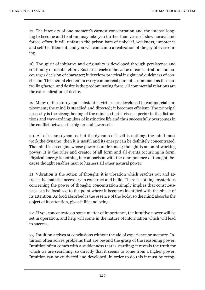17. The intensity of one moment's earnest concentration and the intense longing to become and to attain may take you further than years of slow normal and forced effort; it will unfasten the prison bars of unbelief, weakness, impotence and self-belittlement, and you will come into a realization of the joy of overcoming.

18. The spirit of initiative and originality is developed through persistence and continuity of mental effort. Business teaches the value of concentration and encourages decision of character; it develops practical insight and quickness of conclusion. The mental element in every commercial pursuit is dominant as the controlling factor, and desire is the predominating force; all commercial relations are the externalization of desire.

19. Many of the sturdy and substantial virtues are developed in commercial employment; the mind is steadied and directed; it becomes efficient. The principal necessity is the strengthening of the mind so that it rises superior to the distractions and wayward impulses of instinctive life and thus successfully overcomes in the conflict between the higher and lower self.

20. All of us are dynamos, but the dynamo of itself is nothing; the mind must work the dynamo; then it is useful and its energy can be definitely concentrated. The mind is an engine whose power is undreamed; thought is an omni-working power. It is the ruler and creator of all form and all events occurring in form. Physical energy is nothing in comparison with the omnipotence of thought, because thought enables man to harness all other natural power.

21. Vibration is the action of thought; it is vibration which reaches out and attracts the material necessary to construct and build. There is nothing mysterious concerning the power of thought; concentration simply implies that consciousness can be focalized to the point where it becomes identified with the object of its attention. As food absorbed is the essence of the body, so the mind absorbs the object of its attention, gives it life and being.

22. If you concentrate on some matter of importance, the intuitive power will be set in operation, and help will come in the nature of information which will lead to success.

23. Intuition arrives at conclusions without the aid of experience or memory. Intuition often solves problems that are beyond the grasp of the reasoning power. Intuition often comes with a suddenness that is startling; it reveals the truth for which we are searching, so directly that it seems to come from a higher power. Intuition can be cultivated and developed; in order to do this it must be recog-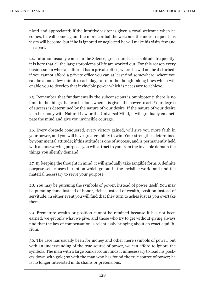nized and appreciated; if the intuitive visitor is given a royal welcome when he comes, he will come again; the more cordial the welcome the more frequent his visits will become, but if he is ignored or neglected he will make his visits few and far apart.

24. Intuition usually comes in the Silence; great minds seek solitude frequently; it is here that all the larger problems of life are worked out. For this reason every businessman who can afford it has a private office, where he will not be disturbed; if you cannot afford a private office you can at least find somewhere, where you can be alone a few minutes each day, to train the thought along lines which will enable you to develop that invincible power which is necessary to achieve.

25. Remember that fundamentally the subconscious is omnipotent; there is no limit to the things that can be done when it is given the power to act. Your degree of success is determined by the nature of your desire. If the nature of your desire is in harmony with Natural Law or the Universal Mind, it will gradually emancipate the mind and give you invincible courage.

26. Every obstacle conquered, every victory gained, will give you more faith in your power, and you will have greater ability to win. Your strength is determined by your mental attitude; if this attitude is one of success, and is permanently held with an unswerving purpose, you will attract to you from the invisible domain the things you silently demand.

27. By keeping the thought in mind, it will gradually take tangible form. A definite purpose sets causes in motion which go out in the invisible world and find the material necessary to serve your purpose.

28. You may be pursuing the symbols of power, instead of power itself. You may be pursuing fame instead of honor, riches instead of wealth, position instead of servitude; in either event you will find that they turn to ashes just as you overtake them.

29. Premature wealth or position cannot be retained because it has not been earned; we get only what we give, and those who try to get without giving always find that the law of compensation is relentlessly bringing about an exact equilibrium.

30. The race has usually been for money and other mere symbols of power, but with an understanding of the true source of power, we can afford to ignore the symbols. The man with a large bank account finds it unnecessary to load his pockets down with gold; so with the man who has found the true source of power; he is no longer interested in its shams or pretensions.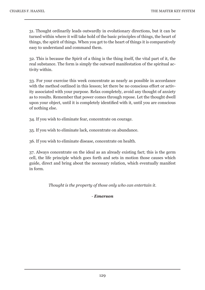31. Thought ordinarily leads outwardly in evolutionary directions, but it can be turned within where it will take hold of the basic principles of things, the heart of things, the spirit of things. When you get to the heart of things it is comparatively easy to understand and command them.

32. This is because the Spirit of a thing is the thing itself, the vital part of it, the real substance. The form is simply the outward manifestation of the spiritual activity within.

33. For your exercise this week concentrate as nearly as possible in accordance with the method outlined in this lesson; let there be no conscious effort or activity associated with your purpose. Relax completely, avoid any thought of anxiety as to results. Remember that power comes through repose. Let the thought dwell upon your object, until it is completely identified with it, until you are conscious of nothing else.

34. If you wish to eliminate fear, concentrate on courage.

35. If you wish to eliminate lack, concentrate on abundance.

36. If you wish to eliminate disease, concentrate on health.

37. Always concentrate on the ideal as an already existing fact; this is the germ cell, the life principle which goes forth and sets in motion those causes which guide, direct and bring about the necessary relation, which eventually manifest in form.

*Thought is the property of those only who can entertain it.*

*- Emerson*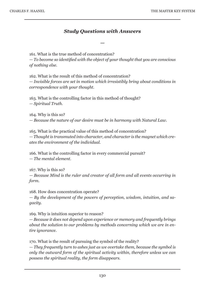### *Study Questions with Answers*

*—*

161. What is the true method of concentration? *— To become so identified with the object of your thought that you are conscious of nothing else.* 

162. What is the result of this method of concentration? *— Invisible forces are set in motion which irresistibly bring about conditions in correspondence with your thought.* 

163. What is the controlling factor in this method of thought? *— Spiritual Truth.*

164. Why is this so? *— Because the nature of our desire must be in harmony with Natural Law.* 

165. What is the practical value of this method of concentration? *— Thought is transmuted into character, and character is the magnet which creates the environment of the individual.* 

166. What is the controlling factor in every commercial pursuit? *— The mental element.* 

167. Why is this so? *— Because Mind is the ruler and creator of all form and all events occurring in form.* 

168. How does concentration operate? *— By the development of the powers of perception, wisdom, intuition, and sagacity.*

169. Why is intuition superior to reason?

*— Because it does not depend upon experience or memory and frequently brings about the solution to our problems by methods concerning which we are in entire ignorance.* 

170. What is the result of pursuing the symbol of the reality? *— They frequently turn to ashes just as we overtake them, because the symbol is only the outward form of the spiritual activity within, therefore unless we can possess the spiritual reality, the form disappears.*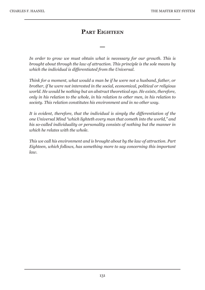## **PART EIGHTEEN**

**—**

In order to grow we must obtain what is necessary for our growth. This is *brought about through the law of attraction. This principle is the sole means by which the individual is differentiated from the Universal.* 

*Think for a moment, what would a man be if he were not a husband, father, or brother, if he were not interested in the social, economical, political or religious world. He would be nothing but an abstract theoretical ego. He exists, therefore, only in his relation to the whole, in his relation to other men, in his relation to society. This relation constitutes his environment and in no other way.* 

*It is evident, therefore, that the individual is simply the differentiation of the one Universal Mind "which lighteth every man that cometh into the world," and his so-called individuality or personality consists of nothing but the manner in which he relates with the whole.* 

*This we call his environment and is brought about by the law of attraction. Part Eighteen, which follows, has something more to say concerning this important law.*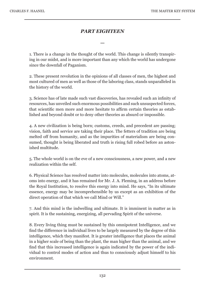### *PART EIGHTEEN*

*—*

1. There is a change in the thought of the world. This change is silently transpiring in our midst, and is more important than any which the world has undergone since the downfall of Paganism.

2. These present revolution in the opinions of all classes of men, the highest and most cultured of men as well as those of the laboring class, stands unparalleled in the history of the world.

3. Science has of late made such vast discoveries, has revealed such an infinity of resources, has unveiled such enormous possibilities and such unsuspected forces, that scientific men more and more hesitate to affirm certain theories as established and beyond doubt or to deny other theories as absurd or impossible.

4. A new civilization is being born; customs, creeds, and precedent are passing; vision, faith and service are taking their place. The fetters of tradition are being melted off from humanity, and as the impurities of materialism are being consumed, thought is being liberated and truth is rising full robed before an astonished multitude.

5. The whole world is on the eve of a new consciousness, a new power, and a new realization within the self.

6. Physical Science has resolved matter into molecules, molecules into atoms, atoms into energy, and it has remained for Mr. J. A. Fleming, in an address before the Royal Institution, to resolve this energy into mind. He says, "In its ultimate essence, energy may be incomprehensible by us except as an exhibition of the direct operation of that which we call Mind or Will."

7. And this mind is the indwelling and ultimate. It is imminent in matter as in spirit. It is the sustaining, energizing, all pervading Spirit of the universe.

8. Every living thing must be sustained by this omnipotent Intelligence, and we find the difference in individual lives to be largely measured by the degree of this intelligence, which they manifest. It is greater intelligence that places the animal in a higher scale of being than the plant, the man higher than the animal, and we find that this increased intelligence is again indicated by the power of the individual to control modes of action and thus to consciously adjust himself to his environment.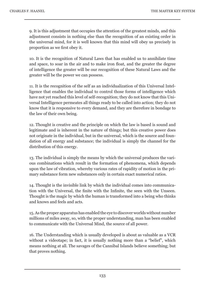9. It is this adjustment that occupies the attention of the greatest minds, and this adjustment consists in nothing else than the recognition of an existing order in the universal mind, for it is well known that this mind will obey us precisely in proportion as we first obey it.

10. It is the recognition of Natural Laws that has enabled us to annihilate time and space, to soar in the air and to make iron float, and the greater the degree of intelligence the greater will be our recognition of these Natural Laws and the greater will be the power we can possess.

11. It is the recognition of the self as an individualization of this Universal Intelligence that enables the individual to control those forms of intelligence which have not yet reached this level of self-recognition; they do not know that this Universal Intelligence permeates all things ready to be called into action; they do not know that it is responsive to every demand, and they are therefore in bondage to the law of their own being.

12. Thought is creative and the principle on which the law is based is sound and legitimate and is inherent in the nature of things; but this creative power does not originate in the individual, but in the universal, which is the source and foundation of all energy and substance; the individual is simply the channel for the distribution of this energy.

13. The individual is simply the means by which the universal produces the various combinations which result in the formation of phenomena, which depends upon the law of vibration, whereby various rates of rapidity of motion in the primary substance form new substances only in certain exact numerical ratios.

14. Thought is the invisible link by which the individual comes into communication with the Universal, the finite with the Infinite, the seen with the Unseen. Thought is the magic by which the human is transformed into a being who thinks and knows and feels and acts.

15. As the proper apparatus has enabled the eye to discover worlds without number millions of miles away, so, with the proper understanding, man has been enabled to communicate with the Universal Mind, the source of all power.

16. The Understanding which is usually developed is about as valuable as a VCR without a videotape; in fact, it is usually nothing more than a "belief", which means nothing at all. The savages of the Cannibal Islands believe something; but that proves nothing.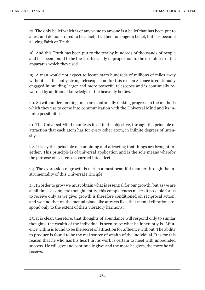17. The only belief which is of any value to anyone is a belief that has been put to a test and demonstrated to be a fact; it is then no longer a belief, but has become a living Faith or Truth.

18. And this Truth has been put to the test by hundreds of thousands of people and has been found to be the Truth exactly in proportion to the usefulness of the apparatus which they used.

19. A man would not expect to locate stars hundreds of millions of miles away without a sufficiently strong telescope, and for this reason Science is continually engaged in building larger and more powerful telescopes and is continually rewarded by additional knowledge of the heavenly bodies.

20. So with understanding; men are continually making progress in the methods which they use to come into communication with the Universal Mind and its infinite possibilities.

21. The Universal Mind manifests itself in the objective, through the principle of attraction that each atom has for every other atom, in infinite degrees of intensity.

22. It is by this principle of combining and attracting that things are brought together. This principle is of universal application and is the sole means whereby the purpose of existence is carried into effect.

23. The expression of growth is met in a most beautiful manner through the instrumentality of this Universal Principle.

24. In order to grow we must obtain what is essential for our growth, but as we are at all times a complete thought entity, this completeness makes it possible for us to receive only as we give; growth is therefore conditioned on reciprocal action, and we find that on the mental plane like attracts like, that mental vibrations respond only to the extent of their vibratory harmony.

25. It is clear, therefore, that thoughts of abundance will respond only to similar thoughts; the wealth of the individual is seen to be what he inherently is. Affluence within is found to be the secret of attraction for affluence without. The ability to produce is found to be the real source of wealth of the individual. It is for this reason that he who has his heart in his work is certain to meet with unbounded success. He will give and continually give; and the more he gives, the more he will receive.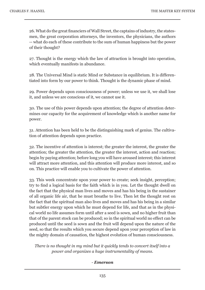26. What do the great financiers of Wall Street, the captains of industry, the statesmen, the great corporation attorneys, the inventors, the physicians, the authors -- what do each of these contribute to the sum of human happiness but the power of their thought?

27. Thought is the energy which the law of attraction is brought into operation, which eventually manifests in abundance.

28. The Universal Mind is static Mind or Substance in equilibrium. It is differentiated into form by our power to think. Thought is the dynamic phase of mind.

29. Power depends upon consciousness of power; unless we use it, we shall lose it, and unless we are conscious of it, we cannot use it.

30. The use of this power depends upon attention; the degree of attention determines our capacity for the acquirement of knowledge which is another name for power.

31. Attention has been held to be the distinguishing mark of genius. The cultivation of attention depends upon practice.

32. The incentive of attention is interest; the greater the interest, the greater the attention; the greater the attention, the greater the interest, action and reaction; begin by paying attention; before long you will have aroused interest; this interest will attract more attention, and this attention will produce more interest, and so on. This practice will enable you to cultivate the power of attention.

33. This week concentrate upon your power to create; seek insight, perception; try to find a logical basis for the faith which is in you. Let the thought dwell on the fact that the physical man lives and moves and has his being in the sustainer of all organic life air, that he must breathe to live. Then let the thought rest on the fact that the spiritual man also lives and moves and has his being in a similar but subtler energy upon which he must depend for life, and that as in the physical world no life assumes form until after a seed is sown, and no higher fruit than that of the parent stock can be produced; so in the spiritual world no effect can be produced until the seed is sown and the fruit will depend upon the nature of the seed, so that the results which you secure depend upon your perception of law in the mighty domain of causation, the highest evolution of human consciousness.

*There is no thought in my mind but it quickly tends to convert itself into a power and organizes a huge instrumentality of means.*

#### *- Emerson*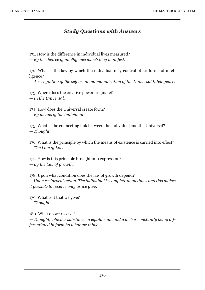### *Study Questions with Answers*

*—*

171. How is the difference in individual lives measured? *— By the degree of intelligence which they manifest.*

172. What is the law by which the individual may control other forms of intelligence?

*— A recognition of the self as an individualization of the Universal Intelligence.*

173. Where does the creative power originate? *— In the Universal.*

174. How does the Universal create form? *— By means of the individual.*

175. What is the connecting link between the individual and the Universal? *— Thought.* 

176. What is the principle by which the means of existence is carried into effect? *— The Law of Love.*

177. How is this principle brought into expression? *— By the law of growth.*

178. Upon what condition does the law of growth depend? *— Upon reciprocal action. The individual is complete at all times and this makes it possible to receive only as we give.* 

179. What is it that we give? *— Thought.*

180. What do we receive?

*— Thought, which is substance in equilibrium and which is constantly being differentiated in form by what we think.*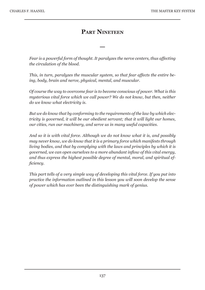## **PART NINETEEN**

*Fear is a powerful form of thought. It paralyzes the nerve centers, thus affecting the circulation of the blood.* 

**—**

*This, in turn, paralyzes the muscular system, so that fear affects the entire being, body, brain and nerve, physical, mental, and muscular.* 

*Of course the way to overcome fear is to become conscious of power. What is this mysterious vital force which we call power? We do not know, but then, neither do we know what electricity is.* 

*But we do know that by conforming to the requirements of the law by which electricity is governed, it will be our obedient servant; that it will light our homes, our cities, run our machinery, and serve us in many useful capacities.* 

*And so it is with vital force. Although we do not know what it is, and possibly may never know, we do know that it is a primary force which manifests through living bodies, and that by complying with the laws and principles by which it is governed, we can open ourselves to a more abundant inflow of this vital energy, and thus express the highest possible degree of mental, moral, and spiritual efficiency.* 

*This part tells of a very simple way of developing this vital force. If you put into practice the information outlined in this lesson you will soon develop the sense of power which has ever been the distinguishing mark of genius.*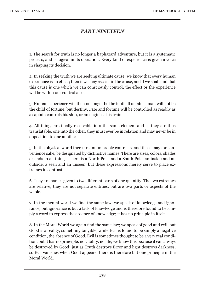### *PART NINETEEN*

*—*

1. The search for truth is no longer a haphazard adventure, but it is a systematic process, and is logical in its operation. Every kind of experience is given a voice in shaping its decision.

2. In seeking the truth we are seeking ultimate cause; we know that every human experience is an effect; then if we may ascertain the cause, and if we shall find that this cause is one which we can consciously control, the effect or the experience will be within our control also.

3. Human experience will then no longer be the football of fate; a man will not be the child of fortune, but destiny. Fate and fortune will be controlled as readily as a captain controls his ship, or an engineer his train.

4. All things are finally resolvable into the same element and as they are thus translatable, one into the other, they must ever be in relation and may never be in opposition to one another.

5. In the physical world there are innumerable contrasts, and these may for convenience sake, be designated by distinctive names. There are sizes, colors, shades or ends to all things. There is a North Pole, and a South Pole, an inside and an outside, a seen and an unseen, but these expressions merely serve to place extremes in contrast.

6. They are names given to two different parts of one quantity. The two extremes are relative; they are not separate entities, but are two parts or aspects of the whole.

7. In the mental world we find the same law; we speak of knowledge and ignorance, but ignorance is but a lack of knowledge and is therefore found to be simply a word to express the absence of knowledge; it has no principle in itself.

8. In the Moral World we again find the same law; we speak of good and evil, but Good is a reality, something tangible, while Evil is found to be simply a negative condition, the absence of Good. Evil is sometimes thought to be a very real condition, but it has no principle, no vitality, no life; we know this because it can always be destroyed by Good; just as Truth destroys Error and light destroys darkness, so Evil vanishes when Good appears; there is therefore but one principle in the Moral World.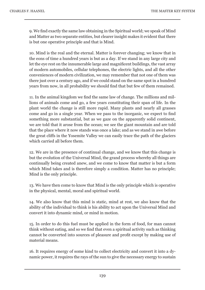9. We find exactly the same law obtaining in the Spiritual world; we speak of Mind and Matter as two separate entities, but clearer insight makes it evident that there is but one operative principle and that is Mind.

10. Mind is the real and the eternal. Matter is forever changing; we know that in the eons of time a hundred years is but as a day. If we stand in any large city and let the eye rest on the innumerable large and magnificent buildings, the vast array of modern automobiles, cellular telephones, the electric lights, and all the other conveniences of modern civilization, we may remember that not one of them was there just over a century ago, and if we could stand on the same spot in a hundred years from now, in all probability we should find that but few of them remained.

11. In the animal kingdom we find the same law of change. The millions and millions of animals come and go, a few years constituting their span of life. In the plant world the change is still more rapid. Many plants and nearly all grasses come and go in a single year. When we pass to the inorganic, we expect to find something more substantial, but as we gaze on the apparently solid continent, we are told that it arose from the ocean; we see the giant mountain and are told that the place where it now stands was once a lake; and as we stand in awe before the great cliffs in the Yosemite Valley we can easily trace the path of the glaciers which carried all before them.

12. We are in the presence of continual change, and we know that this change is but the evolution of the Universal Mind, the grand process whereby all things are continually being created anew, and we come to know that matter is but a form which Mind takes and is therefore simply a condition. Matter has no principle; Mind is the only principle.

13. We have then come to know that Mind is the only principle which is operative in the physical, mental, moral and spiritual world.

14. We also know that this mind is static, mind at rest, we also know that the ability of the individual to think is his ability to act upon the Universal Mind and convert it into dynamic mind, or mind in motion.

15. In order to do this fuel must be applied in the form of food, for man cannot think without eating, and so we find that even a spiritual activity such as thinking cannot be converted into sources of pleasure and profit except by making use of material means.

16. It requires energy of some kind to collect electricity and convert it into a dynamic power, it requires the rays of the sun to give the necessary energy to sustain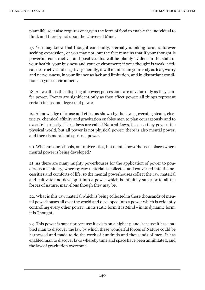plant life, so it also requires energy in the form of food to enable the individual to think and thereby act upon the Universal Mind.

17. You may know that thought constantly, eternally is taking form, is forever seeking expression, or you may not, but the fact remains that if your thought is powerful, constructive, and positive, this will be plainly evident in the state of your health, your business and your environment; if your thought is weak, critical, destructive and negative generally, it will manifest in your body as fear, worry and nervousness, in your finance as lack and limitation, and in discordant conditions in your environment.

18. All wealth is the offspring of power; possessions are of value only as they confer power. Events are significant only as they affect power; all things represent certain forms and degrees of power.

19. A knowledge of cause and effect as shown by the laws governing steam, electricity, chemical affinity and gravitation enables men to plan courageously and to execute fearlessly. These laws are called Natural Laws, because they govern the physical world, but all power is not physical power; there is also mental power, and there is moral and spiritual power.

20. What are our schools, our universities, but mental powerhouses, places where mental power is being developed?

21. As there are many mighty powerhouses for the application of power to ponderous machinery, whereby raw material is collected and converted into the necessities and comforts of life, so the mental powerhouses collect the raw material and cultivate and develop it into a power which is infinitely superior to all the forces of nature, marvelous though they may be.

22. What is this raw material which is being collected in these thousands of mental powerhouses all over the world and developed into a power which is evidently controlling every other power? In its static form it is Mind - in its dynamic form, it is Thought.

23. This power is superior because it exists on a higher plane, because it has enabled man to discover the law by which these wonderful forces of Nature could be harnessed and made to do the work of hundreds and thousands of men. It has enabled man to discover laws whereby time and space have been annihilated, and the law of gravitation overcome.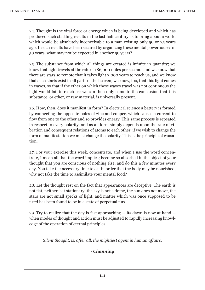24. Thought is the vital force or energy which is being developed and which has produced such startling results in the last half century as to bring about a world which would be absolutely inconceivable to a man existing only 50 or 25 years ago. If such results have been secured by organizing these mental powerhouses in 50 years, what may not be expected in another 50 years?

25. The substance from which all things are created is infinite in quantity; we know that light travels at the rate of 186,000 miles per second, and we know that there are stars so remote that it takes light 2,000 years to reach us, and we know that such starts exist in all parts of the heaven; we know, too, that this light comes in waves, so that if the ether on which these waves travel was not continuous the light would fail to reach us; we can then only come to the conclusion that this substance, or ether, or raw material, is universally present.

26. How, then, does it manifest in form? In electrical science a battery is formed by connecting the opposite poles of zinc and copper, which causes a current to flow from one to the other and so provides energy. This same process is repeated in respect to every polarity, and as all form simply depends upon the rate of vibration and consequent relations of atoms to each other, if we wish to change the form of manifestation we must change the polarity. This is the principle of causation.

27. For your exercise this week, concentrate, and when I use the word concentrate, I mean all that the word implies; become so absorbed in the object of your thought that you are conscious of nothing else, and do this a few minutes every day. You take the necessary time to eat in order that the body may be nourished, why not take the time to assimilate your mental food?

28. Let the thought rest on the fact that appearances are deceptive. The earth is not flat, neither is it stationary; the sky is not a dome, the sun does not move, the stars are not small specks of light, and matter which was once supposed to be fixed has been found to be in a state of perpetual flux.

29. Try to realize that the day is fast approaching -- its dawn is now at hand - when modes of thought and action must be adjusted to rapidly increasing knowledge of the operation of eternal principles.

*Silent thought, is, after all, the mightiest agent in human affairs.*

#### *- Channing*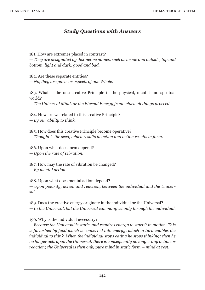### *Study Questions with Answers*

*—*

181. How are extremes placed in contrast?

*— They are designated by distinctive names, such as inside and outside, top and bottom, light and dark, good and bad.*

182. Are these separate entities? *— No, they are parts or aspects of one Whole.* 

183. What is the one creative Principle in the physical, mental and spiritual world?

*— The Universal Mind, or the Eternal Energy from which all things proceed.*

184. How are we related to this creative Principle? *— By our ability to think.*

185. How does this creative Principle become operative? *— Thought is the seed, which results in action and action results in form.*

186. Upon what does form depend? *— Upon the rate of vibration.* 

187. How may the rate of vibration be changed? *— By mental action.*

188. Upon what does mental action depend? *— Upon polarity, action and reaction, between the individual and the Universal.*

189. Does the creative energy originate in the individual or the Universal? *— In the Universal, but the Universal can manifest only through the individual.* 

190. Why is the individual necessary?

*— Because the Universal is static, and requires energy to start it in motion. This is furnished by food which is converted into energy, which in turn enables the individual to think. When the individual stops eating he stops thinking; then he no longer acts upon the Universal; there is consequently no longer any action or reaction; the Universal is then only pure mind in static form -- mind at rest.*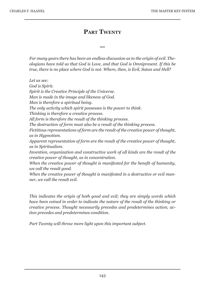## **PART TWENTY**

**—**

*For many years there has been an endless discussion as to the origin of evil. Theologians have told us that God is Love, and that God is Omnipresent. If this be true, there is no place where God is not. Where, then, is Evil, Satan and Hell?* 

*Let us see:* 

*God is Spirit.*

*Spirit is the Creative Principle of the Universe.*

*Man is made in the image and likeness of God.*

*Man is therefore a spiritual being.*

*The only activity which spirit possesses is the power to think.*

*Thinking is therefore a creative process.*

*All form is therefore the result of the thinking process.*

*The destruction of form must also be a result of the thinking process.*

*Fictitious representations of form are the result of the creative power of thought, as in Hypnotism.*

*Apparent representation of form are the result of the creative power of thought, as in Spiritualism.*

*Invention, organization and constructive work of all kinds are the result of the creative power of thought, as in concentration.*

*When the creative power of thought is manifested for the benefit of humanity, we call the result good.* 

*When the creative power of thought is manifested in a destructive or evil manner, we call the result evil.*

*This indicates the origin of both good and evil; they are simply words which have been coined in order to indicate the nature of the result of the thinking or creative process. Thought necessarily precedes and predetermines action; action precedes and predetermines condition.* 

*Part Twenty will throw more light upon this important subject.*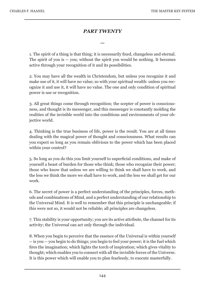### *PART TWENTY*

*—*

1. The spirit of a thing is that thing; it is necessarily fixed, changeless and eternal. The spirit of you is -- you; without the spirit you would be nothing. It becomes active through your recognition of it and its possibilities.

2. You may have all the wealth in Christendom, but unless you recognize it and make use of it, it will have no value; so with your spiritual wealth: unless you recognize it and use it, it will have no value. The one and only condition of spiritual power is use or recognition.

3. All great things come through recognition; the scepter of power is consciousness, and thought is its messenger, and this messenger is constantly molding the realities of the invisible world into the conditions and environments of your objective world.

4. Thinking is the true business of life, power is the result. You are at all times dealing with the magical power of thought and consciousness. What results can you expect so long as you remain oblivious to the power which has been placed within your control?

5. So long as you do this you limit yourself to superficial conditions, and make of yourself a beast of burden for those who think; those who recognize their power; those who know that unless we are willing to think we shall have to work, and the less we think the more we shall have to work, and the less we shall get for our work.

6. The secret of power is a perfect understanding of the principles, forces, methods and combinations of Mind, and a perfect understanding of our relationship to the Universal Mind. It is well to remember that this principle is unchangeable; if this were not so, it would not be reliable; all principles are changeless.

7. This stability is your opportunity; you are its active attribute, the channel for its activity; the Universal can act only through the individual.

8. When you begin to perceive that the essence of the Universal is within yourself -- is you -- you begin to do things; you begin to feel your power; it is the fuel which fires the imagination; which lights the torch of inspiration; which gives vitality to thought; which enables you to connect with all the invisible forces of the Universe. It is this power which will enable you to plan fearlessly, to execute masterfully.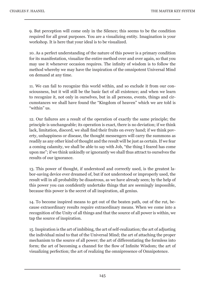9. But perception will come only in the Silence; this seems to be the condition required for all great purposes. You are a visualizing entity. Imagination is your workshop. It is here that your ideal is to be visualized.

10. As a perfect understanding of the nature of this power is a primary condition for its manifestation, visualize the entire method over and over again, so that you may use it whenever occasion requires. The infinity of wisdom is to follow the method whereby we may have the inspiration of the omnipotent Universal Mind on demand at any time.

11. We can fail to recognize this world within, and so exclude it from our consciousness, but it will still be the basic fact of all existence; and when we learn to recognize it, not only in ourselves, but in all persons, events, things and circumstances we shall have found the "Kingdom of heaven" which we are told is "within"  $\frac{1}{18}$ 

12. Our failures are a result of the operation of exactly the same principle; the principle is unchangeable; its operation is exact, there is no deviation; if we think lack, limitation, discord, we shall find their fruits on every hand; if we think poverty, unhappiness or disease, the thought messengers will carry the summons as readily as any other kind of thought and the result will be just as certain. If we fear a coming calamity, we shall be able to say with Job, "the thing I feared has come upon me"; if we think unkindly or ignorantly we shall thus attract to ourselves the results of our ignorance.

13. This power of thought, if understood and correctly used, is the greatest labor-saving device ever dreamed of, but if not understood or improperly used, the result will in all probability be disastrous, as we have already seen; by the help of this power you can confidently undertake things that are seemingly impossible, because this power is the secret of all inspiration, all genius.

14. To become inspired means to get out of the beaten path, out of the rut, because extraordinary results require extraordinary means. When we come into a recognition of the Unity of all things and that the source of all power is within, we tap the source of inspiration.

15. Inspiration is the art of imbibing, the art of self-realization; the art of adjusting the individual mind to that of the Universal Mind; the art of attaching the proper mechanism to the source of all power; the art of differentiating the formless into form; the art of becoming a channel for the flow of Infinite Wisdom; the art of visualizing perfection; the art of realizing the omnipresence of Omnipotence.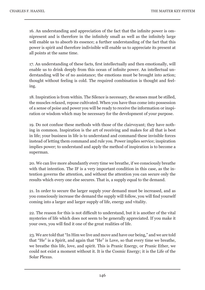16. An understanding and appreciation of the fact that the infinite power is omnipresent and is therefore in the infinitely small as well as the infinitely large will enable us to absorb its essence; a further understanding of the fact that this power is spirit and therefore indivisible will enable us to appreciate its present at all points at the same time.

17. An understanding of these facts, first intellectually and then emotionally, will enable us to drink deeply from this ocean of infinite power. An intellectual understanding will be of no assistance; the emotions must be brought into action; thought without feeling is cold. The required combination is thought and feeling.

18. Inspiration is from within. The Silence is necessary, the senses must be stilled, the muscles relaxed, repose cultivated. When you have thus come into possession of a sense of poise and power you will be ready to receive the information or inspiration or wisdom which may be necessary for the development of your purpose.

19. Do not confuse these methods with those of the clairvoyant; they have nothing in common. Inspiration is the art of receiving and makes for all that is best in life; your business in life is to understand and command these invisible forces instead of letting them command and rule you. Power implies service; inspiration implies power; to understand and apply the method of inspiration is to become a superman.

20. We can live more abundantly every time we breathe, if we consciously breathe with that intention. The IF is a very important condition in this case, as the intention governs the attention, and without the attention you can secure only the results which every one else secures. That is, a supply equal to the demand.

21. In order to secure the larger supply your demand must be increased, and as you consciously increase the demand the supply will follow, you will find yourself coming into a larger and larger supply of life, energy and vitality.

22. The reason for this is not difficult to understand, but it is another of the vital mysteries of life which does not seem to be generally appreciated. If you make it your own, you will find it one of the great realities of life.

23. We are told that "In Him we live and move and have our being," and we are told that "He" is a Spirit, and again that "He" is Love, so that every time we breathe, we breathe this life, love, and spirit. This is Pranic Energy, or Pranic Ether, we could not exist a moment without it. It is the Cosmic Energy; it is the Life of the Solar Plexus.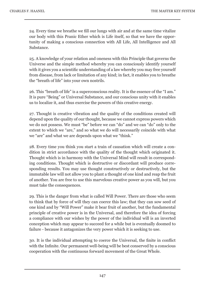24. Every time we breathe we fill our lungs with air and at the same time vitalize our body with this Pranic Ether which is Life itself, so that we have the opportunity of making a conscious connection with All Life, All Intelligence and All Substance.

25. A knowledge of your relation and oneness with this Principle that governs the Universe and the simple method whereby you can consciously identify yourself with it gives you a scientific understanding of a law whereby you may free yourself from disease, from lack or limitation of any kind; in fact, it enables you to breathe the "breath of life" into your own nostrils.

26. This "breath of life" is a superconscious reality. It is the essence of the "I am." It is pure "Being" or Universal Substance, and our conscious unity with it enables us to localize it, and thus exercise the powers of this creative energy.

27. Thought is creative vibration and the quality of the conditions created will depend upon the quality of our thought, because we cannot express powers which we do not possess. We must "be" before we can "do" and we can "do" only to the extent to which we "are," and so what we do will necessarily coincide with what we "are" and what we are depends upon what we "think."

28. Every time you think you start a train of causation which will create a condition in strict accordance with the quality of the thought which originated it. Thought which is in harmony with the Universal Mind will result in corresponding conditions. Thought which is destructive or discordant will produce corresponding results. You may use thought constructively or destructively, but the immutable law will not allow you to plant a thought of one kind and reap the fruit of another. You are free to use this marvelous creative power as you will, but you must take the consequences.

29. This is the danger from what is called Will Power. There are those who seem to think that by force of will they can coerce this law; that they can sow seed of one kind and by "Will Power" make it bear fruit of another, but the fundamental principle of creative power is in the Universal, and therefore the idea of forcing a compliance with our wishes by the power of the individual will is an inverted conception which may appear to succeed for a while but is eventually doomed to failure - because it antagonizes the very power which it is seeking to use.

30. It is the individual attempting to coerce the Universal, the finite in conflict with the Infinite. Our permanent well-being will be best conserved by a conscious cooperation with the continuous forward movement of the Great Whole.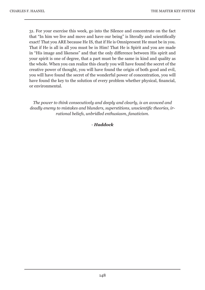31. For your exercise this week, go into the Silence and concentrate on the fact that "In him we live and move and have our being" is literally and scientifically exact! That you ARE because He IS, that if He is Omnipresent He must be in you. That if He is all in all you must be in Him! That He is Spirit and you are made in "His image and likeness" and that the only difference between His spirit and your spirit is one of degree, that a part must be the same in kind and quality as the whole. When you can realize this clearly you will have found the secret of the creative power of thought, you will have found the origin of both good and evil, you will have found the secret of the wonderful power of concentration, you will have found the key to the solution of every problem whether physical, financial, or environmental.

*The power to think consecutively and deeply and clearly, is an avowed and deadly enemy to mistakes and blunders, superstitions, unscientific theories, irrational beliefs, unbridled enthusiasm, fanaticism.*

### *- Haddock*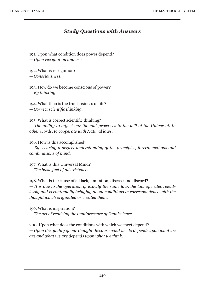## *Study Questions with Answers*

*—*

191. Upon what condition does power depend? *— Upon recognition and use.*

192. What is recognition? *— Consciousness.*

193. How do we become conscious of power? *— By thinking.* 

194. What then is the true business of life? *— Correct scientific thinking.* 

195. What is correct scientific thinking? *— The ability to adjust our thought processes to the will of the Universal. In other words, to cooperate with Natural laws.*

196. How is this accomplished? *— By securing a perfect understanding of the principles, forces, methods and combinations of mind.*

197. What is this Universal Mind? *— The basic fact of all existence.*

198. What is the cause of all lack, limitation, disease and discord? *— It is due to the operation of exactly the same law, the law operates relentlessly and is continually bringing about conditions in correspondence with the thought which originated or created them.* 

199. What is inspiration? *— The art of realizing the omnipresence of Omniscience.*

200. Upon what does the conditions with which we meet depend? *— Upon the quality of our thought. Because what we do depends upon what we are and what we are depends upon what we think.*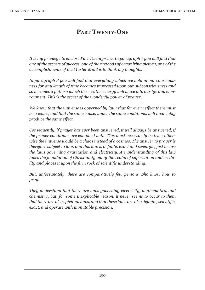# **PART TWENTY-ONE**

**—**

*It is my privilege to enclose Part Twenty-One. In paragraph 7 you will find that one of the secrets of success, one of the methods of organizing victory, one of the accomplishments of the Master Mind is to think big thoughts.* 

*In paragraph 8 you will find that everything which we hold in our consciousness for any length of time becomes impressed upon our subconsciousness and so becomes a pattern which the creative energy will wave into our life and environment. This is the secret of the wonderful power of prayer.* 

*We know that the universe is governed by law; that for every effect there must be a cause, and that the same cause, under the same conditions, will invariably produce the same effect.* 

*Consequently, if prayer has ever been answered, it will always be answered, if the proper conditions are complied with. This must necessarily be true; otherwise the universe would be a chaos instead of a cosmos. The answer to prayer is therefore subject to law, and this law is definite, exact and scientific, just as are the laws governing gravitation and electricity. An understanding of this law takes the foundation of Christianity out of the realm of superstition and credulity and places it upon the firm rock of scientific understanding.* 

*But, unfortunately, there are comparatively few persons who know how to pray.* 

*They understand that there are laws governing electricity, mathematics, and chemistry, but, for some inexplicable reason, it never seems to occur to them that there are also spiritual laws, and that these laws are also definite, scientific, exact, and operate with immutable precision.*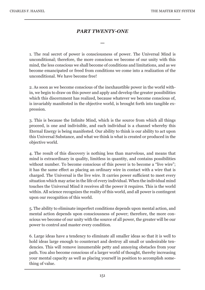## *PART TWENTY-ONE*

*—*

1. The real secret of power is consciousness of power. The Universal Mind is unconditional; therefore, the more conscious we become of our unity with this mind, the less conscious we shall become of conditions and limitations, and as we become emancipated or freed from conditions we come into a realization of the unconditional. We have become free!

2. As soon as we become conscious of the inexhaustible power in the world within, we begin to draw on this power and apply and develop the greater possibilities which this discernment has realized, because whatever we become conscious of, is invariably manifested in the objective world, is brought forth into tangible expression.

3. This is because the Infinite Mind, which is the source from which all things proceed, is one and indivisible, and each individual is a channel whereby this Eternal Energy is being manifested. Our ability to think is our ability to act upon this Universal Substance, and what we think is what is created or produced in the objective world.

4. The result of this discovery is nothing less than marvelous, and means that mind is extraordinary in quality, limitless in quantity, and contains possibilities without number. To become conscious of this power is to become a "live wire"; it has the same effect as placing an ordinary wire in contact with a wire that is charged. The Universal is the live wire. It carries power sufficient to meet every situation which may arise in the life of every individual. When the individual mind touches the Universal Mind it receives all the power it requires. This is the world within. All science recognizes the reality of this world, and all power is contingent upon our recognition of this world.

5. The ability to eliminate imperfect conditions depends upon mental action, and mental action depends upon consciousness of power; therefore, the more conscious we become of our unity with the source of all power, the greater will be our power to control and master every condition.

6. Large ideas have a tendency to eliminate all smaller ideas so that it is well to hold ideas large enough to counteract and destroy all small or undesirable tendencies. This will remove innumerable petty and annoying obstacles from your path. You also become conscious of a larger world of thought, thereby increasing your mental capacity as well as placing yourself in position to accomplish something of value.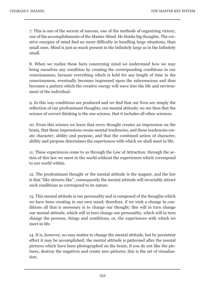7. This is one of the secrets of success, one of the methods of organizing victory, one of the accomplishments of the Master-Mind. He thinks big thoughts. The creative energies of mind find no more difficulty in handling large situations, than small ones. Mind is just as much present in the Infinitely large as in the Infinitely small.

8. When we realize these facts concerning mind we understand how we may bring ourselves any condition by creating the corresponding conditions in our consciousness, because everything which is held for any length of time in the consciousness, eventually becomes impressed upon the subconscious and thus becomes a pattern which the creative energy will wave into the life and environment of the individual.

9. In this way conditions are produced and we find that our lives are simply the reflection of our predominant thoughts, our mental attitude; we see then that the science of correct thinking is the one science, that it includes all other sciences.

10. From this science we learn that every thought creates an impression on the brain, that these impressions create mental tendencies, and these tendencies create character, ability and purpose, and that the combined action of character, ability and purpose determines the experiences with which we shall meet in life.

11. These experiences come to us through the Law of Attraction; through the action of this law we meet in the world without the experiences which correspond to our world within.

12. The predominant thought or the mental attitude is the magnet, and the law is that "like attracts like", consequently the mental attitude will invariably attract such conditions as correspond to its nature.

13. This mental attitude is our personality and is composed of the thoughts which we have been creating in our own mind; therefore, if we wish a change in conditions all that is necessary is to change our thought; this will in turn change our mental attitude, which will in turn change our personality, which will in turn change the persons, things and conditions, or, the experiences with which we meet in life.

14. It is, however, no easy matter to change the mental attitude, but by persistent effort it may be accomplished; the mental attitude is patterned after the mental pictures which have been photographed on the brain; if you do not like the pictures, destroy the negatives and create new pictures; this is the art of visualization.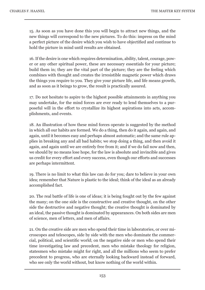15. As soon as you have done this you will begin to attract new things, and the new things will correspond to the new pictures. To do this: impress on the mind a perfect picture of the desire which you wish to have objectified and continue to hold the picture in mind until results are obtained.

16. If the desire is one which requires determination, ability, talent, courage, power or any other spiritual power, these are necessary essentials for your picture; build them in; they are the vital part of the picture; they are the feeling which combines with thought and creates the irresistible magnetic power which draws the things you require to you. They give your picture life, and life means growth, and as soon as it beings to grow, the result is practically assured.

17. Do not hesitate to aspire to the highest possible attainments in anything you may undertake, for the mind forces are ever ready to lend themselves to a purposeful will in the effort to crystallize its highest aspirations into acts, accomplishments, and events.

18. An illustration of how these mind forces operate is suggested by the method in which all our habits are formed. We do a thing, then do it again, and again, and again, until it becomes easy and perhaps almost automatic; and the same rule applies in breaking any and all bad habits; we stop doing a thing, and then avoid it again, and again until we are entirely free from it; and if we do fail now and then, we should by no means lose hope, for the law is absolute and invincible and gives us credit for every effort and every success, even though our efforts and successes are perhaps intermittent.

19. There is no limit to what this law can do for you; dare to believe in your own idea; remember that Nature is plastic to the ideal; think of the ideal as an already accomplished fact.

20. The real battle of life is one of ideas; it is being fought out by the few against the many; on the one side is the constructive and creative thought, on the other side the destructive and negative thought; the creative thought is dominated by an ideal, the passive thought is dominated by appearances. On both sides are men of science, men of letters, and men of affairs.

21. On the creative side are men who spend their time in laboratories, or over microscopes and telescopes, side by side with the men who dominate the commercial, political, and scientific world; on the negative side or men who spend their time investigating law and precedent, men who mistake theology for religion, statesmen who mistake might for right, and all the millions who seem to prefer precedent to progress, who are eternally looking backward instead of forward, who see only the world without, but know nothing of the world within.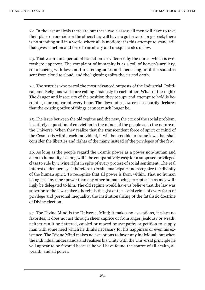22. In the last analysis there are but these two classes; all men will have to take their place on one side or the other; they will have to go forward, or go back; there is no standing still in a world where all is motion; it is this attempt to stand still that gives sanction and force to arbitrary and unequal codes of law.

23. That we are in a period of transition is evidenced by the unrest which is everywhere apparent. The complaint of humanity is as a roll of heaven's artillery, commencing with low and threatening notes and increasing until the sound is sent from cloud to cloud, and the lightning splits the air and earth.

24. The sentries who patrol the most advanced outposts of the Industrial, Political, and Religious world are calling anxiously to each other. What of the night? The danger and insecurity of the position they occupy and attempt to hold is becoming more apparent every hour. The dawn of a new era necessarily declares that the existing order of things cannot much longer be.

25. The issue between the old regime and the new, the crux of the social problem, is entirely a question of conviction in the minds of the people as to the nature of the Universe. When they realize that the transcendent force of spirit or mind of the Cosmos is within each individual, it will be possible to frame laws that shall consider the liberties and rights of the many instead of the privileges of the few.

26. As long as the people regard the Cosmic power as a power non-human and alien to humanity, so long will it be comparatively easy for a supposed privileged class to rule by Divine right in spite of every protest of social sentiment. The real interest of democracy is therefore to exalt, emancipate and recognize the divinity of the human spirit. To recognize that all power is from within. That no human being has any more power than any other human being, except such as may willingly be delegated to him. The old regime would have us believe that the law was superior to the law-makers; herein is the gist of the social crime of every form of privilege and personal inequality, the institutionalizing of the fatalistic doctrine of Divine election.

27. The Divine Mind is the Universal Mind; it makes no exceptions, it plays no favorites; it does not act through sheer caprice or from anger, jealousy or wrath; neither can it be flattered, cajoled or moved by sympathy or petition to supply man with some need which he thinks necessary for his happiness or even his existence. The Divine Mind makes no exceptions to favor any individual; but when the individual understands and realizes his Unity with the Universal principle he will appear to be favored because he will have found the source of all health, all wealth, and all power.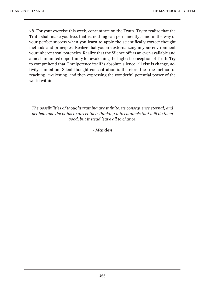28. For your exercise this week, concentrate on the Truth. Try to realize that the Truth shall make you free, that is, nothing can permanently stand in the way of your perfect success when you learn to apply the scientifically correct thought methods and principles. Realize that you are externalizing in your environment your inherent soul potencies. Realize that the Silence offers an ever-available and almost unlimited opportunity for awakening the highest conception of Truth. Try to comprehend that Omnipotence itself is absolute silence, all else is change, activity, limitation. Silent thought concentration is therefore the true method of reaching, awakening, and then expressing the wonderful potential power of the world within.

*The possibilities of thought training are infinite, its consequence eternal, and yet few take the pains to direct their thinking into channels that will do them good, but instead leave all to chance.*

#### *- Marden*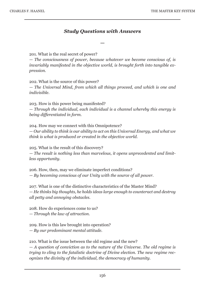## *Study Questions with Answers*

*—*

201. What is the real secret of power?

*— The consciousness of power, because whatever we become conscious of, is invariably manifested in the objective world, is brought forth into tangible expression.*

202. What is the source of this power?

*— The Universal Mind, from which all things proceed, and which is one and indivisible.*

203. How is this power being manifested? *— Through the individual, each individual is a channel whereby this energy is being differentiated in form.*

204. How may we connect with this Omnipotence? *— Our ability to think is our ability to act on this Universal Energy, and what we think is what is produced or created in the objective world.*

205. What is the result of this discovery? *— The result is nothing less than marvelous, it opens unprecedented and limitless opportunity.* 

206. How, then, may we eliminate imperfect conditions? *— By becoming conscious of our Unity with the source of all power.*

207. What is one of the distinctive characteristics of the Master Mind? *— He thinks big thoughts, he holds ideas large enough to counteract and destroy all petty and annoying obstacles.*

208. How do experiences come to us? *— Through the law of attraction.*

209. How is this law brought into operation? *— By our predominant mental attitude.* 

210. What is the issue between the old regime and the new? *— A question of conviction as to the nature of the Universe. The old regime is trying to cling to the fatalistic doctrine of Divine election. The new regime recognizes the divinity of the individual, the democracy of humanity.*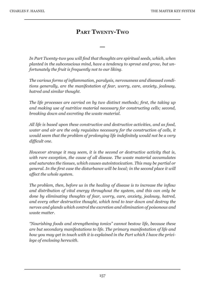# **PART TWENTY-TWO**

**—**

*In Part Twenty-two you will find that thoughts are spiritual seeds, which, when planted in the subconscious mind, have a tendency to sprout and grow, but unfortunately the fruit is frequently not to our liking.* 

*The various forms of inflammation, paralysis, nervousness and diseased conditions generally, are the manifestation of fear, worry, care, anxiety, jealousy, hatred and similar thought.* 

*The life processes are carried on by two distinct methods; first, the taking up and making use of nutritive material necessary for constructing cells; second, breaking down and excreting the waste material.* 

*All life is based upon these constructive and destructive activities, and as food, water and air are the only requisites necessary for the construction of cells, it would seem that the problem of prolonging life indefinitely would not be a very difficult one.* 

*However strange it may seem, it is the second or destructive activity that is, with rare exception, the cause of all disease. The waste material accumulates and saturates the tissues, which causes autointoxication. This may be partial or general. In the first case the disturbance will be local; in the second place it will affect the whole system.* 

*The problem, then, before us in the healing of disease is to increase the inflow and distribution of vital energy throughout the system, and this can only be done by eliminating thoughts of fear, worry, care, anxiety, jealousy, hatred, and every other destructive thought, which tend to tear down and destroy the nerves and glands which control the excretion and elimination of poisonous and waste matter.* 

*"Nourishing foods and strengthening tonics" cannot bestow life, because these are but secondary manifestations to life. The primary manifestation of life and how you may get in touch with it is explained in the Part which I have the privilege of enclosing herewith.*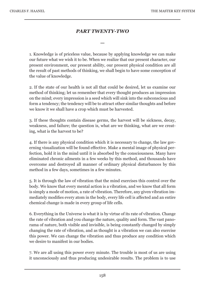## *PART TWENTY-TWO*

*—*

1. Knowledge is of priceless value, because by applying knowledge we can make our future what we wish it to be. When we realize that our present character, our present environment, our present ability, our present physical condition are all the result of past methods of thinking, we shall begin to have some conception of the value of knowledge.

2. If the state of our health is not all that could be desired, let us examine our method of thinking; let us remember that every thought produces an impression on the mind; every impression is a seed which will sink into the subconscious and form a tendency; the tendency will be to attract other similar thoughts and before we know it we shall have a crop which must be harvested.

3. If these thoughts contain disease germs, the harvest will be sickness, decay, weakness, and failure; the question is, what are we thinking, what are we creating, what is the harvest to be?

4. If there is any physical condition which it is necessary to change, the law governing visualization will be found effective. Make a mental image of physical perfection, hold it in the mind until it is absorbed by the consciousness. Many have eliminated chronic ailments in a few weeks by this method, and thousands have overcome and destroyed all manner of ordinary physical disturbances by this method in a few days, sometimes in a few minutes.

5. It is through the law of vibration that the mind exercises this control over the body. We know that every mental action is a vibration, and we know that all form is simply a mode of motion, a rate of vibration. Therefore, any given vibration immediately modifies every atom in the body, every life cell is affected and an entire chemical change is made in every group of life cells.

6. Everything in the Universe is what it is by virtue of its rate of vibration. Change the rate of vibration and you change the nature, quality and form. The vast panorama of nature, both visible and invisible, is being constantly changed by simply changing the rate of vibration, and as thought is a vibration we can also exercise this power. We can change the vibration and thus produce any condition which we desire to manifest in our bodies.

7. We are all using this power every minute. The trouble is most of us are using it unconsciously and thus producing undesirable results. The problem is to use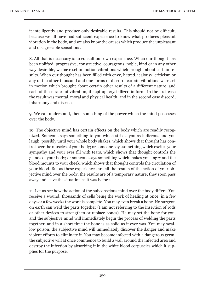it intelligently and produce only desirable results. This should not be difficult, because we all have had sufficient experience to know what produces pleasant vibration in the body, and we also know the causes which produce the unpleasant and disagreeable sensations.

8. All that is necessary is to consult our own experience. When our thought has been uplifted, progressive, constructive, courageous, noble, kind or in any other way desirable, we have set in motion vibrations which brought about certain results. When our thought has been filled with envy, hatred, jealousy, criticism or any of the other thousand and one forms of discord, certain vibrations were set in motion which brought about certain other results of a different nature, and each of these rates of vibration, if kept up, crystallized in form. In the first case the result was mental, moral and physical health, and in the second case discord, inharmony and disease.

9. We can understand, then, something of the power which the mind possesses over the body.

10. The objective mind has certain effects on the body which are readily recognized. Someone says something to you which strikes you as ludicrous and you laugh, possibly until your whole body shakes, which shows that thought has control over the muscles of your body; or someone says something which excites your sympathy and your eyes fill with tears, which shows that thought controls the glands of your body; or someone says something which makes you angry and the blood mounts to your cheek, which shows that thought controls the circulation of your blood. But as these experiences are all the results of the action of your objective mind over the body, the results are of a temporary nature; they soon pass away and leave the situation as it was before.

11. Let us see how the action of the subconscious mind over the body differs. You receive a wound; thousands of cells being the work of healing at once; in a few days or a few weeks the work is complete. You may even break a bone. No surgeon on earth can weld the parts together (I am not referring to the insertion of rods or other devices to strengthen or replace bones). He may set the bone for you, and the subjective mind will immediately begin the process of welding the parts together, and in a short time the bone is as solid as it ever was. You may swallow poison; the subjective mind will immediately discover the danger and make violent efforts to eliminate it. You may become infected with a dangerous germ; the subjective will at once commence to build a wall around the infected area and destroy the infection by absorbing it in the white blood corpuscles which it supplies for the purpose.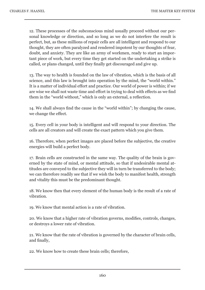12. These processes of the subconscious mind usually proceed without our personal knowledge or direction, and so long as we do not interfere the result is perfect, but, as these millions of repair cells are all intelligent and respond to our thought, they are often paralyzed and rendered impotent by our thoughts of fear, doubt, and anxiety. They are like an army of workmen, ready to start an important piece of work, but every time they get started on the undertaking a strike is called, or plans changed, until they finally get discouraged and give up.

13. The way to health is founded on the law of vibration, which is the basis of all science, and this law is brought into operation by the mind, the "world within." It is a matter of individual effort and practice. Our world of power is within; if we are wise we shall not waste time and effort in trying to deal with effects as we find them in the "world without," which is only an external, a reflection.

14. We shall always find the cause in the "world within"; by changing the cause, we change the effect.

15. Every cell in your body is intelligent and will respond to your direction. The cells are all creators and will create the exact pattern which you give them.

16. Therefore, when perfect images are placed before the subjective, the creative energies will build a perfect body.

17. Brain cells are constructed in the same way. The quality of the brain is governed by the state of mind, or mental attitude, so that if undesirable mental attitudes are conveyed to the subjective they will in turn be transferred to the body; we can therefore readily see that if we wish the body to manifest health, strength and vitality this must be the predominant thought.

18. We know then that every element of the human body is the result of a rate of vibration.

19. We know that mental action is a rate of vibration.

20. We know that a higher rate of vibration governs, modifies, controls, changes, or destroys a lower rate of vibration.

21. We know that the rate of vibration is governed by the character of brain cells, and finally,

22. We know how to create these brain cells; therefore,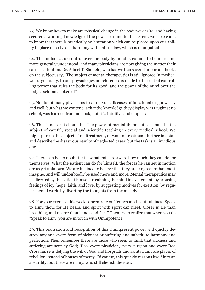23. We know how to make any physical change in the body we desire, and having secured a working knowledge of the power of mind to this extent, we have come to know that there is practically no limitation which can be placed upon our ability to place ourselves in harmony with natural law, which is omnipotent.

24. This influence or control over the body by mind is coming to be more and more generally understood, and many physicians are now giving the matter their earnest attention. Dr. Albert T. Shofield, who has written several important books on the subject, say, "The subject of mental therapeutics is still ignored in medical works generally. In our physiologies no references is made to the central controlling power that rules the body for its good, and the power of the mind over the body is seldom spoken of".

25. No doubt many physicians treat nervous diseases of functional origin wisely and well, but what we contend is that the knowledge they display was taught at no school, was learned from no book, but it is intuitive and empirical.

26. This is not as it should be. The power of mental therapeutics should be the subject of careful, special and scientific teaching in every medical school. We might pursue the subject of maltreatment, or want of treatment, further in detail and describe the disastrous results of neglected cases; but the task is an invidious one.

27. There can be no doubt that few patients are aware how much they can do for themselves. What the patient can do for himself, the forces he can set in motion are as yet unknown. We are inclined to believe that they are far greater than most imagine, and will undoubtedly be used more and more. Mental therapeutics may be directed by the patient himself to calming the mind in excitement, by arousing feelings of joy, hope, faith, and love; by suggesting motives for exertion, by regular mental work, by diverting the thoughts from the malady.

28. For your exercise this week concentrate on Tennyson's beautiful lines "Speak to Him, thou, for He hears, and spirit with spirit can meet, Closer is He than breathing, and nearer than hands and feet." Then try to realize that when you do "Speak to Him" you are in touch with Omnipotence.

29. This realization and recognition of this Omnipresent power will quickly destroy any and every form of sickness or suffering and substitute harmony and perfection. Then remember there are those who seem to think that sickness and suffering are sent by God; if so, every physician, every surgeon and every Red Cross nurse is defying the will of God and hospitals and sanitariums are places of rebellion instead of houses of mercy. Of course, this quickly reasons itself into an absurdity, but there are many; who still cherish the idea.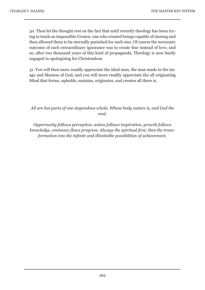30. Then let the thought rest on the fact that until recently theology has been trying to teach an impossible Creator, one who created beings capable of sinning and then allowed them to be eternally punished for such sins. Of course the necessary outcome of such extraordinary ignorance was to create fear instead of love, and so, after two thousand years of this kind of propaganda, Theology is now busily engaged in apologizing for Christendom.

31. You will then more readily appreciate the ideal man, the man made in the image and likeness of God, and you will more readily appreciate the all originating Mind that forms, upholds, sustains, originates, and creates all there is.

*All are but parts of one stupendous whole, Whose body nature is, and God the soul.*

*Opportunity follows perception, action follows inspiration, growth follows knowledge, eminence flows progress. Always the spiritual first, then the transformation into the infinite and illimitable possibilities of achievement.*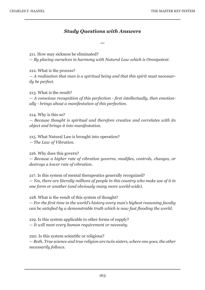## *Study Questions with Answers*

*—*

211. How may sickness be eliminated?

*— By placing ourselves in harmony with Natural Law which is Omnipotent.*

212. What is the process?

*— A realization that man is a spiritual being and that this spirit must necessarily be perfect.*

213. What is the result?

*— A conscious recognition of this perfection - first intellectually, then emotionally - brings about a manifestation of this perfection.*

214. Why is this so?

*— Because thought is spiritual and therefore creative and correlates with its object and brings it into manifestation.* 

215. What Natural Law is brought into operation?

*— The Law of Vibration.*

216. Why does this govern?

*— Because a higher rate of vibration governs, modifies, controls, changes, or destroys a lower rate of vibration.* 

217. Is this system of mental therapeutics generally recognized? *— Yes, there are literally millions of people in this country who make use of it in one form or another (and obviously many more world-wide).*

218. What is the result of this system of thought? *— For the first time in the world's history every man's highest reasoning faculty can be satisfied by a demonstrable truth which is now fast flooding the world.*

219. Is this system applicable to other forms of supply? *— It will meet every human requirement or necessity.*

220. Is this system scientific or religious?

*— Both. True science and true religion are twin sisters, where one goes, the other necessarily follows.*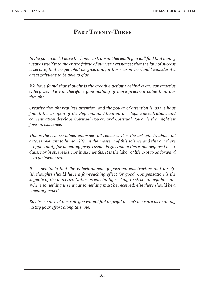# **PART TWENTY-THREE**

**—**

*In the part which I have the honor to transmit herewith you will find that money weaves itself into the entire fabric of our very existence; that the law of success is service; that we get what we give, and for this reason we should consider it a great privilege to be able to give.* 

*We have found that thought is the creative activity behind every constructive enterprise. We can therefore give nothing of more practical value than our thought.* 

*Creative thought requires attention, and the power of attention is, as we have found, the weapon of the Super-man. Attention develops concentration, and concentration develops Spiritual Power, and Spiritual Power is the mightiest force in existence.* 

This is the science which embraces all sciences. It is the art which, above all *arts, is relevant to human life. In the mastery of this science and this art there is opportunity for unending progression. Perfection in this is not acquired in six days, nor in six weeks, nor in six months. It is the labor of life. Not to go forward is to go backward.* 

*It is inevitable that the entertainment of positive, constructive and unselfish thoughts should have a far-reaching effect for good. Compensation is the keynote of the universe. Nature is constantly seeking to strike an equilibrium. Where something is sent out something must be received; else there should be a vacuum formed.* 

*By observance of this rule you cannot fail to profit in such measure as to amply justify your effort along this line.*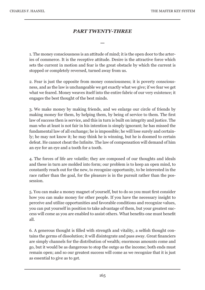## *PART TWENTY-THREE*

*—*

1. The money consciousness is an attitude of mind; it is the open door to the arteries of commerce. It is the receptive attitude. Desire is the attractive force which sets the current in motion and fear is the great obstacle by which the current is stopped or completely reversed, turned away from us.

2. Fear is just the opposite from money consciousness; it is poverty consciousness, and as the law is unchangeable we get exactly what we give; if we fear we get what we feared. Money weaves itself into the entire fabric of our very existence; it engages the best thought of the best minds.

3. We make money by making friends, and we enlarge our circle of friends by making money for them, by helping them, by being of service to them. The first law of success then is service, and this in turn is built on integrity and justice. The man who at least is not fair in his intention is simply ignorant; he has missed the fundamental law of all exchange; he is impossible; he will lose surely and certainly; he may not know it; he may think he is winning, but he is doomed to certain defeat. He cannot cheat the Infinite. The law of compensation will demand of him an eye for an eye and a tooth for a tooth.

4. The forces of life are volatile; they are composed of our thoughts and ideals and these in turn are molded into form; our problem is to keep an open mind, to constantly reach out for the new, to recognize opportunity, to be interested in the race rather than the goal, for the pleasure is in the pursuit rather than the possession.

5. You can make a money magnet of yourself, but to do so you must first consider how you can make money for other people. If you have the necessary insight to perceive and utilize opportunities and favorable conditions and recognize values, you can put yourself in position to take advantage of them, but your greatest success will come as you are enabled to assist others. What benefits one must benefit all.

6. A generous thought is filled with strength and vitality, a selfish thought contains the germs of dissolution; it will disintegrate and pass away. Great financiers are simply channels for the distribution of wealth; enormous amounts come and go, but it would be as dangerous to stop the outgo as the income; both ends must remain open; and so our greatest success will come as we recognize that it is just as essential to give as to get.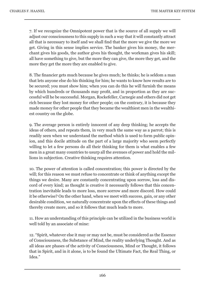7. If we recognize the Omnipotent power that is the source of all supply we will adjust our consciousness to this supply in such a way that it will constantly attract all that is necessary to itself and we shall find that the more we give the more we get. Giving in this sense implies service. The banker gives his money, the merchant gives his goods, the author gives his thought, the workman gives his skill; all have something to give, but the more they can give, the more they get, and the more they get the more they are enabled to give.

8. The financier gets much because he gives much; he thinks; he is seldom a man that lets anyone else do his thinking for him; he wants to know how results are to be secured; you must show him; when you can do this he will furnish the means by which hundreds or thousands may profit, and in proportion as they are successful will he be successful. Morgan, Rockefeller, Carnegie and others did not get rich because they lost money for other people; on the contrary, it is because they made money for other people that they became the wealthiest men in the wealthiest country on the globe.

9. The average person is entirely innocent of any deep thinking; he accepts the ideas of others, and repeats them, in very much the same way as a parrot; this is readily seen when we understand the method which is used to form public opinion, and this docile attitude on the part of a large majority who seem perfectly willing to let a few persons do all their thinking for them is what enables a few men in a great many countries to usurp all the avenues of power and hold the millions in subjection. Creative thinking requires attention.

10. The power of attention is called concentration; this power is directed by the will; for this reason we must refuse to concentrate or think of anything except the things we desire. Many are constantly concentrating upon sorrow, loss and discord of every kind; as thought is creative it necessarily follows that this concentration inevitable leads to more loss, more sorrow and more discord. How could it be otherwise? On the other hand, when we meet with success, gain, or any other desirable condition, we naturally concentrate upon the effects of these things and thereby create more, and so it follows that much leads to more.

11. How an understanding of this principle can be utilized in the business world is well told by an associate of mine:

12. "Spirit, whatever else it may or may not be, must be considered as the Essence of Consciousness, the Substance of Mind, the reality underlying Thought. And as all ideas are phases of the activity of Consciousness, Mind or Thought, it follows that in Spirit, and in it alone, is to be found the Ultimate Fact, the Real Thing, or Idea."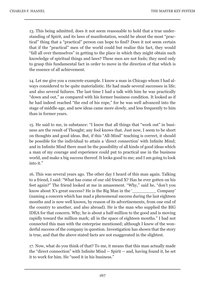13. This being admitted, does it not seem reasonable to hold that a true understanding of Spirit, and its laws of manifestation, would be about the most "practical" thing that a "practical" person can hope to find? Does it not seem certain that if the "practical" men of the world could but realize this fact, they would "fall all over themselves" in getting to the place in which they might obtain such knowledge of spiritual things and laws? These men are not fools; they need only to grasp this fundamental fact in order to move in the direction of that which is the essence of all achievement.

14. Let me give you a concrete example. I know a man in Chicago whom I had always considered to be quite materialistic. He had made several successes in life; and also several failures. The last time I had a talk with him he was practically "down and out," as compared with his former business condition. It looked as if he had indeed reached "the end of his rope," for he was well advanced into the stage of middle-age, and new ideas came more slowly, and less frequently to him than in former years.

15. He said to me, in substance: "I know that all things that "work out" in business are the result of Thought; any fool knows that. Just now, I seem to be short on thoughts and good ideas. But, if this "All-Mind" teaching is correct, it should be possible for the individual to attain a 'direct connection' with Infinite Mind; and in Infinite Mind there must be the possibility of all kinds of good ideas which a man of my courage and experience could put to practical use in the business world, and make a big success thereof. It looks good to me; and I am going to look into it."

16. This was several years ago. The other day I heard of this man again. Talking to a friend, I said: "What has come of our old friend X? Has he ever gotten on his feet again?" The friend looked at me in amazement. "Why," said he, "don't you know about X's great success? He is the Big Man in the '\_\_\_\_\_\_\_\_\_\_\_ Company' (naming a concern which has mad a phenomenal success during the last eighteen months and is now well known, by reason of its advertisements, from one end of the country to another, and also abroad). He is the man who supplied the BIG IDEA for that concern. Why, he is about a half-million to the good and is moving rapidly toward the million mark; all in the space of eighteen months." I had not connected this man with the enterprise mentioned; although I knew of the wonderful success of the company in question. Investigation has shown that the story is true, and that the above stated facts are not exaggerated in the slightest.

17. Now, what do you think of that? To me, it means that this man actually made the "direct connection" with Infinite Mind -- Spirit -- and, having found it, he set it to work for him. He "used it in his business."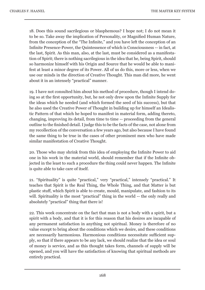18. Does this sound sacrilegious or blasphemous? I hope not; I do not mean it to be so. Take away the implication of Personality, or Magnified Human Nature, from the conception of the "The Infinite," and you have left the conception of an Infinite Presence-Power, the Quintessence of which is Consciousness -- in fact, at the last, Spirit. As this man, also, at the last, must be considered as a manifestation of Spirit; there is nothing sacrilegious in the idea that he, being Spirit, should so harmonize himself with his Origin and Source that he would be able to manifest at least a minor degree of its Power. All of us do this, more or less, when we use our minds in the direction of Creative Thought. This man did more, he went about it in an intensely "practical" manner.

19. I have not consulted him about his method of procedure, though I intend doing so at the first opportunity, but, he not only drew upon the Infinite Supply for the ideas which he needed (and which formed the seed of his success), but that he also used the Creative Power of Thought in building up for himself an Idealistic Pattern of that which he hoped to manifest in material form, adding thereto, changing, improving its detail, from time to time -- proceeding from the general outline to the finished detail. I judge this to be the facts of the case, not alone from my recollection of the conversation a few years ago, but also because I have found the same thing to be true in the cases of other prominent men who have made similar manifestation of Creative Thought.

20. Those who may shrink from this idea of employing the Infinite Power to aid one in his work in the material world, should remember that if the Infinite objected in the least to such a procedure the thing could never happen. The Infinite is quite able to take care of itself.

21. "Spirituality" is quite "practical," very "practical," intensely "practical." It teaches that Spirit is the Real Thing, the Whole Thing, and that Matter is but plastic stuff, which Spirit is able to create, mould, manipulate, and fashion to its will. Spirituality is the most "practical" thing in the world -- the only really and absolutely "practical" thing that there is!

22. This week concentrate on the fact that man is not a body with a spirit, but a spirit with a body, and that it is for this reason that his desires are incapable of any permanent satisfaction in anything not spiritual. Money is therefore of no value except to bring about the conditions which we desire, and these conditions are necessarily harmonious. Harmonious conditions necessitate sufficient supply, so that if there appears to be any lack, we should realize that the idea or soul of money is service, and as this thought takes form, channels of supply will be opened, and you will have the satisfaction of knowing that spiritual methods are entirely practical.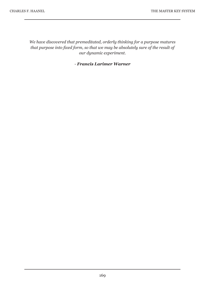*We have discovered that premeditated, orderly thinking for a purpose matures that purpose into fixed form, so that we may be absolutely sure of the result of our dynamic experiment.*

*- Francis Larimer Warner*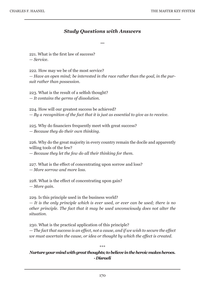## *Study Questions with Answers*

*—*

221. What is the first law of success? *— Service.*

222. How may we be of the most service? *— Have an open mind; be interested in the race rather than the goal, in the pursuit rather than possession.*

223. What is the result of a selfish thought? *— It contains the germs of dissolution.*

224. How will our greatest success be achieved? *— By a recognition of the fact that it is just as essential to give as to receive.*

225. Why do financiers frequently meet with great success? *— Because they do their own thinking.*

226. Why do the great majority in every country remain the docile and apparently willing tools of the few?

*— Because they let the few do all their thinking for them.*

227. What is the effect of concentrating upon sorrow and loss? *— More sorrow and more loss.*

228. What is the effect of concentrating upon gain? *— More gain.* 

229. Is this principle used in the business world?

*— It is the only principle which is ever used, or ever can be used; there is no other principle. The fact that it may be used unconsciously does not alter the situation.* 

230. What is the practical application of this principle?

*— The fact that success is an effect, not a cause, and if we wish to secure the effect we must ascertain the cause, or idea or thought by which the effect is created.* 

#### \*\*\*

### *Nurture your mind with great thoughts; to believe in the heroic makes heroes. - Disraeli*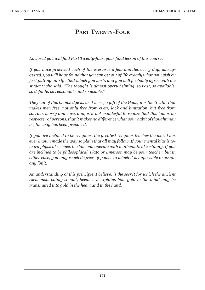# **PART TWENTY-FOUR**

**—**

*Enclosed you will find Part Twenty-four, your final lesson of this course.* 

*If you have practiced each of the exercises a few minutes every day, as suggested, you will have found that you can get out of life exactly what you wish by first putting into life that which you wish, and you will probably agree with the student who said: "The thought is almost overwhelming, so vast, so available, so definite, so reasonable and so usable."* 

*The fruit of this knowledge is, as it were, a gift of the Gods; it is the "truth" that makes men free, not only free from every lack and limitation, but free from sorrow, worry and care, and, is it not wonderful to realize that this law is no respecter of persons, that it makes no difference what your habit of thought may be, the way has been prepared.* 

*If you are inclined to be religious, the greatest religious teacher the world has ever known made the way so plain that all may follow. If your mental bias is toward physical science, the law will operate with mathematical certainty. If you are inclined to be philosophical, Plato or Emerson may be your teacher, but in either case, you may reach degrees of power to which it is impossible to assign any limit.* 

*An understanding of this principle, I believe, is the secret for which the ancient Alchemists vainly sought, because it explains how gold in the mind may be transmuted into gold in the heart and in the hand.*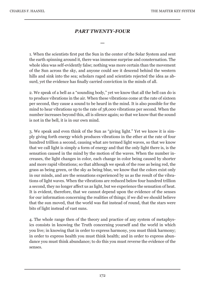## *PART TWENTY-FOUR*

*—*

1. When the scientists first put the Sun in the center of the Solar System and sent the earth spinning around it, there was immense surprise and consternation. The whole idea was self-evidently false; nothing was more certain than the movement of the Sun across the sky, and anyone could see it descend behind the western hills and sink into the sea; scholars raged and scientists rejected the idea as absurd, yet the evidence has finally carried conviction in the minds of all.

2. We speak of a bell as a "sounding body," yet we know that all the bell can do is to produce vibrations in the air. When these vibrations come at the rate of sixteen per second, they cause a sound to be heard in the mind. It is also possible for the mind to hear vibrations up to the rate of 38,000 vibrations per second. When the number increases beyond this, all is silence again; so that we know that the sound is not in the bell, it is in our own mind.

3. We speak and even think of the Sun as "giving light." Yet we know it is simply giving forth energy which produces vibrations in the ether at the rate of four hundred trillion a second, causing what are termed light waves, so that we know that we call light is simply a form of energy and that the only light there is, is the sensation caused in the mind by the motion of the waves. When the number increases, the light changes in color, each change in color being caused by shorter and more rapid vibrations; so that although we speak of the rose as being red, the grass as being green, or the sky as being blue, we know that the colors exist only in our minds, and are the sensations experienced by us as the result of the vibrations of light waves. When the vibrations are reduced below four hundred trillion a second, they no longer affect us as light, but we experience the sensation of heat. It is evident, therefore, that we cannot depend upon the evidence of the senses for our information concerning the realities of things; if we did we should believe that the sun moved, that the world was flat instead of round, that the stars were bits of light instead of vast suns.

4. The whole range then of the theory and practice of any system of metaphysics consists in knowing the Truth concerning yourself and the world in which you live; in knowing that in order to express harmony, you must think harmony; in order to express health you must think health; and in order to express abundance you must think abundance; to do this you must reverse the evidence of the senses.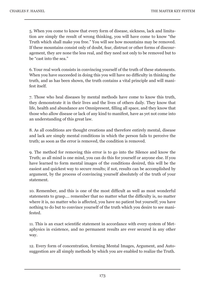5. When you come to know that every form of disease, sickness, lack and limitation are simply the result of wrong thinking, you will have come to know "the Truth which shall make you free." You will see how mountains may be removed. If these mountains consist only of doubt, fear, distrust or other forms of discouragement, they are none the less real, and they need not only to be removed but to be "cast into the sea."

6. Your real work consists in convincing yourself of the truth of these statements. When you have succeeded in doing this you will have no difficulty in thinking the truth, and as has been shown, the truth contains a vital principle and will manifest itself.

7. Those who heal diseases by mental methods have come to know this truth, they demonstrate it in their lives and the lives of others daily. They know that life, health and abundance are Omnipresent, filling all space, and they know that those who allow disease or lack of any kind to manifest, have as yet not come into an understanding of this great law.

8. As all conditions are thought creations and therefore entirely mental, disease and lack are simply mental conditions in which the person fails to perceive the truth; as soon as the error is removed, the condition is removed.

9. The method for removing this error is to go into the Silence and know the Truth; as all mind is one mind, you can do this for yourself or anyone else. If you have learned to form mental images of the conditions desired, this will be the easiest and quickest way to secure results; if not, results can be accomplished by argument, by the process of convincing yourself absolutely of the truth of your statement.

10. Remember, and this is one of the most difficult as well as most wonderful statements to grasp.... remember that no matter what the difficulty is, no matter where it is, no matter who is affected, you have no patient but yourself; you have nothing to do but to convince yourself of the truth which you desire to see manifested.

11. This is an exact scientific statement in accordance with every system of Metaphysics in existence, and no permanent results are ever secured in any other way.

12. Every form of concentration, forming Mental Images, Argument, and Autosuggestion are all simply methods by which you are enabled to realize the Truth.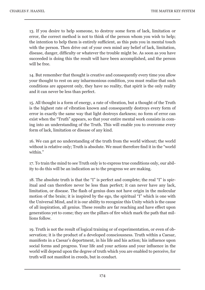13. If you desire to help someone, to destroy some form of lack, limitation or error, the correct method is not to think of the person whom you wish to help; the intention to help them is entirely sufficient, as this puts you in mental touch with the person. Then drive out of your own mind any belief of lack, limitation, disease, danger, difficulty or whatever the trouble might be. As soon as you have succeeded is doing this the result will have been accomplished, and the person will be free.

14. But remember that thought is creative and consequently every time you allow your thought to rest on any inharmonious condition, you must realize that such conditions are apparent only, they have no reality, that spirit is the only reality and it can never be less than perfect.

15. All thought is a form of energy, a rate of vibration, but a thought of the Truth is the highest rate of vibration known and consequently destroys every form of error in exactly the same way that light destroys darkness; no form of error can exist when the "Truth" appears, so that your entire mental work consists in coming into an understanding of the Truth. This will enable you to overcome every form of lack, limitation or disease of any kind.

16. We can get no understanding of the truth from the world without; the world without is relative only; Truth is absolute. We must therefore find it in the "world within."

17. To train the mind to see Truth only is to express true conditions only, our ability to do this will be an indication as to the progress we are making.

18. The absolute truth is that the "I" is perfect and complete; the real "I" is spiritual and can therefore never be less than perfect; it can never have any lack, limitation, or disease. The flash of genius does not have origin in the molecular motion of the brain; it is inspired by the ego, the spiritual "I" which is one with the Universal Mind, and it is our ability to recognize this Unity which is the cause of all inspiration, all genius. These results are far reaching and have effect upon generations yet to come; they are the pillars of fire which mark the path that millions follow.

19. Truth is not the result of logical training or of experimentation, or even of observation; it is the product of a developed consciousness. Truth within a Caesar, manifests in a Caesar's deportment, in his life and his action; his influence upon social forms and progress. Your life and your actions and your influence in the world will depend upon the degree of truth which you are enabled to perceive, for truth will not manifest in creeds, but in conduct.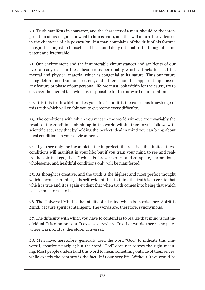20. Truth manifests in character, and the character of a man, should be the interpretation of his religion, or what to him is truth, and this will in turn be evidenced in the character of his possession. If a man complains of the drift of his fortune he is just as unjust to himself as if he should deny rational truth, though it stand patent and irrefutable.

21. Our environment and the innumerable circumstances and accidents of our lives already exist in the subconscious personality which attracts to itself the mental and physical material which is congenial to its nature. Thus our future being determined from our present, and if there should be apparent injustice in any feature or phase of our personal life, we must look within for the cause, try to discover the mental fact which is responsible for the outward manifestation.

22. It is this truth which makes you "free" and it is the conscious knowledge of this truth which will enable you to overcome every difficulty.

23. The conditions with which you meet in the world without are invariably the result of the conditions obtaining in the world within, therefore it follows with scientific accuracy that by holding the perfect ideal in mind you can bring about ideal conditions in your environment.

24. If you see only the incomplete, the imperfect, the relative, the limited, these conditions will manifest in your life; but if you train your mind to see and realize the spiritual ego, the "I" which is forever perfect and complete, harmonious; wholesome, and healthful conditions only will be manifested.

25. As thought is creative, and the truth is the highest and most perfect thought which anyone can think, it is self-evident that to think the truth is to create that which is true and it is again evident that when truth comes into being that which is false must cease to be.

26. The Universal Mind is the totality of all mind which is in existence. Spirit is Mind, because spirit is intelligent. The words are, therefore, synonymous.

27. The difficulty with which you have to contend is to realize that mind is not individual. It is omnipresent. It exists everywhere. In other words, there is no place where it is not. It is, therefore, Universal.

28. Men have, heretofore, generally used the word "God" to indicate this Universal, creative principle; but the word "God" does not convey the right meaning. Most people understand this word to mean something outside of themselves; while exactly the contrary is the fact. It is our very life. Without it we would be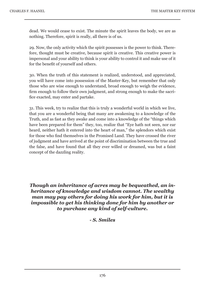dead. We would cease to exist. The minute the spirit leaves the body, we are as nothing. Therefore, spirit is really, all there is of us.

29. Now, the only activity which the spirit possesses is the power to think. Therefore, thought must be creative, because spirit is creative. This creative power is impersonal and your ability to think is your ability to control it and make use of it for the benefit of yourself and others.

30. When the truth of this statement is realized, understood, and appreciated, you will have come into possession of the Master-Key, but remember that only those who are wise enough to understand, broad enough to weigh the evidence, firm enough to follow their own judgment, and strong enough to make the sacrifice exacted, may enter and partake.

31. This week, try to realize that this is truly a wonderful world in which we live, that you are a wonderful being that many are awakening to a knowledge of the Truth, and as fast as they awake and come into a knowledge of the "things which have been prepared for them" they, too, realize that "Eye hath not seen, nor ear heard, neither hath it entered into the heart of man," the splendors which exist for those who find themselves in the Promised Land. They have crossed the river of judgment and have arrived at the point of discrimination between the true and the false, and have found that all they ever willed or dreamed, was but a faint concept of the dazzling reality.

*Though an inheritance of acres may be bequeathed, an inheritance of knowledge and wisdom cannot. The wealthy man may pay others for doing his work for him, but it is impossible to get his thinking done for him by another or to purchase any kind of self-culture.*

*- S. Smiles*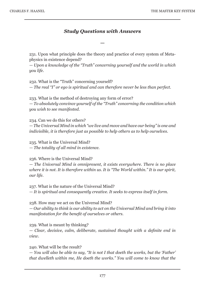## *Study Questions with Answers*

*—*

231. Upon what principle does the theory and practice of every system of Metaphysics in existence depend?

*— Upon a knowledge of the "Truth" concerning yourself and the world in which you life.*

232. What is the "Truth" concerning yourself? *— The real "I" or ego is spiritual and can therefore never be less than perfect.*

233. What is the method of destroying any form of error? *— To absolutely convince yourself of the "Truth" concerning the condition which you wish to see manifested.*

234. Can we do this for others? *— The Universal Mind in which "we live and move and have our being" is one and indivisible, it is therefore just as possible to help others as to help ourselves.*

235. What is the Universal Mind? *— The totality of all mind in existence.*

#### 236. Where is the Universal Mind?

*— The Universal Mind is omnipresent, it exists everywhere. There is no place where it is not. It is therefore within us. It is "The World within." It is our spirit, our life.*

237. What is the nature of the Universal Mind? *— It is spiritual and consequently creative. It seeks to express itself in form.*

238. How may we act on the Universal Mind?

*— Our ability to think is our ability to act on the Universal Mind and bring it into manifestation for the benefit of ourselves or others.*

239. What is meant by thinking?

*— Clear, decisive, calm, deliberate, sustained thought with a definite end in view.*

240. What will be the result? *— You will also be able to say, "It is not I that doeth the works, but the 'Father' that dwelleth within me, He doeth the works." You will come to know that the*